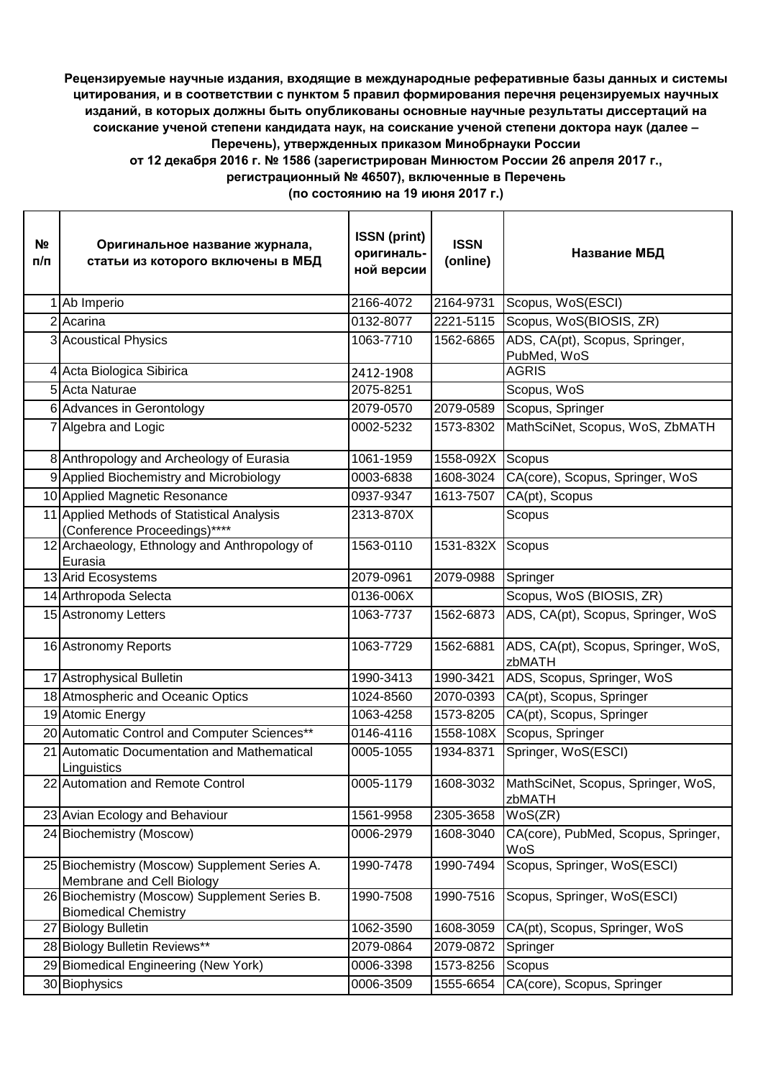## **Рецензируемые научные издания, входящие в международные реферативные базы данных и системы цитирования, и в соответствии с пунктом 5 правил формирования перечня рецензируемых научных изданий, в которых должны быть опубликованы основные научные результаты диссертаций на соискание ученой степени кандидата наук, на соискание ученой степени доктора наук (далее – Перечень), утвержденных приказом Минобрнауки России от 12 декабря 2016 г. № 1586 (зарегистрирован Минюстом России 26 апреля 2017 г., регистрационный № 46507), включенные в Перечень**

**(по состоянию на 19 июня 2017 г.)**

| <u>Νο</u><br>п/п | Оригинальное название журнала,<br>статьи из которого включены в МБД          | <b>ISSN</b> (print)<br>оригиналь-<br>ной версии | <b>ISSN</b><br>(online) | Название МБД                                  |
|------------------|------------------------------------------------------------------------------|-------------------------------------------------|-------------------------|-----------------------------------------------|
|                  | Ab Imperio                                                                   | 2166-4072                                       | 2164-9731               | Scopus, WoS(ESCI)                             |
|                  | 2 Acarina                                                                    | 0132-8077                                       | 2221-5115               | Scopus, WoS(BIOSIS, ZR)                       |
|                  | 3 Acoustical Physics                                                         | 1063-7710                                       | 1562-6865               | ADS, CA(pt), Scopus, Springer,<br>PubMed, WoS |
|                  | 4 Acta Biologica Sibirica                                                    | 2412-1908                                       |                         | <b>AGRIS</b>                                  |
|                  | 5 Acta Naturae                                                               | 2075-8251                                       |                         | Scopus, WoS                                   |
|                  | 6 Advances in Gerontology                                                    | 2079-0570                                       | 2079-0589               | Scopus, Springer                              |
|                  | Algebra and Logic                                                            | 0002-5232                                       | 1573-8302               | MathSciNet, Scopus, WoS, ZbMATH               |
|                  | 8 Anthropology and Archeology of Eurasia                                     | 1061-1959                                       | 1558-092X               | Scopus                                        |
|                  | 9 Applied Biochemistry and Microbiology                                      | 0003-6838                                       | 1608-3024               | CA(core), Scopus, Springer, WoS               |
|                  | 10 Applied Magnetic Resonance                                                | 0937-9347                                       | 1613-7507               | CA(pt), Scopus                                |
|                  | 11 Applied Methods of Statistical Analysis<br>(Conference Proceedings)****   | 2313-870X                                       |                         | Scopus                                        |
|                  | 12 Archaeology, Ethnology and Anthropology of<br>Eurasia                     | 1563-0110                                       | 1531-832X               | Scopus                                        |
|                  | 13 Arid Ecosystems                                                           | 2079-0961                                       | 2079-0988               | Springer                                      |
|                  | 14 Arthropoda Selecta                                                        | 0136-006X                                       |                         | Scopus, WoS (BIOSIS, ZR)                      |
|                  | 15 Astronomy Letters                                                         | 1063-7737                                       | 1562-6873               | ADS, CA(pt), Scopus, Springer, WoS            |
|                  | 16 Astronomy Reports                                                         | 1063-7729                                       | 1562-6881               | ADS, CA(pt), Scopus, Springer, WoS,<br>zbMATH |
|                  | 17 Astrophysical Bulletin                                                    | 1990-3413                                       | 1990-3421               | ADS, Scopus, Springer, WoS                    |
|                  | 18 Atmospheric and Oceanic Optics                                            | 1024-8560                                       | 2070-0393               | CA(pt), Scopus, Springer                      |
|                  | 19 Atomic Energy                                                             | 1063-4258                                       | 1573-8205               | CA(pt), Scopus, Springer                      |
|                  | 20 Automatic Control and Computer Sciences**                                 | 0146-4116                                       | 1558-108X               | Scopus, Springer                              |
|                  | 21 Automatic Documentation and Mathematical<br>Linguistics                   | 0005-1055                                       | 1934-8371               | Springer, WoS(ESCI)                           |
|                  | 22 Automation and Remote Control                                             | 0005-1179                                       | 1608-3032               | MathSciNet, Scopus, Springer, WoS,<br>zbMATH  |
|                  | 23 Avian Ecology and Behaviour                                               | 1561-9958                                       | 2305-3658               | WoS(ZR)                                       |
|                  | 24 Biochemistry (Moscow)                                                     | 0006-2979                                       | 1608-3040               | CA(core), PubMed, Scopus, Springer,<br>WoS    |
|                  | 25 Biochemistry (Moscow) Supplement Series A.<br>Membrane and Cell Biology   | 1990-7478                                       | 1990-7494               | Scopus, Springer, WoS(ESCI)                   |
|                  | 26 Biochemistry (Moscow) Supplement Series B.<br><b>Biomedical Chemistry</b> | 1990-7508                                       | 1990-7516               | Scopus, Springer, WoS(ESCI)                   |
|                  | 27 Biology Bulletin                                                          | 1062-3590                                       | 1608-3059               | CA(pt), Scopus, Springer, WoS                 |
|                  | 28 Biology Bulletin Reviews**                                                | 2079-0864                                       | 2079-0872               | Springer                                      |
|                  | 29 Biomedical Engineering (New York)                                         | 0006-3398                                       | 1573-8256               | Scopus                                        |
|                  | 30 Biophysics                                                                | 0006-3509                                       | 1555-6654               | CA(core), Scopus, Springer                    |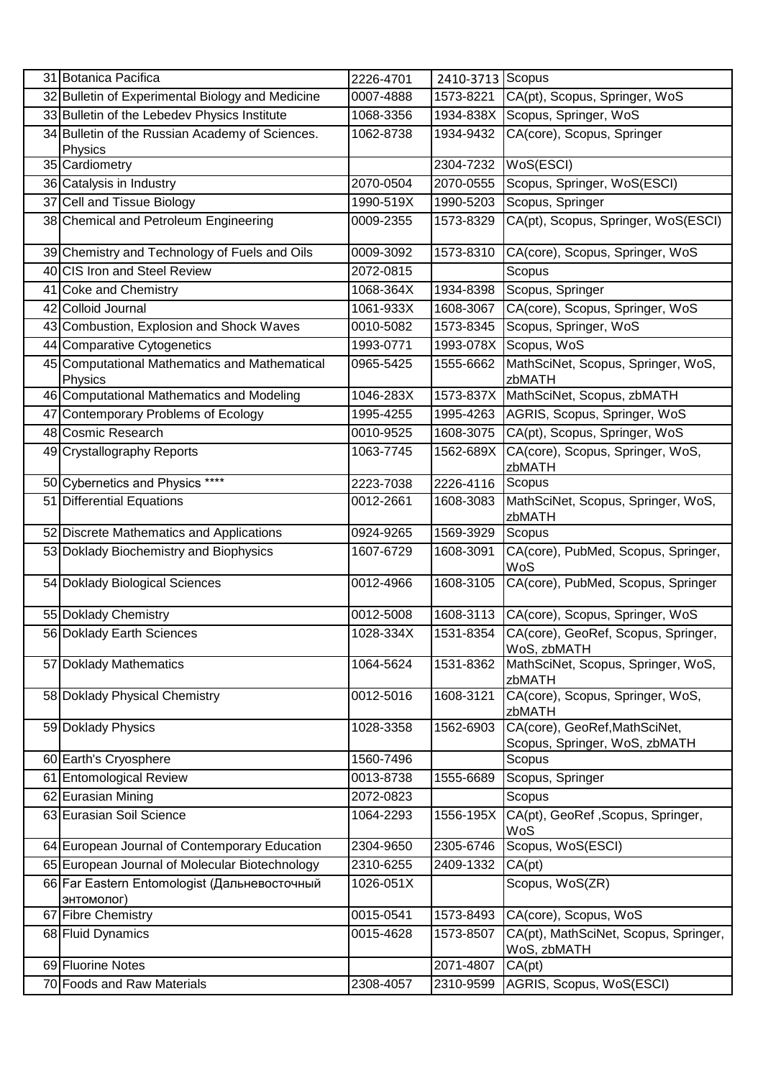| 31 Botanica Pacifica                                       | 2226-4701 | 2410-3713 Scopus |                                                                |
|------------------------------------------------------------|-----------|------------------|----------------------------------------------------------------|
| 32 Bulletin of Experimental Biology and Medicine           | 0007-4888 | 1573-8221        | CA(pt), Scopus, Springer, WoS                                  |
| 33 Bulletin of the Lebedev Physics Institute               | 1068-3356 |                  | 1934-838X Scopus, Springer, WoS                                |
| 34 Bulletin of the Russian Academy of Sciences.<br>Physics | 1062-8738 | 1934-9432        | CA(core), Scopus, Springer                                     |
| 35 Cardiometry                                             |           | 2304-7232        | WoS(ESCI)                                                      |
| 36 Catalysis in Industry                                   | 2070-0504 | 2070-0555        | Scopus, Springer, WoS(ESCI)                                    |
| 37 Cell and Tissue Biology                                 | 1990-519X | 1990-5203        | Scopus, Springer                                               |
| 38 Chemical and Petroleum Engineering                      | 0009-2355 | 1573-8329        | CA(pt), Scopus, Springer, WoS(ESCI)                            |
| 39 Chemistry and Technology of Fuels and Oils              | 0009-3092 | 1573-8310        | CA(core), Scopus, Springer, WoS                                |
| 40 CIS Iron and Steel Review                               | 2072-0815 |                  | Scopus                                                         |
| 41 Coke and Chemistry                                      | 1068-364X | 1934-8398        | Scopus, Springer                                               |
| 42 Colloid Journal                                         | 1061-933X | 1608-3067        | CA(core), Scopus, Springer, WoS                                |
| 43 Combustion, Explosion and Shock Waves                   | 0010-5082 | 1573-8345        | Scopus, Springer, WoS                                          |
| 44 Comparative Cytogenetics                                | 1993-0771 | 1993-078X        | Scopus, WoS                                                    |
| 45 Computational Mathematics and Mathematical              | 0965-5425 | 1555-6662        | MathSciNet, Scopus, Springer, WoS,                             |
| Physics                                                    |           |                  | zbMATH                                                         |
| 46 Computational Mathematics and Modeling                  | 1046-283X | 1573-837X        | MathSciNet, Scopus, zbMATH                                     |
| 47 Contemporary Problems of Ecology                        | 1995-4255 | 1995-4263        | AGRIS, Scopus, Springer, WoS                                   |
| 48 Cosmic Research                                         | 0010-9525 | 1608-3075        | CA(pt), Scopus, Springer, WoS                                  |
| 49 Crystallography Reports                                 | 1063-7745 | 1562-689X        | CA(core), Scopus, Springer, WoS,<br>zbMATH                     |
| 50 Cybernetics and Physics ****                            | 2223-7038 | 2226-4116        | Scopus                                                         |
| 51 Differential Equations                                  | 0012-2661 | 1608-3083        | MathSciNet, Scopus, Springer, WoS,<br>zbMATH                   |
| 52 Discrete Mathematics and Applications                   | 0924-9265 | 1569-3929        | Scopus                                                         |
| 53 Doklady Biochemistry and Biophysics                     | 1607-6729 | 1608-3091        | CA(core), PubMed, Scopus, Springer,<br>WoS                     |
| 54 Doklady Biological Sciences                             | 0012-4966 | 1608-3105        | CA(core), PubMed, Scopus, Springer                             |
| 55 Doklady Chemistry                                       | 0012-5008 | 1608-3113        | CA(core), Scopus, Springer, WoS                                |
| 56 Doklady Earth Sciences                                  | 1028-334X |                  | 1531-8354 CA(core), GeoRef, Scopus, Springer,<br>WoS, zbMATH   |
| 57 Doklady Mathematics                                     | 1064-5624 | 1531-8362        | MathSciNet, Scopus, Springer, WoS,<br>zbMATH                   |
| 58 Doklady Physical Chemistry                              | 0012-5016 | 1608-3121        | CA(core), Scopus, Springer, WoS,<br>zbMATH                     |
| 59 Doklady Physics                                         | 1028-3358 | 1562-6903        | CA(core), GeoRef, MathSciNet,<br>Scopus, Springer, WoS, zbMATH |
| 60 Earth's Cryosphere                                      | 1560-7496 |                  | Scopus                                                         |
| 61 Entomological Review                                    | 0013-8738 | 1555-6689        | Scopus, Springer                                               |
| 62 Eurasian Mining                                         | 2072-0823 |                  | Scopus                                                         |
| 63 Eurasian Soil Science                                   | 1064-2293 | 1556-195X        | CA(pt), GeoRef, Scopus, Springer,<br>WoS                       |
| 64 European Journal of Contemporary Education              | 2304-9650 | 2305-6746        | Scopus, WoS(ESCI)                                              |
| 65 European Journal of Molecular Biotechnology             | 2310-6255 | 2409-1332        | CA(pt)                                                         |
| 66 Far Eastern Entomologist (Дальневосточный<br>энтомолог) | 1026-051X |                  | Scopus, WoS(ZR)                                                |
| 67 Fibre Chemistry                                         | 0015-0541 | 1573-8493        | CA(core), Scopus, WoS                                          |
| 68 Fluid Dynamics                                          | 0015-4628 | 1573-8507        | CA(pt), MathSciNet, Scopus, Springer,<br>WoS, zbMATH           |
| 69 Fluorine Notes                                          |           | 2071-4807        | CA(pt)                                                         |
| 70 Foods and Raw Materials                                 | 2308-4057 | 2310-9599        | AGRIS, Scopus, WoS(ESCI)                                       |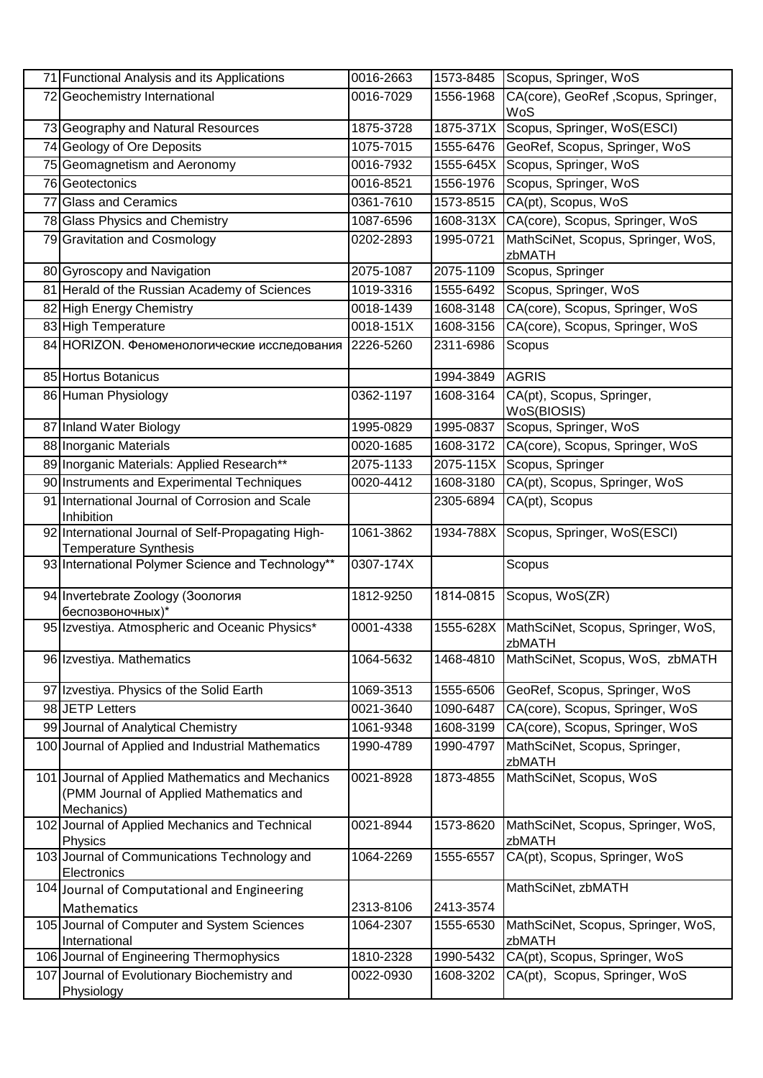|    | 71 Functional Analysis and its Applications                                                               | 0016-2663 | 1573-8485 | Scopus, Springer, WoS                        |
|----|-----------------------------------------------------------------------------------------------------------|-----------|-----------|----------------------------------------------|
|    | 72 Geochemistry International                                                                             | 0016-7029 | 1556-1968 | CA(core), GeoRef, Scopus, Springer,<br>WoS   |
|    | 73 Geography and Natural Resources                                                                        | 1875-3728 | 1875-371X | Scopus, Springer, WoS(ESCI)                  |
|    | 74 Geology of Ore Deposits                                                                                | 1075-7015 | 1555-6476 | GeoRef, Scopus, Springer, WoS                |
|    | 75 Geomagnetism and Aeronomy                                                                              | 0016-7932 | 1555-645X | Scopus, Springer, WoS                        |
|    | 76 Geotectonics                                                                                           | 0016-8521 | 1556-1976 | Scopus, Springer, WoS                        |
|    | 77 Glass and Ceramics                                                                                     | 0361-7610 | 1573-8515 | CA(pt), Scopus, WoS                          |
|    | 78 Glass Physics and Chemistry                                                                            | 1087-6596 | 1608-313X | CA(core), Scopus, Springer, WoS              |
|    | 79 Gravitation and Cosmology                                                                              | 0202-2893 | 1995-0721 | MathSciNet, Scopus, Springer, WoS,<br>zbMATH |
|    | 80 Gyroscopy and Navigation                                                                               | 2075-1087 | 2075-1109 | Scopus, Springer                             |
|    | 81 Herald of the Russian Academy of Sciences                                                              | 1019-3316 | 1555-6492 | Scopus, Springer, WoS                        |
|    | 82 High Energy Chemistry                                                                                  | 0018-1439 | 1608-3148 | CA(core), Scopus, Springer, WoS              |
|    | 83 High Temperature                                                                                       | 0018-151X | 1608-3156 | CA(core), Scopus, Springer, WoS              |
|    | 84 HORIZON. Феноменологические исследования                                                               | 2226-5260 | 2311-6986 | Scopus                                       |
|    | 85 Hortus Botanicus                                                                                       |           | 1994-3849 | <b>AGRIS</b>                                 |
|    | 86 Human Physiology                                                                                       | 0362-1197 | 1608-3164 | CA(pt), Scopus, Springer,<br>WoS(BIOSIS)     |
|    | 87 Inland Water Biology                                                                                   | 1995-0829 | 1995-0837 | Scopus, Springer, WoS                        |
|    | 88 Inorganic Materials                                                                                    | 0020-1685 | 1608-3172 | CA(core), Scopus, Springer, WoS              |
|    | 89 Inorganic Materials: Applied Research**                                                                | 2075-1133 | 2075-115X | Scopus, Springer                             |
|    | 90 Instruments and Experimental Techniques                                                                | 0020-4412 | 1608-3180 | CA(pt), Scopus, Springer, WoS                |
| 91 | International Journal of Corrosion and Scale<br>Inhibition                                                |           | 2305-6894 | CA(pt), Scopus                               |
|    | 92 International Journal of Self-Propagating High-<br><b>Temperature Synthesis</b>                        | 1061-3862 | 1934-788X | Scopus, Springer, WoS(ESCI)                  |
|    | 93 International Polymer Science and Technology**                                                         | 0307-174X |           | Scopus                                       |
|    | 94 Invertebrate Zoology (Зоология<br>беспозвоночных)*                                                     | 1812-9250 | 1814-0815 | Scopus, WoS(ZR)                              |
|    | 95 Izvestiya. Atmospheric and Oceanic Physics*                                                            | 0001-4338 | 1555-628X | MathSciNet, Scopus, Springer, WoS,<br>zbMATH |
|    | 96 Izvestiya. Mathematics                                                                                 | 1064-5632 | 1468-4810 | MathSciNet, Scopus, WoS, zbMATH              |
|    | 97 Izvestiya. Physics of the Solid Earth                                                                  | 1069-3513 | 1555-6506 | GeoRef, Scopus, Springer, WoS                |
|    | 98 JETP Letters                                                                                           | 0021-3640 | 1090-6487 | CA(core), Scopus, Springer, WoS              |
|    | 99 Journal of Analytical Chemistry                                                                        | 1061-9348 | 1608-3199 | CA(core), Scopus, Springer, WoS              |
|    | 100 Journal of Applied and Industrial Mathematics                                                         | 1990-4789 | 1990-4797 | MathSciNet, Scopus, Springer,<br>zbMATH      |
|    | 101 Journal of Applied Mathematics and Mechanics<br>(PMM Journal of Applied Mathematics and<br>Mechanics) | 0021-8928 | 1873-4855 | MathSciNet, Scopus, WoS                      |
|    | 102 Journal of Applied Mechanics and Technical<br>Physics                                                 | 0021-8944 | 1573-8620 | MathSciNet, Scopus, Springer, WoS,<br>zbMATH |
|    | 103 Journal of Communications Technology and<br>Electronics                                               | 1064-2269 | 1555-6557 | CA(pt), Scopus, Springer, WoS                |
|    | 104 Journal of Computational and Engineering<br>Mathematics                                               | 2313-8106 | 2413-3574 | MathSciNet, zbMATH                           |
|    | 105 Journal of Computer and System Sciences<br>International                                              | 1064-2307 | 1555-6530 | MathSciNet, Scopus, Springer, WoS,<br>zbMATH |
|    | 106 Journal of Engineering Thermophysics                                                                  | 1810-2328 | 1990-5432 | CA(pt), Scopus, Springer, WoS                |
|    | 107 Journal of Evolutionary Biochemistry and                                                              | 0022-0930 | 1608-3202 | CA(pt), Scopus, Springer, WoS                |
|    | Physiology                                                                                                |           |           |                                              |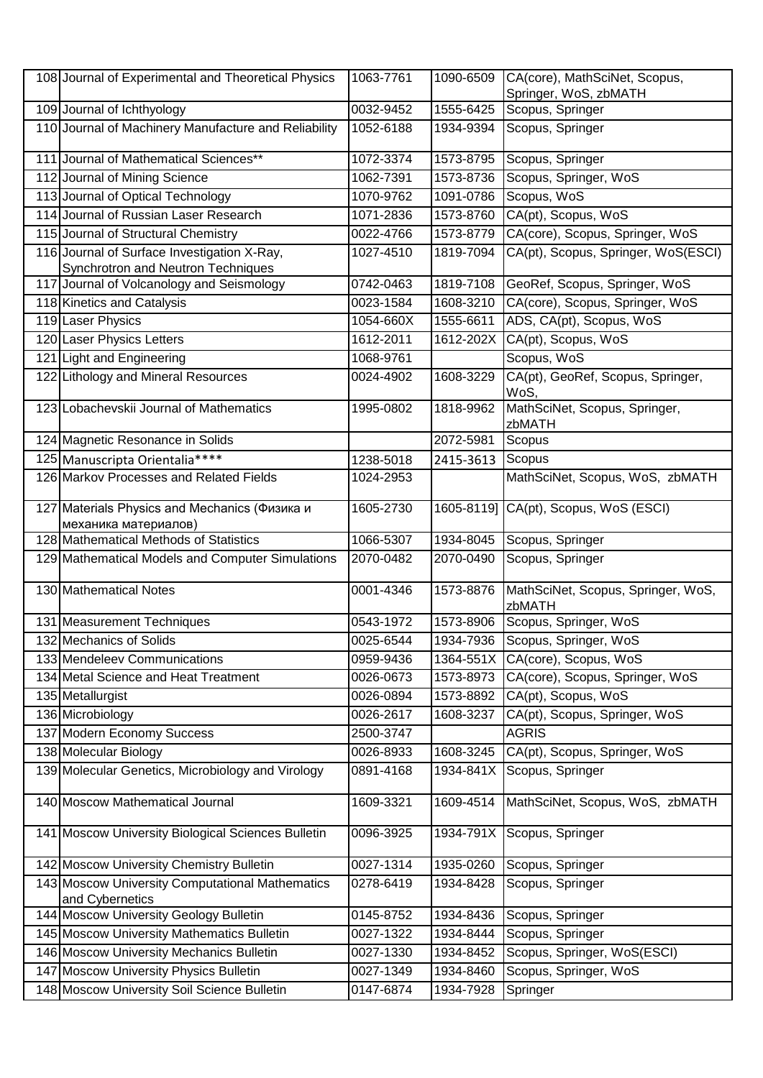| 108 Journal of Experimental and Theoretical Physics                               | 1063-7761 | 1090-6509  | CA(core), MathSciNet, Scopus,                |
|-----------------------------------------------------------------------------------|-----------|------------|----------------------------------------------|
|                                                                                   |           |            | Springer, WoS, zbMATH                        |
| 109 Journal of Ichthyology                                                        | 0032-9452 | 1555-6425  | Scopus, Springer                             |
| 110 Journal of Machinery Manufacture and Reliability                              | 1052-6188 | 1934-9394  | Scopus, Springer                             |
| 111 Journal of Mathematical Sciences**                                            | 1072-3374 | 1573-8795  | Scopus, Springer                             |
| 112 Journal of Mining Science                                                     | 1062-7391 | 1573-8736  | Scopus, Springer, WoS                        |
| 113 Journal of Optical Technology                                                 | 1070-9762 | 1091-0786  | Scopus, WoS                                  |
| 114 Journal of Russian Laser Research                                             | 1071-2836 | 1573-8760  | CA(pt), Scopus, WoS                          |
| 115 Journal of Structural Chemistry                                               | 0022-4766 | 1573-8779  | CA(core), Scopus, Springer, WoS              |
| 116 Journal of Surface Investigation X-Ray,<br>Synchrotron and Neutron Techniques | 1027-4510 | 1819-7094  | CA(pt), Scopus, Springer, WoS(ESCI)          |
| 117 Journal of Volcanology and Seismology                                         | 0742-0463 | 1819-7108  | GeoRef, Scopus, Springer, WoS                |
| 118 Kinetics and Catalysis                                                        | 0023-1584 | 1608-3210  | CA(core), Scopus, Springer, WoS              |
| 119 Laser Physics                                                                 | 1054-660X | 1555-6611  | ADS, CA(pt), Scopus, WoS                     |
| 120 Laser Physics Letters                                                         | 1612-2011 | 1612-202X  | CA(pt), Scopus, WoS                          |
| 121 Light and Engineering                                                         | 1068-9761 |            | Scopus, WoS                                  |
| 122 Lithology and Mineral Resources                                               | 0024-4902 | 1608-3229  | CA(pt), GeoRef, Scopus, Springer,<br>WoS,    |
| 123 Lobachevskii Journal of Mathematics                                           | 1995-0802 | 1818-9962  | MathSciNet, Scopus, Springer,<br>zbMATH      |
| 124 Magnetic Resonance in Solids                                                  |           | 2072-5981  | Scopus                                       |
| 125 Manuscripta Orientalia****                                                    | 1238-5018 | 2415-3613  | Scopus                                       |
| 126 Markov Processes and Related Fields                                           | 1024-2953 |            | MathSciNet, Scopus, WoS, zbMATH              |
| 127 Materials Physics and Mechanics (Физика и<br>механика материалов)             | 1605-2730 | 1605-8119] | CA(pt), Scopus, WoS (ESCI)                   |
| 128 Mathematical Methods of Statistics                                            | 1066-5307 | 1934-8045  | Scopus, Springer                             |
| 129 Mathematical Models and Computer Simulations                                  | 2070-0482 | 2070-0490  | Scopus, Springer                             |
| 130 Mathematical Notes                                                            | 0001-4346 | 1573-8876  | MathSciNet, Scopus, Springer, WoS,<br>zbMATH |
| 131 Measurement Techniques                                                        | 0543-1972 | 1573-8906  | Scopus, Springer, WoS                        |
| 132 Mechanics of Solids                                                           | 0025-6544 |            | 1934-7936 Scopus, Springer, WoS              |
| 133 Mendeleev Communications                                                      | 0959-9436 |            | 1364-551X CA(core), Scopus, WoS              |
| 134 Metal Science and Heat Treatment                                              | 0026-0673 | 1573-8973  | CA(core), Scopus, Springer, WoS              |
| 135 Metallurgist                                                                  | 0026-0894 | 1573-8892  | CA(pt), Scopus, WoS                          |
| 136 Microbiology                                                                  | 0026-2617 | 1608-3237  | CA(pt), Scopus, Springer, WoS                |
| 137 Modern Economy Success                                                        | 2500-3747 |            | <b>AGRIS</b>                                 |
| 138 Molecular Biology                                                             | 0026-8933 | 1608-3245  | CA(pt), Scopus, Springer, WoS                |
| 139 Molecular Genetics, Microbiology and Virology                                 | 0891-4168 | 1934-841X  | Scopus, Springer                             |
| 140 Moscow Mathematical Journal                                                   | 1609-3321 | 1609-4514  | MathSciNet, Scopus, WoS, zbMATH              |
| 141 Moscow University Biological Sciences Bulletin                                | 0096-3925 | 1934-791X  | Scopus, Springer                             |
| 142 Moscow University Chemistry Bulletin                                          | 0027-1314 | 1935-0260  | Scopus, Springer                             |
| 143 Moscow University Computational Mathematics<br>and Cybernetics                | 0278-6419 | 1934-8428  | Scopus, Springer                             |
| 144 Moscow University Geology Bulletin                                            | 0145-8752 | 1934-8436  | Scopus, Springer                             |
| 145 Moscow University Mathematics Bulletin                                        | 0027-1322 | 1934-8444  | Scopus, Springer                             |
| 146 Moscow University Mechanics Bulletin                                          | 0027-1330 | 1934-8452  | Scopus, Springer, WoS(ESCI)                  |
| 147 Moscow University Physics Bulletin                                            | 0027-1349 | 1934-8460  | Scopus, Springer, WoS                        |
| 148 Moscow University Soil Science Bulletin                                       | 0147-6874 | 1934-7928  | Springer                                     |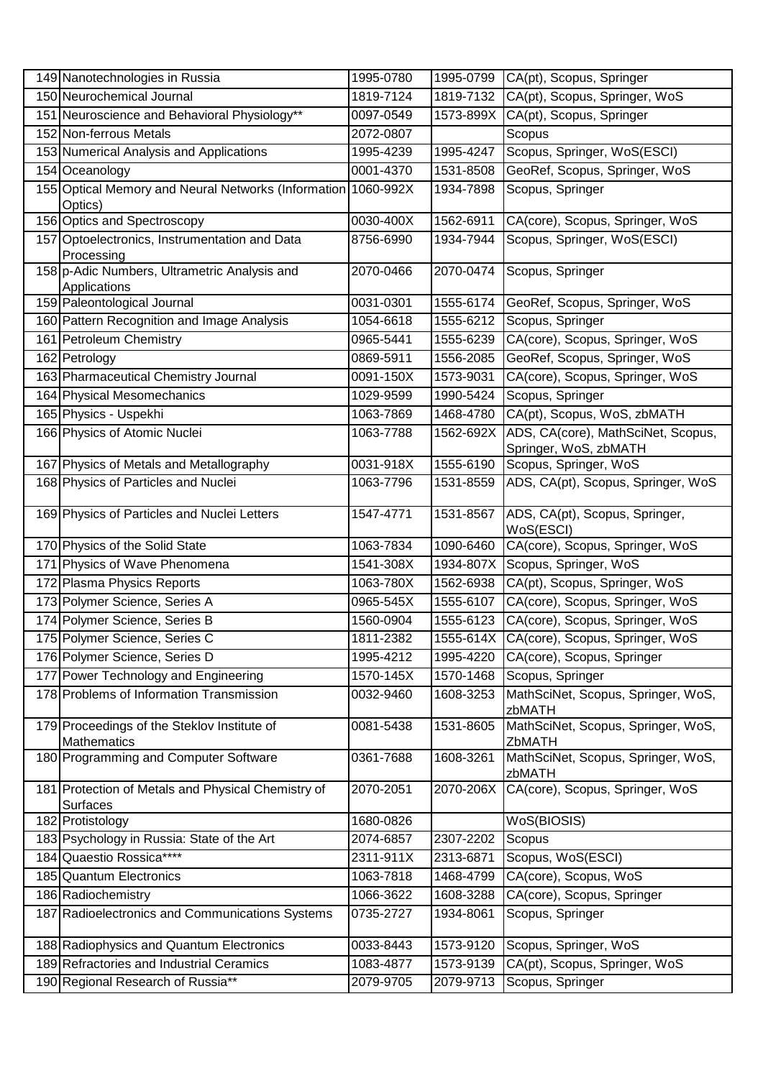| 149 Nanotechnologies in Russia                                           | 1995-0780 | 1995-0799     | CA(pt), Scopus, Springer                                    |
|--------------------------------------------------------------------------|-----------|---------------|-------------------------------------------------------------|
| 150 Neurochemical Journal                                                | 1819-7124 | 1819-7132     | CA(pt), Scopus, Springer, WoS                               |
| 151 Neuroscience and Behavioral Physiology**                             | 0097-0549 | 1573-899X     | CA(pt), Scopus, Springer                                    |
| 152 Non-ferrous Metals                                                   | 2072-0807 |               | Scopus                                                      |
| 153 Numerical Analysis and Applications                                  | 1995-4239 | 1995-4247     | Scopus, Springer, WoS(ESCI)                                 |
| 154 Oceanology                                                           | 0001-4370 | 1531-8508     | GeoRef, Scopus, Springer, WoS                               |
| 155 Optical Memory and Neural Networks (Information 1060-992X<br>Optics) |           | 1934-7898     | Scopus, Springer                                            |
| 156 Optics and Spectroscopy                                              | 0030-400X | 1562-6911     | CA(core), Scopus, Springer, WoS                             |
| 157 Optoelectronics, Instrumentation and Data                            | 8756-6990 | 1934-7944     | Scopus, Springer, WoS(ESCI)                                 |
| Processing                                                               |           |               |                                                             |
| 158 p-Adic Numbers, Ultrametric Analysis and<br>Applications             | 2070-0466 | 2070-0474     | Scopus, Springer                                            |
| 159 Paleontological Journal                                              | 0031-0301 | 1555-6174     | GeoRef, Scopus, Springer, WoS                               |
| 160 Pattern Recognition and Image Analysis                               | 1054-6618 | 1555-6212     | Scopus, Springer                                            |
| 161 Petroleum Chemistry                                                  | 0965-5441 | 1555-6239     | CA(core), Scopus, Springer, WoS                             |
| 162 Petrology                                                            | 0869-5911 | 1556-2085     | GeoRef, Scopus, Springer, WoS                               |
| 163 Pharmaceutical Chemistry Journal                                     | 0091-150X | 1573-9031     | CA(core), Scopus, Springer, WoS                             |
| 164 Physical Mesomechanics                                               | 1029-9599 | 1990-5424     | Scopus, Springer                                            |
| 165 Physics - Uspekhi                                                    | 1063-7869 | 1468-4780     | CA(pt), Scopus, WoS, zbMATH                                 |
| 166 Physics of Atomic Nuclei                                             | 1063-7788 | 1562-692X     | ADS, CA(core), MathSciNet, Scopus,<br>Springer, WoS, zbMATH |
| 167 Physics of Metals and Metallography                                  | 0031-918X | 1555-6190     | Scopus, Springer, WoS                                       |
| 168 Physics of Particles and Nuclei                                      | 1063-7796 | 1531-8559     | ADS, CA(pt), Scopus, Springer, WoS                          |
| 169 Physics of Particles and Nuclei Letters                              | 1547-4771 | 1531-8567     | ADS, CA(pt), Scopus, Springer,<br>WoS(ESCI)                 |
| 170 Physics of the Solid State                                           | 1063-7834 | 1090-6460     | CA(core), Scopus, Springer, WoS                             |
| 171 Physics of Wave Phenomena                                            | 1541-308X | 1934-807X     | Scopus, Springer, WoS                                       |
| 172 Plasma Physics Reports                                               | 1063-780X | 1562-6938     | CA(pt), Scopus, Springer, WoS                               |
| 173 Polymer Science, Series A                                            | 0965-545X | 1555-6107     | CA(core), Scopus, Springer, WoS                             |
| 174 Polymer Science, Series B                                            | 1560-0904 | 1555-6123     | CA(core), Scopus, Springer, WoS                             |
| 175 Polymer Science, Series C                                            | 1811-2382 | $1555 - 614X$ | CA(core), Scopus, Springer, WoS                             |
| 176 Polymer Science, Series D                                            | 1995-4212 | 1995-4220     | CA(core), Scopus, Springer                                  |
| 177 Power Technology and Engineering                                     | 1570-145X | 1570-1468     | Scopus, Springer                                            |
| 178 Problems of Information Transmission                                 | 0032-9460 | 1608-3253     | MathSciNet, Scopus, Springer, WoS,<br>zbMATH                |
| 179 Proceedings of the Steklov Institute of<br>Mathematics               | 0081-5438 | 1531-8605     | MathSciNet, Scopus, Springer, WoS,<br>ZbMATH                |
| 180 Programming and Computer Software                                    | 0361-7688 | 1608-3261     | MathSciNet, Scopus, Springer, WoS,<br>zbMATH                |
| 181 Protection of Metals and Physical Chemistry of<br>Surfaces           | 2070-2051 | 2070-206X     | CA(core), Scopus, Springer, WoS                             |
| 182 Protistology                                                         | 1680-0826 |               | WoS(BIOSIS)                                                 |
| 183 Psychology in Russia: State of the Art                               | 2074-6857 | 2307-2202     | Scopus                                                      |
| 184 Quaestio Rossica****                                                 | 2311-911X | 2313-6871     | Scopus, WoS(ESCI)                                           |
| 185 Quantum Electronics                                                  | 1063-7818 | 1468-4799     | CA(core), Scopus, WoS                                       |
| 186 Radiochemistry                                                       | 1066-3622 | 1608-3288     | CA(core), Scopus, Springer                                  |
| 187 Radioelectronics and Communications Systems                          | 0735-2727 | 1934-8061     | Scopus, Springer                                            |
| 188 Radiophysics and Quantum Electronics                                 | 0033-8443 | 1573-9120     | Scopus, Springer, WoS                                       |
| 189 Refractories and Industrial Ceramics                                 | 1083-4877 | 1573-9139     | CA(pt), Scopus, Springer, WoS                               |
| 190 Regional Research of Russia**                                        | 2079-9705 | 2079-9713     | Scopus, Springer                                            |
|                                                                          |           |               |                                                             |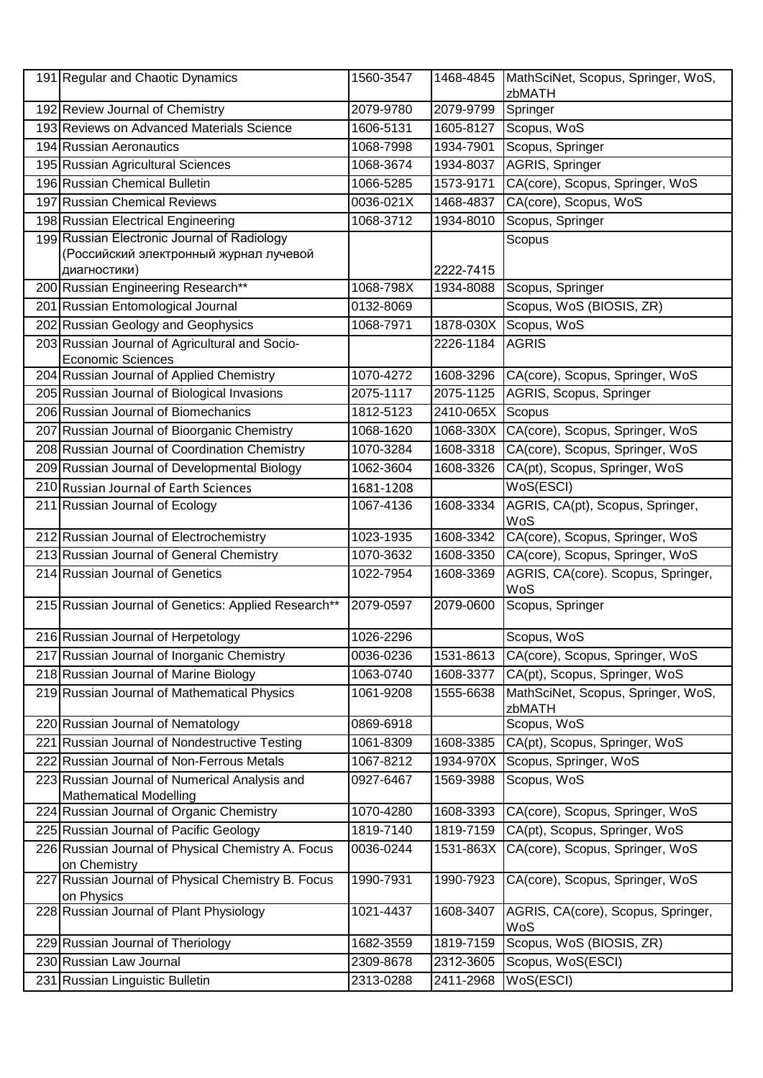|     | 191 Regular and Chaotic Dynamics                                               | 1560-3547 | 1468-4845 | MathSciNet, Scopus, Springer, WoS,<br>zbMATH |
|-----|--------------------------------------------------------------------------------|-----------|-----------|----------------------------------------------|
|     | 192 Review Journal of Chemistry                                                | 2079-9780 | 2079-9799 | Springer                                     |
|     | 193 Reviews on Advanced Materials Science                                      | 1606-5131 | 1605-8127 | Scopus, WoS                                  |
|     | 194 Russian Aeronautics                                                        | 1068-7998 | 1934-7901 | Scopus, Springer                             |
|     | 195 Russian Agricultural Sciences                                              | 1068-3674 | 1934-8037 | AGRIS, Springer                              |
|     | 196 Russian Chemical Bulletin                                                  | 1066-5285 | 1573-9171 | CA(core), Scopus, Springer, WoS              |
|     | 197 Russian Chemical Reviews                                                   | 0036-021X | 1468-4837 | CA(core), Scopus, WoS                        |
|     | 198 Russian Electrical Engineering                                             | 1068-3712 | 1934-8010 | Scopus, Springer                             |
|     | 199 Russian Electronic Journal of Radiology                                    |           |           | Scopus                                       |
|     | (Российский электронный журнал лучевой                                         |           |           |                                              |
|     | диагностики)                                                                   |           | 2222-7415 |                                              |
|     | 200 Russian Engineering Research**                                             | 1068-798X | 1934-8088 | Scopus, Springer                             |
|     | 201 Russian Entomological Journal                                              | 0132-8069 |           | Scopus, WoS (BIOSIS, ZR)                     |
|     | 202 Russian Geology and Geophysics                                             | 1068-7971 |           | 1878-030X Scopus, WoS                        |
|     | 203 Russian Journal of Agricultural and Socio-                                 |           | 2226-1184 | <b>AGRIS</b>                                 |
|     | <b>Economic Sciences</b>                                                       |           |           |                                              |
|     | 204 Russian Journal of Applied Chemistry                                       | 1070-4272 | 1608-3296 | CA(core), Scopus, Springer, WoS              |
|     | 205 Russian Journal of Biological Invasions                                    | 2075-1117 | 2075-1125 | AGRIS, Scopus, Springer                      |
|     | 206 Russian Journal of Biomechanics                                            | 1812-5123 | 2410-065X | Scopus                                       |
|     | 207 Russian Journal of Bioorganic Chemistry                                    | 1068-1620 |           | 1068-330X CA(core), Scopus, Springer, WoS    |
|     | 208 Russian Journal of Coordination Chemistry                                  | 1070-3284 | 1608-3318 | CA(core), Scopus, Springer, WoS              |
|     | 209 Russian Journal of Developmental Biology                                   | 1062-3604 | 1608-3326 | CA(pt), Scopus, Springer, WoS                |
|     | 210 Russian Journal of Earth Sciences                                          | 1681-1208 |           | WoS(ESCI)                                    |
|     | 211 Russian Journal of Ecology                                                 | 1067-4136 | 1608-3334 | AGRIS, CA(pt), Scopus, Springer,<br>WoS      |
|     | 212 Russian Journal of Electrochemistry                                        | 1023-1935 | 1608-3342 | CA(core), Scopus, Springer, WoS              |
|     | 213 Russian Journal of General Chemistry                                       | 1070-3632 | 1608-3350 | CA(core), Scopus, Springer, WoS              |
|     | 214 Russian Journal of Genetics                                                | 1022-7954 | 1608-3369 | AGRIS, CA(core). Scopus, Springer,<br>WoS    |
|     | 215 Russian Journal of Genetics: Applied Research**                            | 2079-0597 | 2079-0600 | Scopus, Springer                             |
|     | 216 Russian Journal of Herpetology                                             | 1026-2296 |           | Scopus, WoS                                  |
|     | 217 Russian Journal of Inorganic Chemistry                                     | 0036-0236 | 1531-8613 | CA(core), Scopus, Springer, WoS              |
|     | 218 Russian Journal of Marine Biology                                          | 1063-0740 | 1608-3377 | CA(pt), Scopus, Springer, WoS                |
|     | 219 Russian Journal of Mathematical Physics                                    | 1061-9208 | 1555-6638 | MathSciNet, Scopus, Springer, WoS,<br>zbMATH |
|     | 220 Russian Journal of Nematology                                              | 0869-6918 |           | Scopus, WoS                                  |
|     | 221 Russian Journal of Nondestructive Testing                                  | 1061-8309 | 1608-3385 | CA(pt), Scopus, Springer, WoS                |
| 222 | Russian Journal of Non-Ferrous Metals                                          | 1067-8212 | 1934-970X | Scopus, Springer, WoS                        |
|     | 223 Russian Journal of Numerical Analysis and<br><b>Mathematical Modelling</b> | 0927-6467 | 1569-3988 | Scopus, WoS                                  |
|     | 224 Russian Journal of Organic Chemistry                                       | 1070-4280 | 1608-3393 | CA(core), Scopus, Springer, WoS              |
|     | 225 Russian Journal of Pacific Geology                                         | 1819-7140 | 1819-7159 | CA(pt), Scopus, Springer, WoS                |
|     | 226 Russian Journal of Physical Chemistry A. Focus<br>on Chemistry             | 0036-0244 | 1531-863X | CA(core), Scopus, Springer, WoS              |
| 227 | Russian Journal of Physical Chemistry B. Focus<br>on Physics                   | 1990-7931 | 1990-7923 | CA(core), Scopus, Springer, WoS              |
|     | 228 Russian Journal of Plant Physiology                                        | 1021-4437 | 1608-3407 | AGRIS, CA(core), Scopus, Springer,<br>WoS    |
|     | 229 Russian Journal of Theriology                                              | 1682-3559 | 1819-7159 | Scopus, WoS (BIOSIS, ZR)                     |
|     | 230 Russian Law Journal                                                        | 2309-8678 | 2312-3605 | Scopus, WoS(ESCI)                            |
|     | 231 Russian Linguistic Bulletin                                                | 2313-0288 | 2411-2968 | WoS(ESCI)                                    |
|     |                                                                                |           |           |                                              |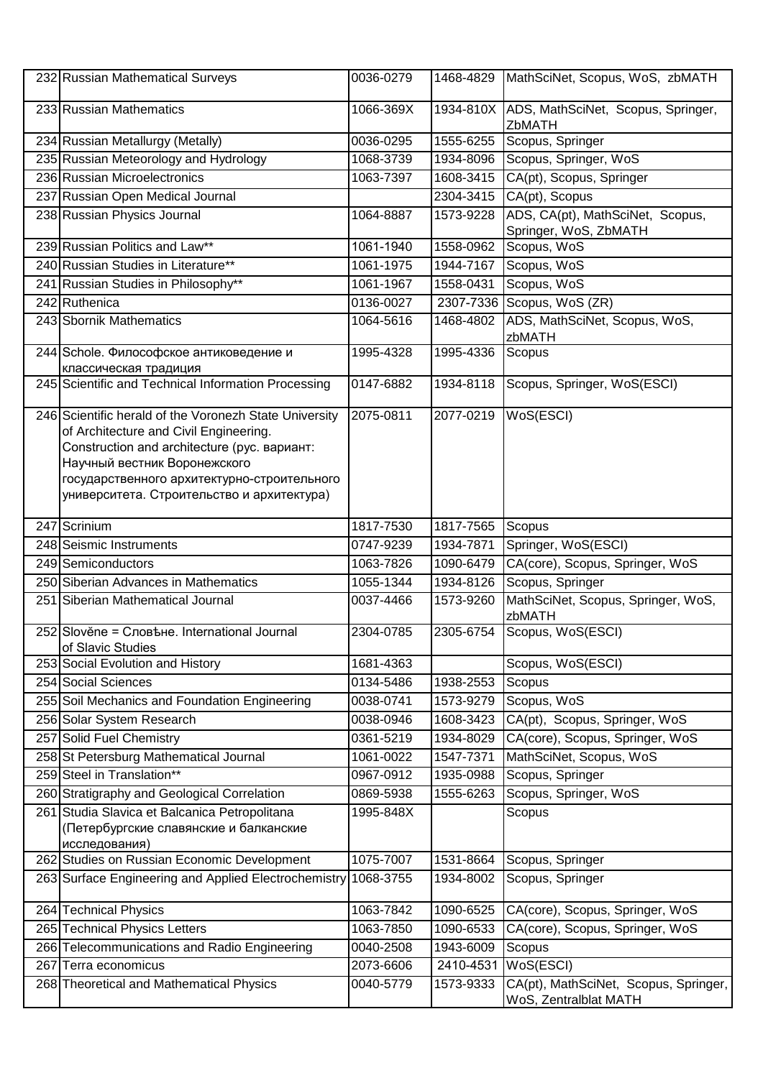|     | 232 Russian Mathematical Surveys                                                                                                                                                                                                                                              | 0036-0279 | 1468-4829 | MathSciNet, Scopus, WoS, zbMATH                                |
|-----|-------------------------------------------------------------------------------------------------------------------------------------------------------------------------------------------------------------------------------------------------------------------------------|-----------|-----------|----------------------------------------------------------------|
|     | 233 Russian Mathematics                                                                                                                                                                                                                                                       | 1066-369X | 1934-810X | ADS, MathSciNet, Scopus, Springer,<br>ZbMATH                   |
|     | 234 Russian Metallurgy (Metally)                                                                                                                                                                                                                                              | 0036-0295 | 1555-6255 | Scopus, Springer                                               |
|     | 235 Russian Meteorology and Hydrology                                                                                                                                                                                                                                         | 1068-3739 | 1934-8096 | Scopus, Springer, WoS                                          |
|     | 236 Russian Microelectronics                                                                                                                                                                                                                                                  | 1063-7397 | 1608-3415 | CA(pt), Scopus, Springer                                       |
|     | 237 Russian Open Medical Journal                                                                                                                                                                                                                                              |           | 2304-3415 | CA(pt), Scopus                                                 |
|     | 238 Russian Physics Journal                                                                                                                                                                                                                                                   | 1064-8887 | 1573-9228 | ADS, CA(pt), MathSciNet, Scopus,<br>Springer, WoS, ZbMATH      |
|     | 239 Russian Politics and Law**                                                                                                                                                                                                                                                | 1061-1940 | 1558-0962 | Scopus, WoS                                                    |
|     | 240 Russian Studies in Literature**                                                                                                                                                                                                                                           | 1061-1975 | 1944-7167 | Scopus, WoS                                                    |
|     | 241 Russian Studies in Philosophy**                                                                                                                                                                                                                                           | 1061-1967 | 1558-0431 | Scopus, WoS                                                    |
|     | 242 Ruthenica                                                                                                                                                                                                                                                                 | 0136-0027 | 2307-7336 | Scopus, WoS (ZR)                                               |
|     | 243 Sbornik Mathematics                                                                                                                                                                                                                                                       | 1064-5616 | 1468-4802 | ADS, MathSciNet, Scopus, WoS,<br>zbMATH                        |
|     | 244 Schole. Философское антиковедение и<br>классическая традиция                                                                                                                                                                                                              | 1995-4328 | 1995-4336 | Scopus                                                         |
|     | 245 Scientific and Technical Information Processing                                                                                                                                                                                                                           | 0147-6882 | 1934-8118 | Scopus, Springer, WoS(ESCI)                                    |
|     | 246 Scientific herald of the Voronezh State University<br>of Architecture and Civil Engineering.<br>Construction and architecture (рус. вариант:<br>Научный вестник Воронежского<br>государственного архитектурно-строительного<br>университета. Строительство и архитектура) | 2075-0811 | 2077-0219 | WoS(ESCI)                                                      |
|     | 247 Scrinium                                                                                                                                                                                                                                                                  | 1817-7530 | 1817-7565 | Scopus                                                         |
|     | 248 Seismic Instruments                                                                                                                                                                                                                                                       | 0747-9239 | 1934-7871 | Springer, WoS(ESCI)                                            |
|     | 249 Semiconductors                                                                                                                                                                                                                                                            | 1063-7826 | 1090-6479 | CA(core), Scopus, Springer, WoS                                |
|     | 250 Siberian Advances in Mathematics                                                                                                                                                                                                                                          | 1055-1344 | 1934-8126 | Scopus, Springer                                               |
|     | 251 Siberian Mathematical Journal                                                                                                                                                                                                                                             | 0037-4466 | 1573-9260 | MathSciNet, Scopus, Springer, WoS,<br>zbMATH                   |
|     | 252 Slověne = Словъне. International Journal<br>of Slavic Studies                                                                                                                                                                                                             | 2304-0785 | 2305-6754 | Scopus, WoS(ESCI)                                              |
|     | 253 Social Evolution and History                                                                                                                                                                                                                                              | 1681-4363 |           | Scopus, WoS(ESCI)                                              |
|     | 254 Social Sciences                                                                                                                                                                                                                                                           | 0134-5486 | 1938-2553 | Scopus                                                         |
|     | 255 Soil Mechanics and Foundation Engineering                                                                                                                                                                                                                                 | 0038-0741 | 1573-9279 | Scopus, WoS                                                    |
|     | 256 Solar System Research                                                                                                                                                                                                                                                     | 0038-0946 | 1608-3423 | CA(pt), Scopus, Springer, WoS                                  |
|     | 257 Solid Fuel Chemistry                                                                                                                                                                                                                                                      | 0361-5219 | 1934-8029 | CA(core), Scopus, Springer, WoS                                |
|     | 258 St Petersburg Mathematical Journal                                                                                                                                                                                                                                        | 1061-0022 | 1547-7371 | MathSciNet, Scopus, WoS                                        |
|     | 259 Steel in Translation**                                                                                                                                                                                                                                                    | 0967-0912 | 1935-0988 | Scopus, Springer                                               |
|     | 260 Stratigraphy and Geological Correlation                                                                                                                                                                                                                                   | 0869-5938 | 1555-6263 | Scopus, Springer, WoS                                          |
|     | 261 Studia Slavica et Balcanica Petropolitana<br>(Петербургские славянские и балканские<br>исследования)                                                                                                                                                                      | 1995-848X |           | Scopus                                                         |
|     | 262 Studies on Russian Economic Development                                                                                                                                                                                                                                   | 1075-7007 | 1531-8664 | Scopus, Springer                                               |
|     | 263 Surface Engineering and Applied Electrochemistry                                                                                                                                                                                                                          | 1068-3755 | 1934-8002 | Scopus, Springer                                               |
|     | 264 Technical Physics                                                                                                                                                                                                                                                         | 1063-7842 | 1090-6525 | CA(core), Scopus, Springer, WoS                                |
|     | 265 Technical Physics Letters                                                                                                                                                                                                                                                 | 1063-7850 | 1090-6533 | CA(core), Scopus, Springer, WoS                                |
|     | 266 Telecommunications and Radio Engineering                                                                                                                                                                                                                                  | 0040-2508 | 1943-6009 | Scopus                                                         |
| 267 | Terra economicus                                                                                                                                                                                                                                                              | 2073-6606 | 2410-4531 | WoS(ESCI)                                                      |
|     | 268 Theoretical and Mathematical Physics                                                                                                                                                                                                                                      | 0040-5779 | 1573-9333 | CA(pt), MathSciNet, Scopus, Springer,<br>WoS, Zentralblat MATH |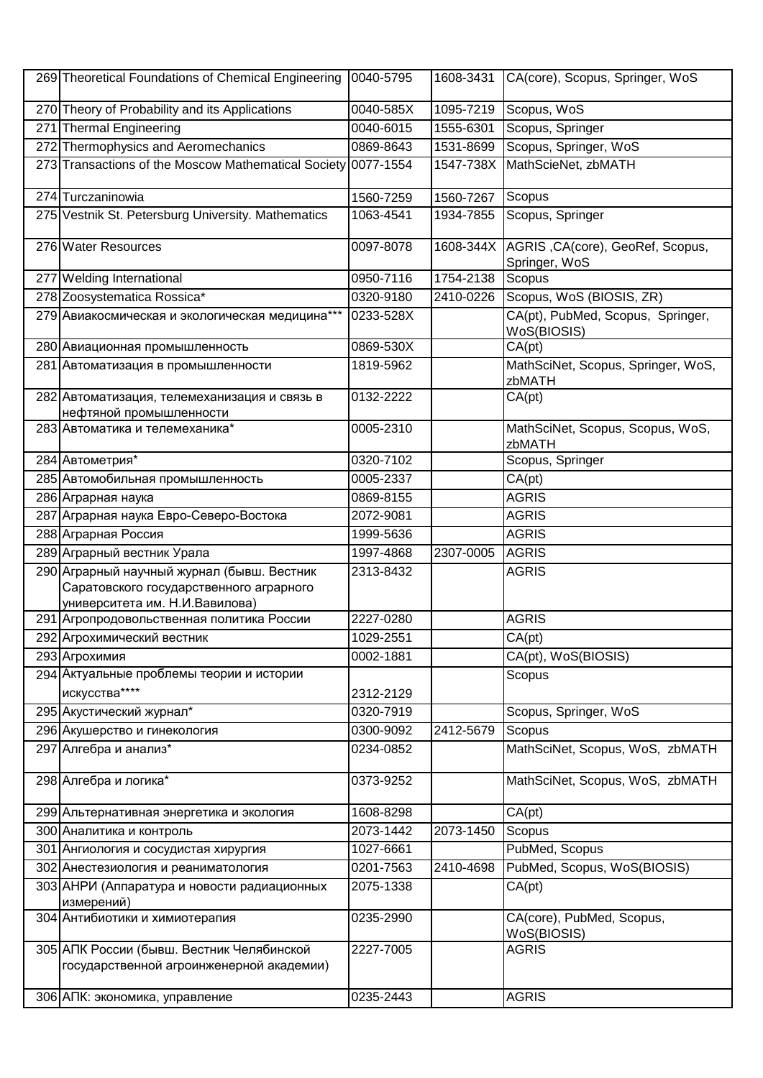|     | 269 Theoretical Foundations of Chemical Engineering                                   | 0040-5795 | 1608-3431 | CA(core), Scopus, Springer, WoS                   |
|-----|---------------------------------------------------------------------------------------|-----------|-----------|---------------------------------------------------|
|     | 270 Theory of Probability and its Applications                                        | 0040-585X | 1095-7219 | Scopus, WoS                                       |
| 271 | <b>Thermal Engineering</b>                                                            | 0040-6015 | 1555-6301 | Scopus, Springer                                  |
|     | 272 Thermophysics and Aeromechanics                                                   | 0869-8643 | 1531-8699 | Scopus, Springer, WoS                             |
|     | 273 Transactions of the Moscow Mathematical Society 0077-1554                         |           | 1547-738X | MathScieNet, zbMATH                               |
|     | 274 Turczaninowia                                                                     | 1560-7259 | 1560-7267 | Scopus                                            |
|     | 275 Vestnik St. Petersburg University. Mathematics                                    | 1063-4541 | 1934-7855 | Scopus, Springer                                  |
|     | 276 Water Resources                                                                   | 0097-8078 | 1608-344X | AGRIS, CA(core), GeoRef, Scopus,<br>Springer, WoS |
|     | 277 Welding International                                                             | 0950-7116 | 1754-2138 | Scopus                                            |
|     | 278 Zoosystematica Rossica*                                                           | 0320-9180 | 2410-0226 | Scopus, WoS (BIOSIS, ZR)                          |
|     | 279 Авиакосмическая и экологическая медицина***                                       | 0233-528X |           | CA(pt), PubMed, Scopus, Springer,<br>WoS(BIOSIS)  |
|     | 280 Авиационная промышленность                                                        | 0869-530X |           | CA(pt)                                            |
|     | 281 Автоматизация в промышленности                                                    | 1819-5962 |           | MathSciNet, Scopus, Springer, WoS,<br>zbMATH      |
|     | 282 Автоматизация, телемеханизация и связь в<br>нефтяной промышленности               | 0132-2222 |           | CA(pt)                                            |
|     | 283 Автоматика и телемеханика*                                                        | 0005-2310 |           | MathSciNet, Scopus, Scopus, WoS,<br>zbMATH        |
|     | 284 Автометрия*                                                                       | 0320-7102 |           | Scopus, Springer                                  |
|     | 285 Автомобильная промышленность                                                      | 0005-2337 |           | CA(pt)                                            |
|     | 286 Аграрная наука                                                                    | 0869-8155 |           | <b>AGRIS</b>                                      |
|     | 287 Аграрная наука Евро-Северо-Востока                                                | 2072-9081 |           | <b>AGRIS</b>                                      |
|     | 288 Аграрная Россия                                                                   | 1999-5636 |           | <b>AGRIS</b>                                      |
|     | 289 Аграрный вестник Урала                                                            | 1997-4868 | 2307-0005 | <b>AGRIS</b>                                      |
|     | 290 Аграрный научный журнал (бывш. Вестник<br>Саратовского государственного аграрного | 2313-8432 |           | <b>AGRIS</b>                                      |
|     | университета им. Н.И.Вавилова)                                                        | 2227-0280 |           | <b>AGRIS</b>                                      |
|     | 291 Агропродовольственная политика России                                             |           |           |                                                   |
|     | 292 Агрохимический вестник                                                            | 1029-2551 |           | $\overline{CA(pt)}$                               |
|     | 293 Агрохимия                                                                         | 0002-1881 |           | CA(pt), WoS(BIOSIS)                               |
|     | 294 Актуальные проблемы теории и истории<br>искусства****                             | 2312-2129 |           | Scopus                                            |
|     | 295 Акустический журнал*                                                              | 0320-7919 |           | Scopus, Springer, WoS                             |
|     | 296 Акушерство и гинекология                                                          | 0300-9092 | 2412-5679 | Scopus                                            |
|     | 297 Алгебра и анализ*                                                                 | 0234-0852 |           | MathSciNet, Scopus, WoS, zbMATH                   |
|     | 298 Алгебра и логика*                                                                 | 0373-9252 |           | MathSciNet, Scopus, WoS, zbMATH                   |
|     | 299 Альтернативная энергетика и экология                                              | 1608-8298 |           | CA(pt)                                            |
|     | 300 Аналитика и контроль                                                              | 2073-1442 | 2073-1450 | Scopus                                            |
|     | 301 Ангиология и сосудистая хирургия                                                  | 1027-6661 |           | PubMed, Scopus                                    |
|     | 302 Анестезиология и реаниматология                                                   | 0201-7563 | 2410-4698 | PubMed, Scopus, WoS(BIOSIS)                       |
|     | 303 АНРИ (Аппаратура и новости радиационных<br>измерений)                             | 2075-1338 |           | CA(pt)                                            |
|     | 304 Антибиотики и химиотерапия                                                        | 0235-2990 |           | CA(core), PubMed, Scopus,<br>WoS(BIOSIS)          |
|     | 305 АПК России (бывш. Вестник Челябинской<br>государственной агроинженерной академии) | 2227-7005 |           | <b>AGRIS</b>                                      |
|     | 306 АПК: экономика, управление                                                        | 0235-2443 |           | <b>AGRIS</b>                                      |
|     |                                                                                       |           |           |                                                   |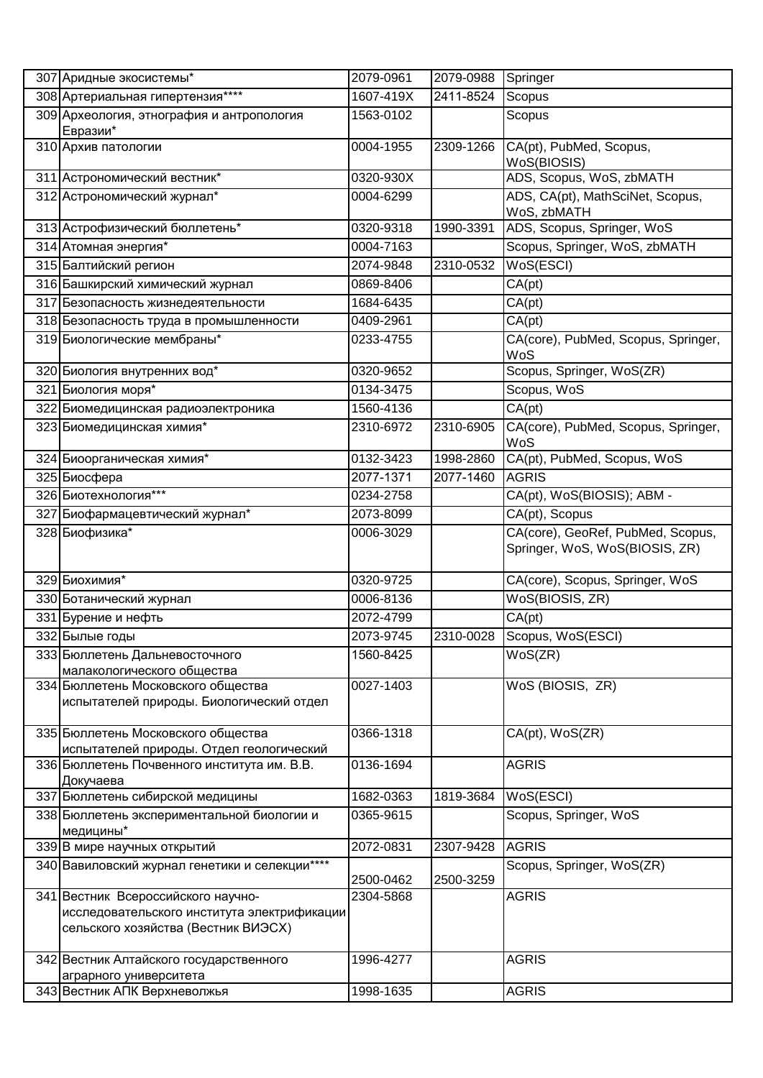| 307 Аридные экосистемы*                                                                                                  | 2079-0961 | 2079-0988 | Springer                                                            |
|--------------------------------------------------------------------------------------------------------------------------|-----------|-----------|---------------------------------------------------------------------|
| 308 Артериальная гипертензия****                                                                                         | 1607-419X | 2411-8524 | Scopus                                                              |
| 309 Археология, этнография и антропология<br>Евразии*                                                                    | 1563-0102 |           | Scopus                                                              |
| 310 Архив патологии                                                                                                      | 0004-1955 | 2309-1266 | CA(pt), PubMed, Scopus,<br>WoS(BIOSIS)                              |
| 311 Астрономический вестник*                                                                                             | 0320-930X |           | ADS, Scopus, WoS, zbMATH                                            |
| 312 Астрономический журнал*                                                                                              | 0004-6299 |           | ADS, CA(pt), MathSciNet, Scopus,<br>WoS, zbMATH                     |
| 313 Астрофизический бюллетень*                                                                                           | 0320-9318 | 1990-3391 | ADS, Scopus, Springer, WoS                                          |
| 314 Атомная энергия*                                                                                                     | 0004-7163 |           | Scopus, Springer, WoS, zbMATH                                       |
| 315 Балтийский регион                                                                                                    | 2074-9848 | 2310-0532 | WoS(ESCI)                                                           |
| 316 Башкирский химический журнал                                                                                         | 0869-8406 |           | CA(pt)                                                              |
| 317 Безопасность жизнедеятельности                                                                                       | 1684-6435 |           | CA(pt)                                                              |
| 318 Безопасность труда в промышленности                                                                                  | 0409-2961 |           | CA(pt)                                                              |
| 319 Биологические мембраны*                                                                                              | 0233-4755 |           | CA(core), PubMed, Scopus, Springer,<br>WoS                          |
| 320 Биология внутренних вод*                                                                                             | 0320-9652 |           | Scopus, Springer, WoS(ZR)                                           |
| 321 Биология моря*                                                                                                       | 0134-3475 |           | Scopus, WoS                                                         |
| 322 Биомедицинская радиоэлектроника                                                                                      | 1560-4136 |           | CA(pt)                                                              |
| 323 Биомедицинская химия*                                                                                                | 2310-6972 | 2310-6905 | CA(core), PubMed, Scopus, Springer,<br>WoS                          |
| 324 Биоорганическая химия*                                                                                               | 0132-3423 | 1998-2860 | CA(pt), PubMed, Scopus, WoS                                         |
| 325 Биосфера                                                                                                             | 2077-1371 | 2077-1460 | <b>AGRIS</b>                                                        |
| 326 Биотехнология***                                                                                                     | 0234-2758 |           | CA(pt), WoS(BIOSIS); ABM -                                          |
| 327 Биофармацевтический журнал*                                                                                          | 2073-8099 |           | CA(pt), Scopus                                                      |
| 328 Биофизика*                                                                                                           | 0006-3029 |           | CA(core), GeoRef, PubMed, Scopus,<br>Springer, WoS, WoS(BIOSIS, ZR) |
| 329 Биохимия*                                                                                                            | 0320-9725 |           | CA(core), Scopus, Springer, WoS                                     |
| 330 Ботанический журнал                                                                                                  | 0006-8136 |           | WoS(BIOSIS, ZR)                                                     |
| 331 Бурение и нефть                                                                                                      | 2072-4799 |           | CA(pt)                                                              |
| 332 Былые годы                                                                                                           | 2073-9745 |           | 2310-0028 Scopus, WoS(ESCI)                                         |
| 333 Бюллетень Дальневосточного                                                                                           | 1560-8425 |           | WoS(ZR)                                                             |
| малакологического общества                                                                                               |           |           |                                                                     |
| 334 Бюллетень Московского общества<br>испытателей природы. Биологический отдел                                           | 0027-1403 |           | WoS (BIOSIS, ZR)                                                    |
| 335 Бюллетень Московского общества<br>испытателей природы. Отдел геологический                                           | 0366-1318 |           | CA(pt), WoS(ZR)                                                     |
| 336 Бюллетень Почвенного института им. В.В.<br>Докучаева                                                                 | 0136-1694 |           | <b>AGRIS</b>                                                        |
| 337 Бюллетень сибирской медицины                                                                                         | 1682-0363 | 1819-3684 | WoS(ESCI)                                                           |
| 338 Бюллетень экспериментальной биологии и<br>медицины*                                                                  | 0365-9615 |           | Scopus, Springer, WoS                                               |
| 339 В мире научных открытий                                                                                              | 2072-0831 | 2307-9428 | <b>AGRIS</b>                                                        |
| 340 Вавиловский журнал генетики и селекции****                                                                           | 2500-0462 | 2500-3259 | Scopus, Springer, WoS(ZR)                                           |
| 341 Вестник Всероссийского научно-<br>исследовательского института электрификации<br>сельского хозяйства (Вестник ВИЭСХ) | 2304-5868 |           | <b>AGRIS</b>                                                        |
| 342 Вестник Алтайского государственного<br>аграрного университета                                                        | 1996-4277 |           | <b>AGRIS</b>                                                        |
| 343 Вестник АПК Верхневолжья                                                                                             | 1998-1635 |           | <b>AGRIS</b>                                                        |
|                                                                                                                          |           |           |                                                                     |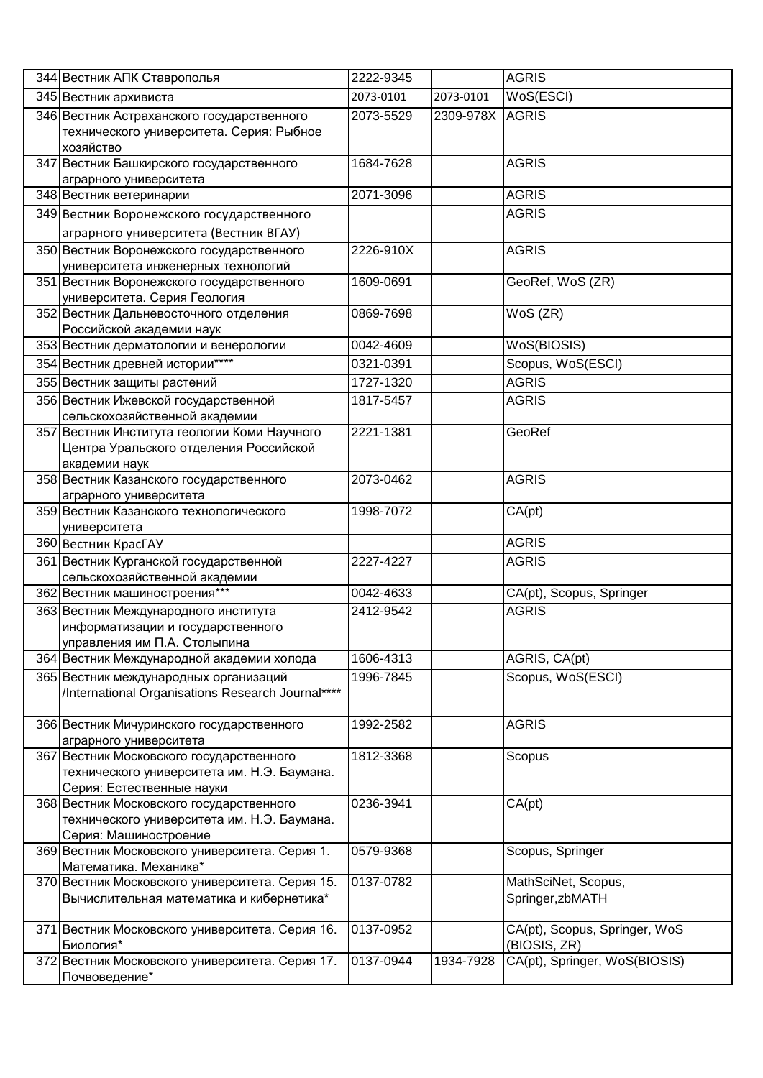| 344 Вестник АПК Ставрополья                                                                | 2222-9345 |           | <b>AGRIS</b>                                  |
|--------------------------------------------------------------------------------------------|-----------|-----------|-----------------------------------------------|
| 345 Вестник архивиста                                                                      | 2073-0101 | 2073-0101 | WoS(ESCI)                                     |
| 346 Вестник Астраханского государственного                                                 | 2073-5529 | 2309-978X | <b>AGRIS</b>                                  |
| технического университета. Серия: Рыбное                                                   |           |           |                                               |
| хозяйство                                                                                  |           |           |                                               |
| 347 Вестник Башкирского государственного                                                   | 1684-7628 |           | <b>AGRIS</b>                                  |
| аграрного университета                                                                     |           |           |                                               |
| 348 Вестник ветеринарии                                                                    | 2071-3096 |           | <b>AGRIS</b>                                  |
| 349 Вестник Воронежского государственного                                                  |           |           | <b>AGRIS</b>                                  |
| аграрного университета (Вестник ВГАУ)                                                      |           |           |                                               |
| 350 Вестник Воронежского государственного                                                  | 2226-910X |           | <b>AGRIS</b>                                  |
| университета инженерных технологий                                                         |           |           |                                               |
| 351 Вестник Воронежского государственного                                                  | 1609-0691 |           | GeoRef, WoS (ZR)                              |
| университета. Серия Геология                                                               |           |           |                                               |
| 352 Вестник Дальневосточного отделения                                                     | 0869-7698 |           | WoS (ZR)                                      |
| Российской академии наук                                                                   |           |           |                                               |
| 353 Вестник дерматологии и венерологии                                                     | 0042-4609 |           | WoS(BIOSIS)                                   |
| 354 Вестник древней истории****                                                            | 0321-0391 |           | Scopus, WoS(ESCI)                             |
| 355 Вестник защиты растений                                                                | 1727-1320 |           | <b>AGRIS</b>                                  |
| 356 Вестник Ижевской государственной                                                       | 1817-5457 |           | <b>AGRIS</b>                                  |
| сельскохозяйственной академии                                                              |           |           |                                               |
| 357 Вестник Института геологии Коми Научного                                               | 2221-1381 |           | GeoRef                                        |
| Центра Уральского отделения Российской                                                     |           |           |                                               |
| академии наук                                                                              |           |           |                                               |
| 358 Вестник Казанского государственного                                                    | 2073-0462 |           | <b>AGRIS</b>                                  |
| аграрного университета                                                                     |           |           |                                               |
| 359 Вестник Казанского технологического                                                    | 1998-7072 |           | CA(pt)                                        |
| университета                                                                               |           |           |                                               |
| 360 Вестник КрасГАУ                                                                        |           |           | <b>AGRIS</b>                                  |
| 361 Вестник Курганской государственной                                                     | 2227-4227 |           | <b>AGRIS</b>                                  |
| сельскохозяйственной академии                                                              |           |           |                                               |
| 362 Вестник машиностроения***                                                              | 0042-4633 |           | CA(pt), Scopus, Springer                      |
| 363 Вестник Международного института                                                       | 2412-9542 |           | <b>AGRIS</b>                                  |
| информатизации и государственного<br>управления им П.А. Столыпина                          |           |           |                                               |
| 364 Вестник Международной академии холода                                                  | 1606-4313 |           | AGRIS, CA(pt)                                 |
|                                                                                            |           |           |                                               |
| 365 Вестник международных организаций<br>/International Organisations Research Journal**** | 1996-7845 |           | Scopus, WoS(ESCI)                             |
|                                                                                            |           |           |                                               |
| 366 Вестник Мичуринского государственного                                                  | 1992-2582 |           | <b>AGRIS</b>                                  |
| аграрного университета                                                                     |           |           |                                               |
| 367 Вестник Московского государственного                                                   | 1812-3368 |           | Scopus                                        |
| технического университета им. Н.Э. Баумана.                                                |           |           |                                               |
| Серия: Естественные науки                                                                  |           |           |                                               |
| 368 Вестник Московского государственного                                                   | 0236-3941 |           | CA(pt)                                        |
| технического университета им. Н.Э. Баумана.                                                |           |           |                                               |
| Серия: Машиностроение                                                                      |           |           |                                               |
| 369 Вестник Московского университета. Серия 1.                                             | 0579-9368 |           | Scopus, Springer                              |
| Математика. Механика*                                                                      |           |           |                                               |
| 370 Вестник Московского университета. Серия 15.                                            | 0137-0782 |           | MathSciNet, Scopus,                           |
| Вычислительная математика и кибернетика*                                                   |           |           | Springer, zbMATH                              |
|                                                                                            |           |           |                                               |
| 371 Вестник Московского университета. Серия 16.<br>Биология*                               | 0137-0952 |           | CA(pt), Scopus, Springer, WoS<br>(BIOSIS, ZR) |
| 372 Вестник Московского университета. Серия 17.                                            | 0137-0944 | 1934-7928 | CA(pt), Springer, WoS(BIOSIS)                 |
| Почвоведение*                                                                              |           |           |                                               |
|                                                                                            |           |           |                                               |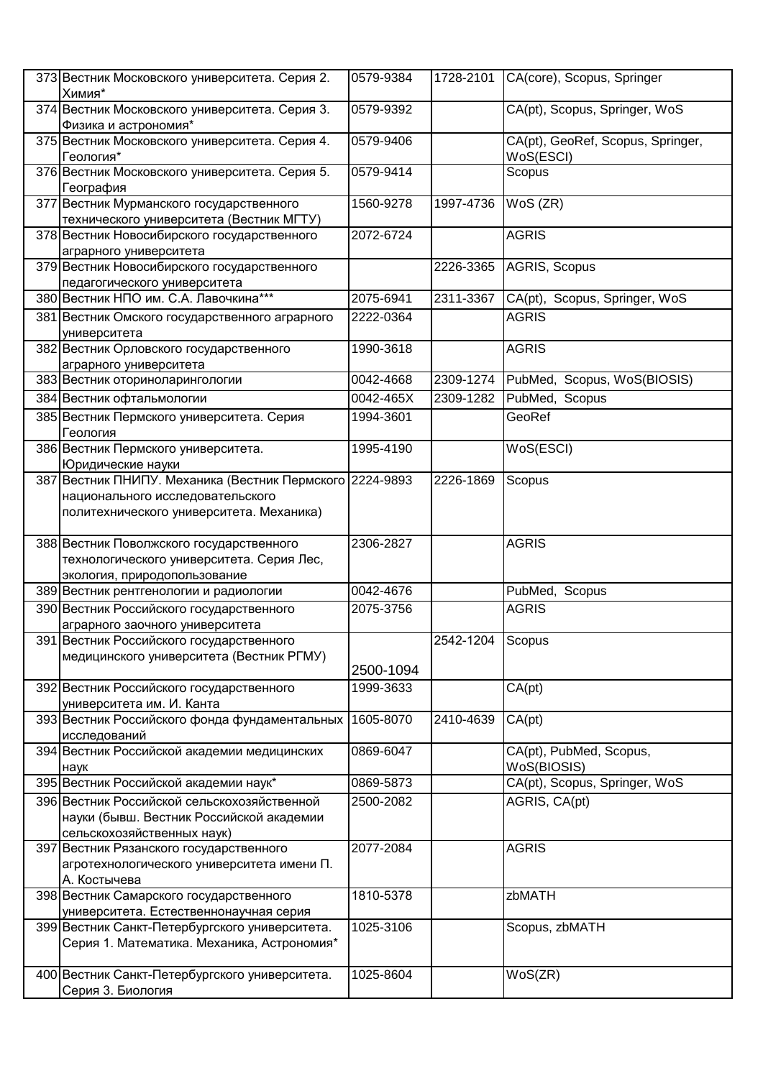| 373 Вестник Московского университета. Серия 2.<br>Химия*                             | 0579-9384 | 1728-2101        | CA(core), Scopus, Springer                     |
|--------------------------------------------------------------------------------------|-----------|------------------|------------------------------------------------|
| 374 Вестник Московского университета. Серия 3.<br>Физика и астрономия*               | 0579-9392 |                  | CA(pt), Scopus, Springer, WoS                  |
| 375 Вестник Московского университета. Серия 4.<br>Геология*                          | 0579-9406 |                  | CA(pt), GeoRef, Scopus, Springer,<br>WoS(ESCI) |
| 376 Вестник Московского университета. Серия 5.<br>География                          | 0579-9414 |                  | Scopus                                         |
| 377 Вестник Мурманского государственного                                             | 1560-9278 | 1997-4736        | $WoS$ ( $ZR$ )                                 |
| технического университета (Вестник МГТУ)                                             |           |                  |                                                |
| 378 Вестник Новосибирского государственного<br>аграрного университета                | 2072-6724 |                  | <b>AGRIS</b>                                   |
| 379 Вестник Новосибирского государственного<br>педагогического университета          |           | 2226-3365        | AGRIS, Scopus                                  |
| 380 Вестник НПО им. С.А. Лавочкина***                                                | 2075-6941 | 2311-3367        | CA(pt), Scopus, Springer, WoS                  |
| 381 Вестник Омского государственного аграрного<br>университета                       | 2222-0364 |                  | <b>AGRIS</b>                                   |
| 382 Вестник Орловского государственного                                              | 1990-3618 |                  | <b>AGRIS</b>                                   |
| аграрного университета                                                               |           |                  |                                                |
| 383 Вестник оториноларингологии                                                      | 0042-4668 | 2309-1274        | PubMed, Scopus, WoS(BIOSIS)                    |
| 384 Вестник офтальмологии                                                            | 0042-465X | 2309-1282        | PubMed, Scopus                                 |
| 385 Вестник Пермского университета. Серия<br>Геология                                | 1994-3601 |                  | GeoRef                                         |
| 386 Вестник Пермского университета.<br>Юридические науки                             | 1995-4190 |                  | WoS(ESCI)                                      |
| 387 Вестник ПНИПУ. Механика (Вестник Пермского 2224-9893                             |           | 2226-1869        | Scopus                                         |
| национального исследовательского                                                     |           |                  |                                                |
| политехнического университета. Механика)                                             |           |                  |                                                |
|                                                                                      |           |                  |                                                |
| 388 Вестник Поволжского государственного                                             | 2306-2827 |                  | <b>AGRIS</b>                                   |
| технологического университета. Серия Лес,                                            |           |                  |                                                |
| экология, природопользование                                                         |           |                  |                                                |
|                                                                                      | 0042-4676 |                  | PubMed, Scopus                                 |
| 389 Вестник рентгенологии и радиологии                                               |           |                  |                                                |
| 390 Вестник Российского государственного                                             | 2075-3756 |                  | <b>AGRIS</b>                                   |
|                                                                                      |           |                  |                                                |
| аграрного заочного университета                                                      |           | 2542-1204 Scopus |                                                |
| 391 Вестник Российского государственного<br>медицинского университета (Вестник РГМУ) |           |                  |                                                |
|                                                                                      | 2500-1094 |                  |                                                |
| 392 Вестник Российского государственного                                             | 1999-3633 |                  | CA(pt)                                         |
| университета им. И. Канта                                                            |           |                  |                                                |
| 393 Вестник Российского фонда фундаментальных                                        | 1605-8070 | 2410-4639        | CA(pt)                                         |
| исследований                                                                         |           |                  |                                                |
| 394 Вестник Российской академии медицинских                                          | 0869-6047 |                  | CA(pt), PubMed, Scopus,<br>WoS(BIOSIS)         |
| наук<br>395 Вестник Российской академии наук*                                        | 0869-5873 |                  | CA(pt), Scopus, Springer, WoS                  |
| 396 Вестник Российской сельскохозяйственной                                          | 2500-2082 |                  | AGRIS, CA(pt)                                  |
| науки (бывш. Вестник Российской академии                                             |           |                  |                                                |
| сельскохозяйственных наук)                                                           |           |                  |                                                |
| 397 Вестник Рязанского государственного                                              | 2077-2084 |                  | <b>AGRIS</b>                                   |
| агротехнологического университета имени П.                                           |           |                  |                                                |
| А. Костычева                                                                         |           |                  |                                                |
| 398 Вестник Самарского государственного                                              | 1810-5378 |                  | zbMATH                                         |
| университета. Естественнонаучная серия                                               |           |                  |                                                |
| 399 Вестник Санкт-Петербургского университета.                                       | 1025-3106 |                  | Scopus, zbMATH                                 |
| Серия 1. Математика. Механика, Астрономия*                                           |           |                  |                                                |
|                                                                                      |           |                  |                                                |
| 400 Вестник Санкт-Петербургского университета.<br>Серия 3. Биология                  | 1025-8604 |                  | WoS(ZR)                                        |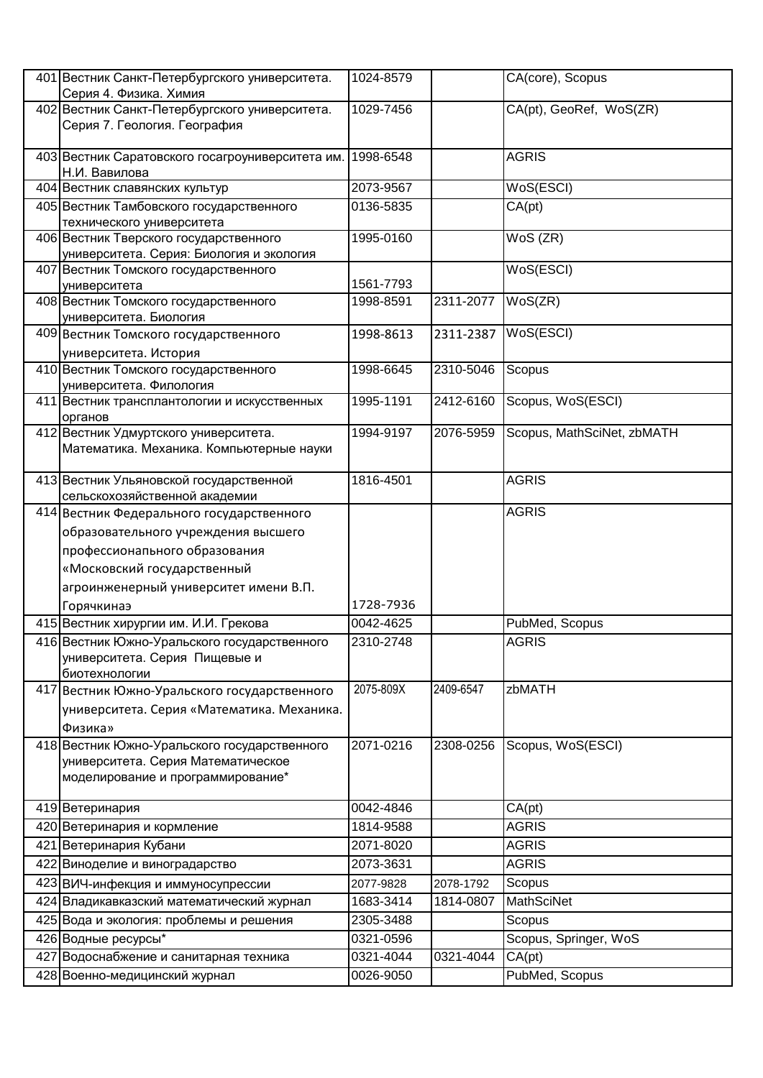|     | 401 Вестник Санкт-Петербургского университета.<br>Серия 4. Физика. Химия   | 1024-8579 |           | CA(core), Scopus           |
|-----|----------------------------------------------------------------------------|-----------|-----------|----------------------------|
|     | 402 Вестник Санкт-Петербургского университета.                             | 1029-7456 |           | CA(pt), GeoRef, WoS(ZR)    |
|     | Серия 7. Геология. География                                               |           |           |                            |
|     |                                                                            |           |           |                            |
|     | 403 Вестник Саратовского госагроуниверситета им.                           | 1998-6548 |           | <b>AGRIS</b>               |
|     | Н.И. Вавилова                                                              |           |           |                            |
|     | 404 Вестник славянских культур                                             | 2073-9567 |           | WoS(ESCI)                  |
|     | 405 Вестник Тамбовского государственного                                   | 0136-5835 |           | CA(pt)                     |
|     | технического университета<br>406 Вестник Тверского государственного        | 1995-0160 |           | WoS (ZR)                   |
|     | университета. Серия: Биология и экология                                   |           |           |                            |
|     | 407 Вестник Томского государственного                                      |           |           | WoS(ESCI)                  |
|     | университета                                                               | 1561-7793 |           |                            |
|     | 408 Вестник Томского государственного                                      | 1998-8591 | 2311-2077 | WoS(ZR)                    |
|     | университета. Биология                                                     |           |           |                            |
|     | 409 Вестник Томского государственного                                      | 1998-8613 | 2311-2387 | WoS(ESCI)                  |
|     | университета. История                                                      |           |           |                            |
|     | 410 Вестник Томского государственного                                      | 1998-6645 | 2310-5046 | Scopus                     |
|     | университета. Филология<br>411 Вестник трансплантологии и искусственных    | 1995-1191 | 2412-6160 | Scopus, WoS(ESCI)          |
|     | органов                                                                    |           |           |                            |
|     | 412 Вестник Удмуртского университета.                                      | 1994-9197 | 2076-5959 | Scopus, MathSciNet, zbMATH |
|     | Математика. Механика. Компьютерные науки                                   |           |           |                            |
|     |                                                                            |           |           |                            |
|     | 413 Вестник Ульяновской государственной                                    | 1816-4501 |           | <b>AGRIS</b>               |
|     | сельскохозяйственной академии<br>414 Вестник Федерального государственного |           |           | <b>AGRIS</b>               |
|     |                                                                            |           |           |                            |
|     | образовательного учреждения высшего<br>профессионапьного образования       |           |           |                            |
|     |                                                                            |           |           |                            |
|     | «Московский государственный                                                |           |           |                            |
|     | агроинженерный университет имени В.П.                                      | 1728-7936 |           |                            |
|     | Горячкинаэ<br>415 Вестник хирургии им. И.И. Грекова                        | 0042-4625 |           | PubMed, Scopus             |
|     | 416 Вестник Южно-Уральского государственного                               | 2310-2748 |           | <b>AGRIS</b>               |
|     | университета. Серия Пищевые и                                              |           |           |                            |
|     | биотехнологии                                                              |           |           |                            |
|     | 417 Вестник Южно-Уральского государственного                               | 2075-809X | 2409-6547 | zbMATH                     |
|     | университета. Серия «Математика. Механика.                                 |           |           |                            |
|     | Физика»                                                                    |           |           |                            |
|     | 418 Вестник Южно-Уральского государственного                               | 2071-0216 | 2308-0256 | Scopus, WoS(ESCI)          |
|     | университета. Серия Математическое                                         |           |           |                            |
|     | моделирование и программирование*                                          |           |           |                            |
|     |                                                                            | 0042-4846 |           |                            |
|     | 419 Ветеринария                                                            | 1814-9588 |           | CA(pt)<br><b>AGRIS</b>     |
|     | 420 Ветеринария и кормление                                                |           |           |                            |
|     | 421 Ветеринария Кубани                                                     | 2071-8020 |           | <b>AGRIS</b>               |
|     | 422 Виноделие и виноградарство                                             | 2073-3631 |           | <b>AGRIS</b>               |
|     | 423 ВИЧ-инфекция и иммуносупрессии                                         | 2077-9828 | 2078-1792 | Scopus                     |
|     | 424 Владикавказский математический журнал                                  | 1683-3414 | 1814-0807 | <b>MathSciNet</b>          |
|     | 425 Вода и экология: проблемы и решения                                    | 2305-3488 |           | Scopus                     |
|     | 426 Водные ресурсы*                                                        | 0321-0596 |           | Scopus, Springer, WoS      |
| 427 | Водоснабжение и санитарная техника                                         | 0321-4044 | 0321-4044 | CA(pt)                     |
|     | 428 Военно-медицинский журнал                                              | 0026-9050 |           | PubMed, Scopus             |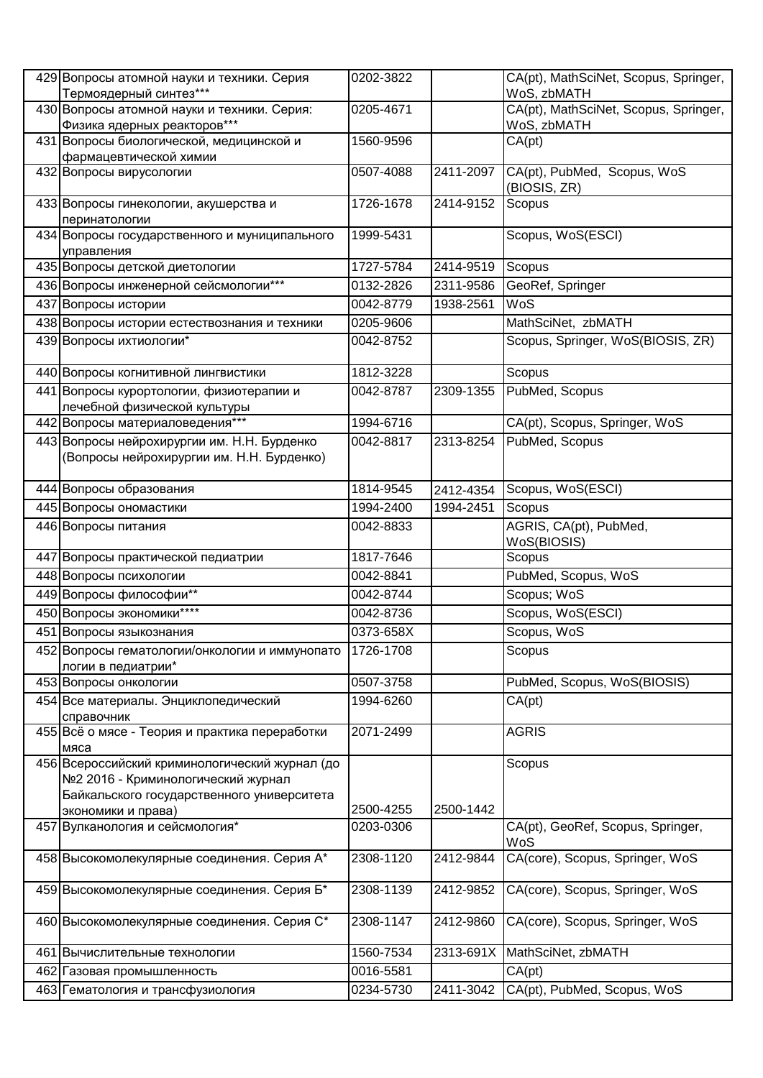|     | 429 Вопросы атомной науки и техники. Серия<br>Термоядерный синтез*** | 0202-3822 |           | CA(pt), MathSciNet, Scopus, Springer,<br>WoS, zbMATH |
|-----|----------------------------------------------------------------------|-----------|-----------|------------------------------------------------------|
|     | 430 Вопросы атомной науки и техники. Серия:                          | 0205-4671 |           | CA(pt), MathSciNet, Scopus, Springer,                |
|     | Физика ядерных реакторов***                                          |           |           | WoS, zbMATH                                          |
|     | 431 Вопросы биологической, медицинской и                             | 1560-9596 |           | CA(pt)                                               |
|     | фармацевтической химии                                               |           |           |                                                      |
|     | 432 Вопросы вирусологии                                              | 0507-4088 | 2411-2097 | CA(pt), PubMed, Scopus, WoS                          |
|     |                                                                      |           |           | (BIOSIS, ZR)                                         |
|     | 433 Вопросы гинекологии, акушерства и                                | 1726-1678 | 2414-9152 | Scopus                                               |
|     | перинатологии                                                        |           |           |                                                      |
|     | 434 Вопросы государственного и муниципального                        | 1999-5431 |           | Scopus, WoS(ESCI)                                    |
|     | управления                                                           |           |           |                                                      |
|     | 435 Вопросы детской диетологии                                       | 1727-5784 | 2414-9519 | Scopus                                               |
|     | 436 Вопросы инженерной сейсмологии***                                | 0132-2826 | 2311-9586 | GeoRef, Springer                                     |
|     | 437 Вопросы истории                                                  | 0042-8779 | 1938-2561 | WoS                                                  |
|     | 438 Вопросы истории естествознания и техники                         | 0205-9606 |           | MathSciNet, zbMATH                                   |
|     | 439 Вопросы ихтиологии*                                              | 0042-8752 |           | Scopus, Springer, WoS(BIOSIS, ZR)                    |
|     | 440 Вопросы когнитивной лингвистики                                  | 1812-3228 |           | Scopus                                               |
|     | 441 Вопросы курортологии, физиотерапии и                             | 0042-8787 | 2309-1355 | PubMed, Scopus                                       |
|     | лечебной физической культуры                                         |           |           |                                                      |
|     | 442 Вопросы материаловедения***                                      | 1994-6716 |           | CA(pt), Scopus, Springer, WoS                        |
|     | 443 Вопросы нейрохирургии им. Н.Н. Бурденко                          | 0042-8817 | 2313-8254 | PubMed, Scopus                                       |
|     | (Вопросы нейрохирургии им. Н.Н. Бурденко)                            |           |           |                                                      |
|     |                                                                      | 1814-9545 |           | Scopus, WoS(ESCI)                                    |
|     | 444 Вопросы образования                                              |           | 2412-4354 |                                                      |
|     | 445 Вопросы ономастики                                               | 1994-2400 | 1994-2451 | Scopus                                               |
|     | 446 Вопросы питания                                                  | 0042-8833 |           | AGRIS, CA(pt), PubMed,                               |
|     | 447 Вопросы практической педиатрии                                   | 1817-7646 |           | WoS(BIOSIS)<br>Scopus                                |
|     |                                                                      | 0042-8841 |           |                                                      |
|     | 448 Вопросы психологии                                               |           |           | PubMed, Scopus, WoS                                  |
|     | 449 Вопросы философии**                                              | 0042-8744 |           | Scopus; WoS                                          |
|     | 450 Вопросы экономики****                                            | 0042-8736 |           | Scopus, WoS(ESCI)                                    |
|     | 451 Вопросы языкознания                                              | 0373-658X |           | Scopus, WoS                                          |
|     | 452 Вопросы гематологии/онкологии и иммунопато<br>логии в педиатрии* | 1726-1708 |           | Scopus                                               |
|     | 453 Вопросы онкологии                                                | 0507-3758 |           | PubMed, Scopus, WoS(BIOSIS)                          |
|     | 454 Все материалы. Энциклопедический                                 | 1994-6260 |           | CA(pt)                                               |
|     | справочник                                                           |           |           |                                                      |
|     | 455 Всё о мясе - Теория и практика переработки                       | 2071-2499 |           | <b>AGRIS</b>                                         |
|     | мяса                                                                 |           |           |                                                      |
|     | 456 Всероссийский криминологический журнал (до                       |           |           | Scopus                                               |
|     | №2 2016 - Криминологический журнал                                   |           |           |                                                      |
|     | Байкальского государственного университета                           |           |           |                                                      |
|     | экономики и права)                                                   | 2500-4255 | 2500-1442 |                                                      |
|     | 457 Вулканология и сейсмология*                                      | 0203-0306 |           | CA(pt), GeoRef, Scopus, Springer,<br>WoS             |
|     | 458 Высокомолекулярные соединения. Серия А*                          | 2308-1120 | 2412-9844 | CA(core), Scopus, Springer, WoS                      |
|     | 459 Высокомолекулярные соединения. Серия Б*                          | 2308-1139 | 2412-9852 | CA(core), Scopus, Springer, WoS                      |
|     |                                                                      |           |           |                                                      |
|     | 460 Высокомолекулярные соединения. Серия С*                          | 2308-1147 | 2412-9860 | CA(core), Scopus, Springer, WoS                      |
| 461 | Вычислительные технологии                                            | 1560-7534 | 2313-691X | MathSciNet, zbMATH                                   |
|     |                                                                      | 0016-5581 |           | CA(pt)                                               |
|     | 462 Газовая промышленность                                           |           |           |                                                      |
|     | 463 Гематология и трансфузиология                                    | 0234-5730 | 2411-3042 | CA(pt), PubMed, Scopus, WoS                          |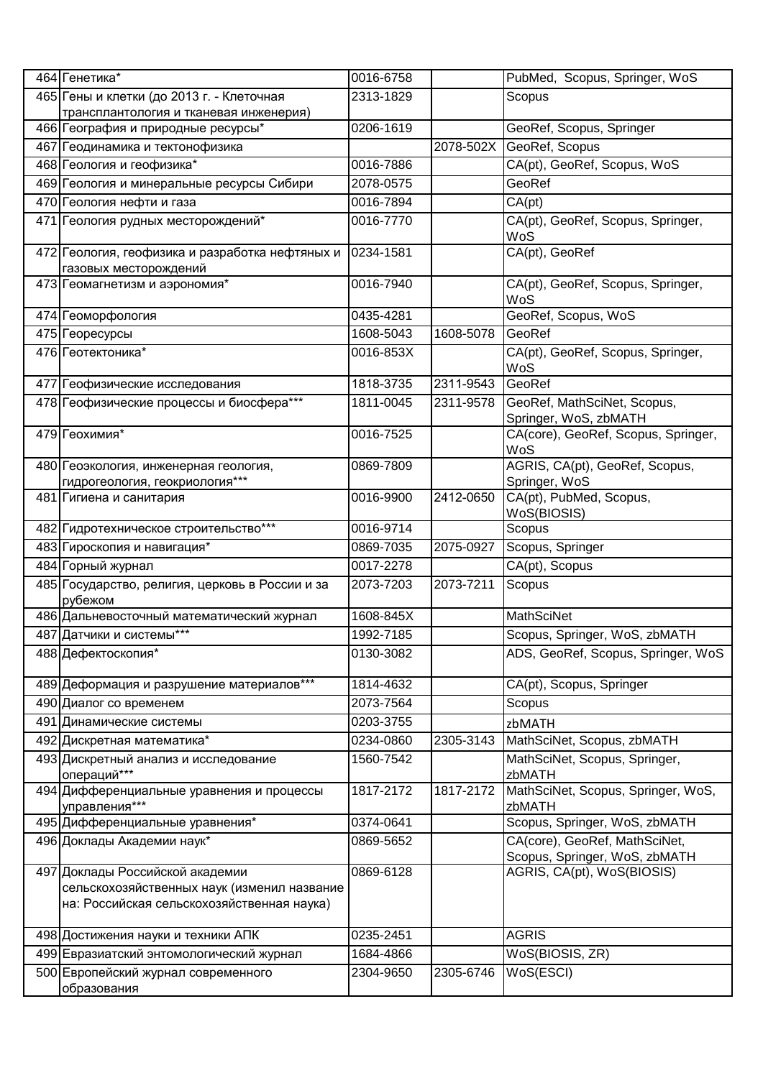| 464 Генетика*                                                                                                                | 0016-6758 |           | PubMed, Scopus, Springer, WoS                                  |
|------------------------------------------------------------------------------------------------------------------------------|-----------|-----------|----------------------------------------------------------------|
| 465 Гены и клетки (до 2013 г. - Клеточная                                                                                    | 2313-1829 |           | Scopus                                                         |
| трансплантология и тканевая инженерия)                                                                                       |           |           |                                                                |
| 466 География и природные ресурсы*                                                                                           | 0206-1619 |           | GeoRef, Scopus, Springer                                       |
| 467 Геодинамика и тектонофизика                                                                                              |           |           | 2078-502X GeoRef, Scopus                                       |
| 468 Геология и геофизика*                                                                                                    | 0016-7886 |           | CA(pt), GeoRef, Scopus, WoS                                    |
| 469 Геология и минеральные ресурсы Сибири                                                                                    | 2078-0575 |           | GeoRef                                                         |
| 470 Геология нефти и газа                                                                                                    | 0016-7894 |           | CA(pt)                                                         |
| 471 Геология рудных месторождений*                                                                                           | 0016-7770 |           | CA(pt), GeoRef, Scopus, Springer,<br>WoS                       |
| 472 Геология, геофизика и разработка нефтяных и<br>газовых месторождений                                                     | 0234-1581 |           | CA(pt), GeoRef                                                 |
| 473 Геомагнетизм и аэрономия*                                                                                                | 0016-7940 |           | CA(pt), GeoRef, Scopus, Springer,<br>WoS                       |
| 474 Геоморфология                                                                                                            | 0435-4281 |           | GeoRef, Scopus, WoS                                            |
| 475 Георесурсы                                                                                                               | 1608-5043 | 1608-5078 | GeoRef                                                         |
| 476 Геотектоника*                                                                                                            | 0016-853X |           | CA(pt), GeoRef, Scopus, Springer,<br>WoS                       |
| 477 Геофизические исследования                                                                                               | 1818-3735 | 2311-9543 | GeoRef                                                         |
| 478 Геофизические процессы и биосфера***                                                                                     | 1811-0045 | 2311-9578 | GeoRef, MathSciNet, Scopus,<br>Springer, WoS, zbMATH           |
| 479 Геохимия*                                                                                                                | 0016-7525 |           | CA(core), GeoRef, Scopus, Springer,<br>WoS                     |
| 480 Геоэкология, инженерная геология,<br>гидрогеология, геокриология***                                                      | 0869-7809 |           | AGRIS, CA(pt), GeoRef, Scopus,<br>Springer, WoS                |
| 481 Гигиена и санитария                                                                                                      | 0016-9900 | 2412-0650 | CA(pt), PubMed, Scopus,<br>WoS(BIOSIS)                         |
| 482 Гидротехническое строительство***                                                                                        | 0016-9714 |           | Scopus                                                         |
| 483 Гироскопия и навигация*                                                                                                  | 0869-7035 | 2075-0927 | Scopus, Springer                                               |
| 484 Горный журнал                                                                                                            | 0017-2278 |           | CA(pt), Scopus                                                 |
| 485 Государство, религия, церковь в России и за<br>рубежом                                                                   | 2073-7203 | 2073-7211 | Scopus                                                         |
| 486 Дальневосточный математический журнал                                                                                    | 1608-845X |           | <b>MathSciNet</b>                                              |
| 487 Датчики и системы***                                                                                                     | 1992-7185 |           | Scopus, Springer, WoS, zbMATH                                  |
| 488 Дефектоскопия*                                                                                                           | 0130-3082 |           | ADS, GeoRef, Scopus, Springer, WoS                             |
| 489 Деформация и разрушение материалов***                                                                                    | 1814-4632 |           | CA(pt), Scopus, Springer                                       |
| 490 Диалог со временем                                                                                                       | 2073-7564 |           | Scopus                                                         |
| 491 Динамические системы                                                                                                     | 0203-3755 |           | zbMATH                                                         |
| 492 Дискретная математика*                                                                                                   | 0234-0860 | 2305-3143 | MathSciNet, Scopus, zbMATH                                     |
| 493 Дискретный анализ и исследование<br>операций***                                                                          | 1560-7542 |           | MathSciNet, Scopus, Springer,<br>zbMATH                        |
| 494 Дифференциальные уравнения и процессы<br>управления***                                                                   | 1817-2172 | 1817-2172 | MathSciNet, Scopus, Springer, WoS,<br>zbMATH                   |
| 495 Дифференциальные уравнения*                                                                                              | 0374-0641 |           | Scopus, Springer, WoS, zbMATH                                  |
| 496 Доклады Академии наук*                                                                                                   | 0869-5652 |           | CA(core), GeoRef, MathSciNet,<br>Scopus, Springer, WoS, zbMATH |
| 497 Доклады Российской академии<br>сельскохозяйственных наук (изменил название<br>на: Российская сельскохозяйственная наука) | 0869-6128 |           | AGRIS, CA(pt), WoS(BIOSIS)                                     |
| 498 Достижения науки и техники АПК                                                                                           | 0235-2451 |           | <b>AGRIS</b>                                                   |
| 499 Евразиатский энтомологический журнал                                                                                     | 1684-4866 |           | $\overline{\mathsf{WoS}}$ (BIOSIS, ZR)                         |
| 500 Европейский журнал современного<br>образования                                                                           | 2304-9650 | 2305-6746 | WoS(ESCI)                                                      |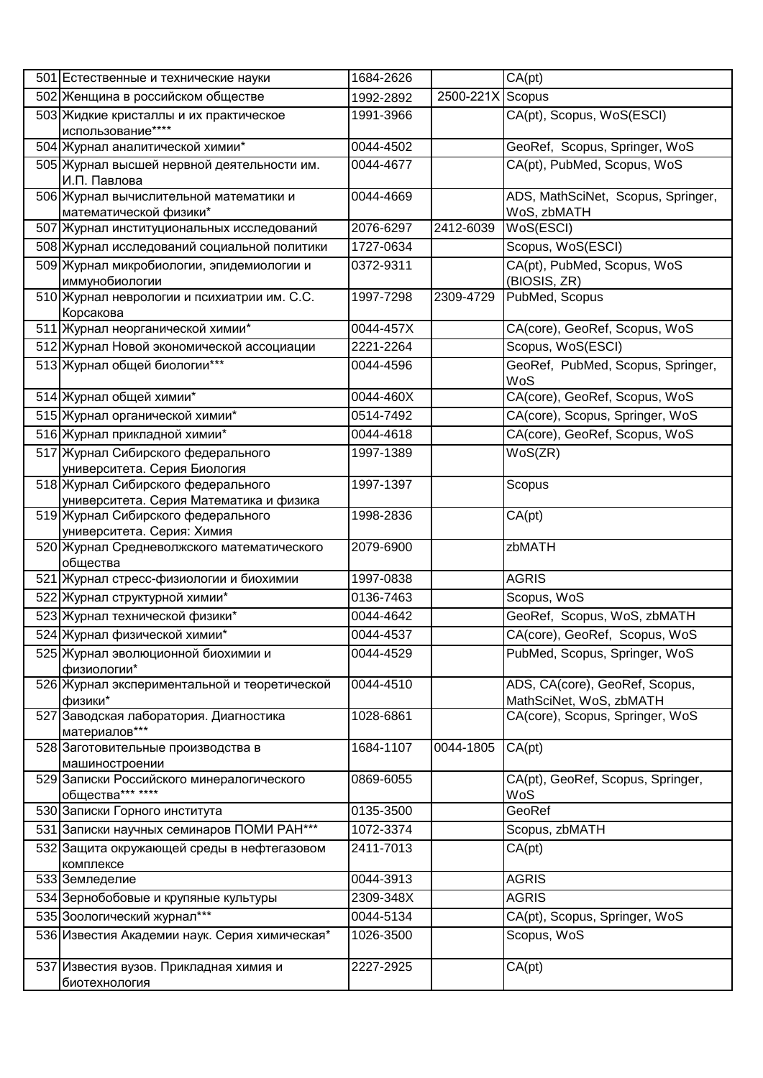| 501 Естественные и технические науки<br>502 Женщина в российском обществе     |           |                  | CA(pt)                                                    |
|-------------------------------------------------------------------------------|-----------|------------------|-----------------------------------------------------------|
|                                                                               | 1992-2892 | 2500-221X Scopus |                                                           |
| 503 Жидкие кристаллы и их практическое<br>использование****                   | 1991-3966 |                  | CA(pt), Scopus, WoS(ESCI)                                 |
| 504 Журнал аналитической химии*                                               | 0044-4502 |                  | GeoRef, Scopus, Springer, WoS                             |
| 505 Журнал высшей нервной деятельности им.<br>И.П. Павлова                    | 0044-4677 |                  | CA(pt), PubMed, Scopus, WoS                               |
| 506 Журнал вычислительной математики и<br>математической физики*              | 0044-4669 |                  | ADS, MathSciNet, Scopus, Springer,<br>WoS, zbMATH         |
| 507 Журнал институциональных исследований                                     | 2076-6297 | 2412-6039        | WoS(ESCI)                                                 |
| 508 Журнал исследований социальной политики                                   | 1727-0634 |                  | Scopus, WoS(ESCI)                                         |
| 509 Журнал микробиологии, эпидемиологии и<br>иммунобиологии                   | 0372-9311 |                  | CA(pt), PubMed, Scopus, WoS<br>(BIOSIS, ZR)               |
| 510 Журнал неврологии и психиатрии им. С.С.<br>Корсакова                      | 1997-7298 | 2309-4729        | PubMed, Scopus                                            |
| 511 Журнал неорганической химии*                                              | 0044-457X |                  | CA(core), GeoRef, Scopus, WoS                             |
| 512 Журнал Новой экономической ассоциации                                     | 2221-2264 |                  | Scopus, WoS(ESCI)                                         |
| 513 Журнал общей биологии***                                                  | 0044-4596 |                  | GeoRef, PubMed, Scopus, Springer,                         |
|                                                                               |           |                  | WoS                                                       |
| 514 Журнал общей химии*                                                       | 0044-460X |                  | CA(core), GeoRef, Scopus, WoS                             |
| 515 Журнал органической химии*                                                | 0514-7492 |                  | CA(core), Scopus, Springer, WoS                           |
| 516 Журнал прикладной химии*                                                  | 0044-4618 |                  | CA(core), GeoRef, Scopus, WoS                             |
| 517 Журнал Сибирского федерального<br>университета. Серия Биология            | 1997-1389 |                  | WoS(ZR)                                                   |
| 518 Журнал Сибирского федерального<br>университета. Серия Математика и физика | 1997-1397 |                  | Scopus                                                    |
| 519 Журнал Сибирского федерального<br>университета. Серия: Химия              | 1998-2836 |                  | CA(pt)                                                    |
| 520 Журнал Средневолжского математического<br>общества                        | 2079-6900 |                  | zbMATH                                                    |
| 521 Журнал стресс-физиологии и биохимии                                       | 1997-0838 |                  | <b>AGRIS</b>                                              |
| 522 Журнал структурной химии*                                                 | 0136-7463 |                  | Scopus, WoS                                               |
| 523 Журнал технической физики*                                                | 0044-4642 |                  | GeoRef, Scopus, WoS, zbMATH                               |
| 524 Журнал физической химии*                                                  | 0044-4537 |                  | CA(core), GeoRef, Scopus, WoS                             |
| 525 Журнал эволюционной биохимии и<br>физиологии*                             | 0044-4529 |                  | PubMed, Scopus, Springer, WoS                             |
| 526 Журнал экспериментальной и теоретической<br>физики*                       | 0044-4510 |                  | ADS, CA(core), GeoRef, Scopus,<br>MathSciNet, WoS, zbMATH |
| 527 Заводская лаборатория. Диагностика<br>материалов***                       | 1028-6861 |                  | CA(core), Scopus, Springer, WoS                           |
| 528 Заготовительные производства в<br>машиностроении                          | 1684-1107 | 0044-1805        | CA(pt)                                                    |
| 529 Записки Российского минералогического<br>общества*** ****                 | 0869-6055 |                  | CA(pt), GeoRef, Scopus, Springer,<br>WoS                  |
| 530 Записки Горного института                                                 | 0135-3500 |                  | GeoRef                                                    |
| 531 Записки научных семинаров ПОМИ РАН***                                     | 1072-3374 |                  | Scopus, zbMATH                                            |
| 532 Защита окружающей среды в нефтегазовом<br>комплексе                       | 2411-7013 |                  | CA(pt)                                                    |
| 533 Земледелие                                                                | 0044-3913 |                  | <b>AGRIS</b>                                              |
| 534 Зернобобовые и крупяные культуры                                          | 2309-348X |                  | <b>AGRIS</b>                                              |
| 535 Зоологический журнал***                                                   | 0044-5134 |                  | CA(pt), Scopus, Springer, WoS                             |
| 536 Известия Академии наук. Серия химическая*                                 | 1026-3500 |                  | Scopus, WoS                                               |
| 537 Известия вузов. Прикладная химия и<br>биотехнология                       | 2227-2925 |                  | CA(pt)                                                    |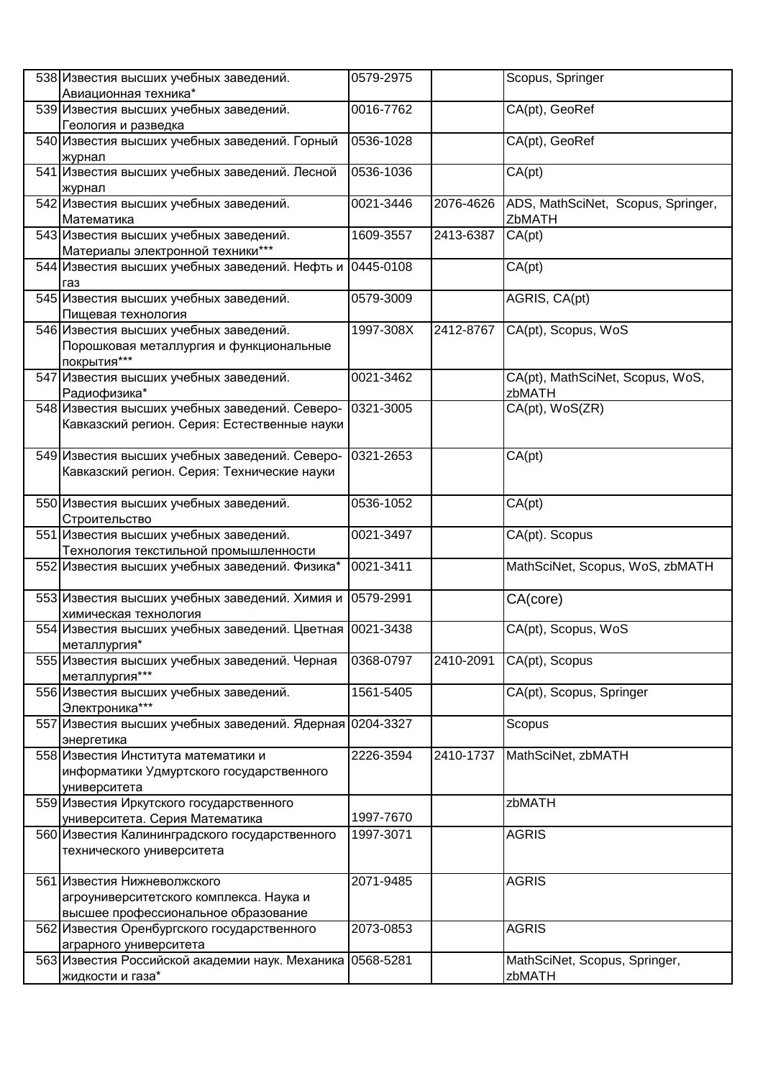| 538 Известия высших учебных заведений.                        | 0579-2975 |           | Scopus, Springer                   |
|---------------------------------------------------------------|-----------|-----------|------------------------------------|
| Авиационная техника*                                          |           |           |                                    |
| 539 Известия высших учебных заведений.<br>Геология и разведка | 0016-7762 |           | CA(pt), GeoRef                     |
| 540 Известия высших учебных заведений. Горный                 | 0536-1028 |           | CA(pt), GeoRef                     |
| журнал                                                        |           |           |                                    |
| 541 Известия высших учебных заведений. Лесной                 | 0536-1036 |           | CA(pt)                             |
| журнал                                                        |           |           |                                    |
| 542 Известия высших учебных заведений.                        | 0021-3446 | 2076-4626 | ADS, MathSciNet, Scopus, Springer, |
| Математика                                                    |           |           | ZbMATH                             |
| 543 Известия высших учебных заведений.                        | 1609-3557 | 2413-6387 |                                    |
|                                                               |           |           | CA(pt)                             |
| Материалы электронной техники***                              |           |           |                                    |
| 544 Известия высших учебных заведений. Нефть и                | 0445-0108 |           | CA(pt)                             |
| газ                                                           |           |           |                                    |
| 545 Известия высших учебных заведений.                        | 0579-3009 |           | AGRIS, CA(pt)                      |
| Пищевая технология                                            |           |           |                                    |
| 546 Известия высших учебных заведений.                        | 1997-308X | 2412-8767 | CA(pt), Scopus, WoS                |
| Порошковая металлургия и функциональные                       |           |           |                                    |
| покрытия***                                                   |           |           |                                    |
| 547 Известия высших учебных заведений.                        | 0021-3462 |           | CA(pt), MathSciNet, Scopus, WoS,   |
| Радиофизика*                                                  |           |           | zbMATH                             |
| 548 Известия высших учебных заведений. Северо-                | 0321-3005 |           | CA(pt), WoS(ZR)                    |
| Кавказский регион. Серия: Естественные науки                  |           |           |                                    |
|                                                               |           |           |                                    |
|                                                               |           |           |                                    |
| 549 Известия высших учебных заведений. Северо-                | 0321-2653 |           | CA(pt)                             |
| Кавказский регион. Серия: Технические науки                   |           |           |                                    |
|                                                               |           |           |                                    |
| 550 Известия высших учебных заведений.                        | 0536-1052 |           | CA(pt)                             |
| Строительство                                                 |           |           |                                    |
| 551 Известия высших учебных заведений.                        | 0021-3497 |           | CA(pt). Scopus                     |
| Технология текстильной промышленности                         |           |           |                                    |
| 552 Известия высших учебных заведений. Физика*                | 0021-3411 |           | MathSciNet, Scopus, WoS, zbMATH    |
|                                                               |           |           |                                    |
| 553 Известия высших учебных заведений. Химия и                | 0579-2991 |           | CA(core)                           |
| химическая технология                                         |           |           |                                    |
| 554 Известия высших учебных заведений. Цветная 0021-3438      |           |           | CA(pt), Scopus, WoS                |
| металлургия*                                                  |           |           |                                    |
|                                                               |           | 2410-2091 |                                    |
| 555 Известия высших учебных заведений. Черная                 | 0368-0797 |           | CA(pt), Scopus                     |
| металлургия***                                                |           |           |                                    |
| 556 Известия высших учебных заведений.                        | 1561-5405 |           | CA(pt), Scopus, Springer           |
| Электроника***                                                |           |           |                                    |
| 557 Известия высших учебных заведений. Ядерная                | 0204-3327 |           | Scopus                             |
| энергетика                                                    |           |           |                                    |
| 558 Известия Института математики и                           | 2226-3594 | 2410-1737 | MathSciNet, zbMATH                 |
| информатики Удмуртского государственного                      |           |           |                                    |
| университета                                                  |           |           |                                    |
| 559 Известия Иркутского государственного                      |           |           | zbMATH                             |
| университета. Серия Математика                                | 1997-7670 |           |                                    |
| 560 Известия Калининградского государственного                | 1997-3071 |           | <b>AGRIS</b>                       |
| технического университета                                     |           |           |                                    |
|                                                               |           |           |                                    |
| 561 Известия Нижневолжского                                   | 2071-9485 |           | <b>AGRIS</b>                       |
|                                                               |           |           |                                    |
| агроуниверситетского комплекса. Наука и                       |           |           |                                    |
| высшее профессиональное образование                           |           |           |                                    |
| 562 Известия Оренбургского государственного                   | 2073-0853 |           | <b>AGRIS</b>                       |
| аграрного университета                                        |           |           |                                    |
| 563 Известия Российской академии наук. Механика               | 0568-5281 |           | MathSciNet, Scopus, Springer,      |
| жидкости и газа*                                              |           |           | zbMATH                             |
|                                                               |           |           |                                    |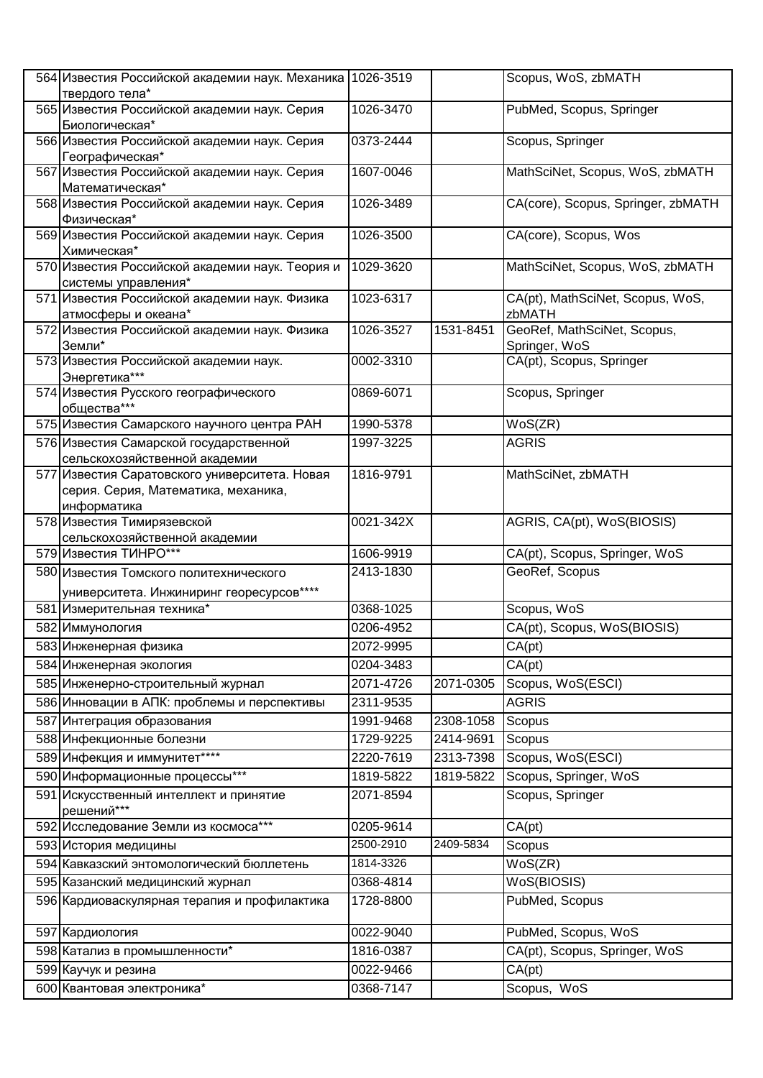| 564 Известия Российской академии наук. Механика<br>твердого тела*       | 1026-3519 |           | Scopus, WoS, zbMATH                             |
|-------------------------------------------------------------------------|-----------|-----------|-------------------------------------------------|
|                                                                         | 1026-3470 |           | PubMed, Scopus, Springer                        |
| 565 Известия Российской академии наук. Серия<br>Биологическая*          |           |           |                                                 |
| 566 Известия Российской академии наук. Серия<br>Географическая*         | 0373-2444 |           | Scopus, Springer                                |
| 567 Известия Российской академии наук. Серия<br>Математическая*         | 1607-0046 |           | MathSciNet, Scopus, WoS, zbMATH                 |
| 568 Известия Российской академии наук. Серия                            | 1026-3489 |           | CA(core), Scopus, Springer, zbMATH              |
| Физическая*<br>569 Известия Российской академии наук. Серия             | 1026-3500 |           | CA(core), Scopus, Wos                           |
| Химическая*                                                             |           |           |                                                 |
| 570 Известия Российской академии наук. Теория и<br>системы управления*  | 1029-3620 |           | MathSciNet, Scopus, WoS, zbMATH                 |
| 571 Известия Российской академии наук. Физика                           | 1023-6317 |           | CA(pt), MathSciNet, Scopus, WoS,                |
| атмосферы и океана*                                                     |           |           | zbMATH                                          |
| 572 Известия Российской академии наук. Физика<br>Земли*                 | 1026-3527 | 1531-8451 | GeoRef, MathSciNet, Scopus,<br>Springer, WoS    |
| 573 Известия Российской академии наук.                                  | 0002-3310 |           | CA(pt), Scopus, Springer                        |
| Энергетика***<br>574 Известия Русского географического                  | 0869-6071 |           | Scopus, Springer                                |
| общества***                                                             |           |           |                                                 |
| 575 Известия Самарского научного центра РАН                             | 1990-5378 |           | WoS(ZR)                                         |
| 576 Известия Самарской государственной<br>сельскохозяйственной академии | 1997-3225 |           | <b>AGRIS</b>                                    |
| 577 Известия Саратовского университета. Новая                           | 1816-9791 |           | MathSciNet, zbMATH                              |
| серия. Серия, Математика, механика,                                     |           |           |                                                 |
| информатика                                                             |           |           |                                                 |
| 578 Известия Тимирязевской                                              | 0021-342X |           | AGRIS, CA(pt), WoS(BIOSIS)                      |
| сельскохозяйственной академии<br>579 Известия ТИНРО***                  | 1606-9919 |           |                                                 |
|                                                                         | 2413-1830 |           | CA(pt), Scopus, Springer, WoS<br>GeoRef, Scopus |
| 580 Известия Томского политехнического                                  |           |           |                                                 |
| университета. Инжиниринг георесурсов****<br>581 Измерительная техника*  | 0368-1025 |           | Scopus, WoS                                     |
|                                                                         |           |           |                                                 |
| 582 Иммунология                                                         | 0206-4952 |           | CA(pt), Scopus, WoS(BIOSIS)                     |
| 583 Инженерная физика                                                   | 2072-9995 |           | CA(pt)                                          |
| 584 Инженерная экология                                                 | 0204-3483 |           | CA(pt)                                          |
| 585 Инженерно-строительный журнал                                       | 2071-4726 | 2071-0305 | Scopus, WoS(ESCI)                               |
| 586 Инновации в АПК: проблемы и перспективы                             | 2311-9535 |           | <b>AGRIS</b>                                    |
| 587 Интеграция образования                                              | 1991-9468 | 2308-1058 | Scopus                                          |
| 588 Инфекционные болезни                                                | 1729-9225 | 2414-9691 | Scopus                                          |
| 589 Инфекция и иммунитет****                                            | 2220-7619 | 2313-7398 | Scopus, WoS(ESCI)                               |
| 590 Информационные процессы***                                          | 1819-5822 | 1819-5822 | Scopus, Springer, WoS                           |
| 591 Искусственный интеллект и принятие<br>решений***                    | 2071-8594 |           | Scopus, Springer                                |
| 592 Исследование Земли из космоса***                                    | 0205-9614 |           | CA(pt)                                          |
| 593 История медицины                                                    | 2500-2910 | 2409-5834 | Scopus                                          |
| 594 Кавказский энтомологический бюллетень                               | 1814-3326 |           | WoS(ZR)                                         |
| 595 Казанский медицинский журнал                                        | 0368-4814 |           | WoS(BIOSIS)                                     |
| 596 Кардиоваскулярная терапия и профилактика                            | 1728-8800 |           | PubMed, Scopus                                  |
| 597 Кардиология                                                         | 0022-9040 |           | PubMed, Scopus, WoS                             |
| 598 Катализ в промышленности*                                           | 1816-0387 |           | CA(pt), Scopus, Springer, WoS                   |
| 599 Каучук и резина                                                     | 0022-9466 |           | CA(pt)                                          |
| 600 Квантовая электроника*                                              | 0368-7147 |           | Scopus, WoS                                     |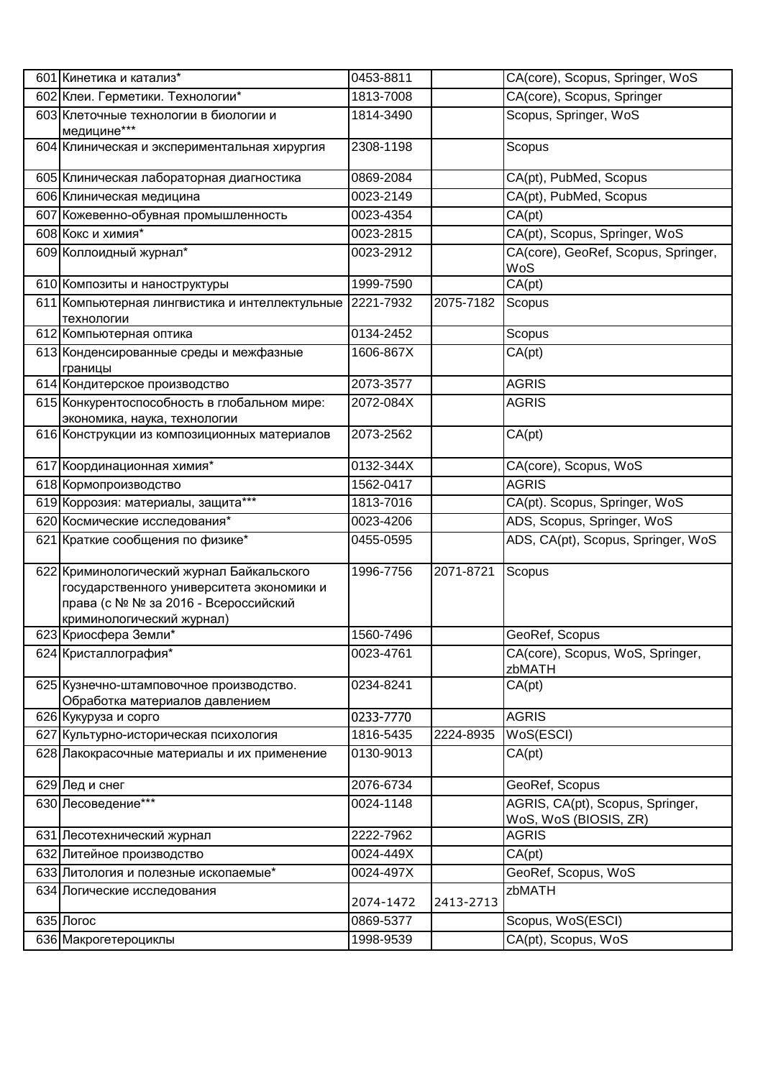| 601 Кинетика и катализ*                                                                                                                                     | 0453-8811 |           | CA(core), Scopus, Springer, WoS                           |
|-------------------------------------------------------------------------------------------------------------------------------------------------------------|-----------|-----------|-----------------------------------------------------------|
| 602 Клеи. Герметики. Технологии*                                                                                                                            | 1813-7008 |           | CA(core), Scopus, Springer                                |
| 603 Клеточные технологии в биологии и<br>медицине***                                                                                                        | 1814-3490 |           | Scopus, Springer, WoS                                     |
| 604 Клиническая и экспериментальная хирургия                                                                                                                | 2308-1198 |           | Scopus                                                    |
| 605 Клиническая лабораторная диагностика                                                                                                                    | 0869-2084 |           | CA(pt), PubMed, Scopus                                    |
| 606 Клиническая медицина                                                                                                                                    | 0023-2149 |           | CA(pt), PubMed, Scopus                                    |
| 607 Кожевенно-обувная промышленность                                                                                                                        | 0023-4354 |           | $\overline{CA(pt)}$                                       |
| 608 Кокс и химия*                                                                                                                                           | 0023-2815 |           | CA(pt), Scopus, Springer, WoS                             |
| 609 Коллоидный журнал*                                                                                                                                      | 0023-2912 |           | CA(core), GeoRef, Scopus, Springer,<br>WoS                |
| 610 Композиты и наноструктуры                                                                                                                               | 1999-7590 |           | CA(pt)                                                    |
| 611 Компьютерная лингвистика и интеллектульные<br>технологии                                                                                                | 2221-7932 | 2075-7182 | Scopus                                                    |
| 612 Компьютерная оптика                                                                                                                                     | 0134-2452 |           | Scopus                                                    |
| 613 Конденсированные среды и межфазные<br>границы                                                                                                           | 1606-867X |           | CA(pt)                                                    |
| 614 Кондитерское производство                                                                                                                               | 2073-3577 |           | <b>AGRIS</b>                                              |
| 615 Конкурентоспособность в глобальном мире:<br>экономика, наука, технологии                                                                                | 2072-084X |           | <b>AGRIS</b>                                              |
| 616 Конструкции из композиционных материалов                                                                                                                | 2073-2562 |           | CA(pt)                                                    |
| 617 Координационная химия*                                                                                                                                  | 0132-344X |           | CA(core), Scopus, WoS                                     |
| 618 Кормопроизводство                                                                                                                                       | 1562-0417 |           | <b>AGRIS</b>                                              |
| 619 Коррозия: материалы, защита***                                                                                                                          | 1813-7016 |           | CA(pt). Scopus, Springer, WoS                             |
| 620 Космические исследования*                                                                                                                               | 0023-4206 |           | ADS, Scopus, Springer, WoS                                |
| 621 Краткие сообщения по физике*                                                                                                                            | 0455-0595 |           | ADS, CA(pt), Scopus, Springer, WoS                        |
| 622 Криминологический журнал Байкальского<br>государственного университета экономики и<br>права (с № № за 2016 - Всероссийский<br>криминологический журнал) | 1996-7756 | 2071-8721 | Scopus                                                    |
| 623 Криосфера Земли*                                                                                                                                        | 1560-7496 |           | GeoRef, Scopus                                            |
| 624 Кристаллография*                                                                                                                                        | 0023-4761 |           | CA(core), Scopus, WoS, Springer,<br>zbMATH                |
| 625 Кузнечно-штамповочное производство.<br>Обработка материалов давлением                                                                                   | 0234-8241 |           | CA(pt)                                                    |
| 626 Кукуруза и сорго                                                                                                                                        | 0233-7770 |           | <b>AGRIS</b>                                              |
| 627 Культурно-историческая психология                                                                                                                       | 1816-5435 | 2224-8935 | WoS(ESCI)                                                 |
| 628 Лакокрасочные материалы и их применение                                                                                                                 | 0130-9013 |           | CA(pt)                                                    |
| 629 Лед и снег                                                                                                                                              | 2076-6734 |           | GeoRef, Scopus                                            |
| 630 Лесоведение***                                                                                                                                          | 0024-1148 |           | AGRIS, CA(pt), Scopus, Springer,<br>WoS, WoS (BIOSIS, ZR) |
| 631 Лесотехнический журнал                                                                                                                                  | 2222-7962 |           | <b>AGRIS</b>                                              |
| 632 Литейное производство                                                                                                                                   | 0024-449X |           | CA(pt)                                                    |
| 633 Литология и полезные ископаемые*                                                                                                                        | 0024-497X |           | GeoRef, Scopus, WoS                                       |
| 634 Логические исследования                                                                                                                                 | 2074-1472 | 2413-2713 | zbMATH                                                    |
| 635 Логос                                                                                                                                                   | 0869-5377 |           | Scopus, WoS(ESCI)                                         |
| 636 Макрогетероциклы                                                                                                                                        | 1998-9539 |           | CA(pt), Scopus, WoS                                       |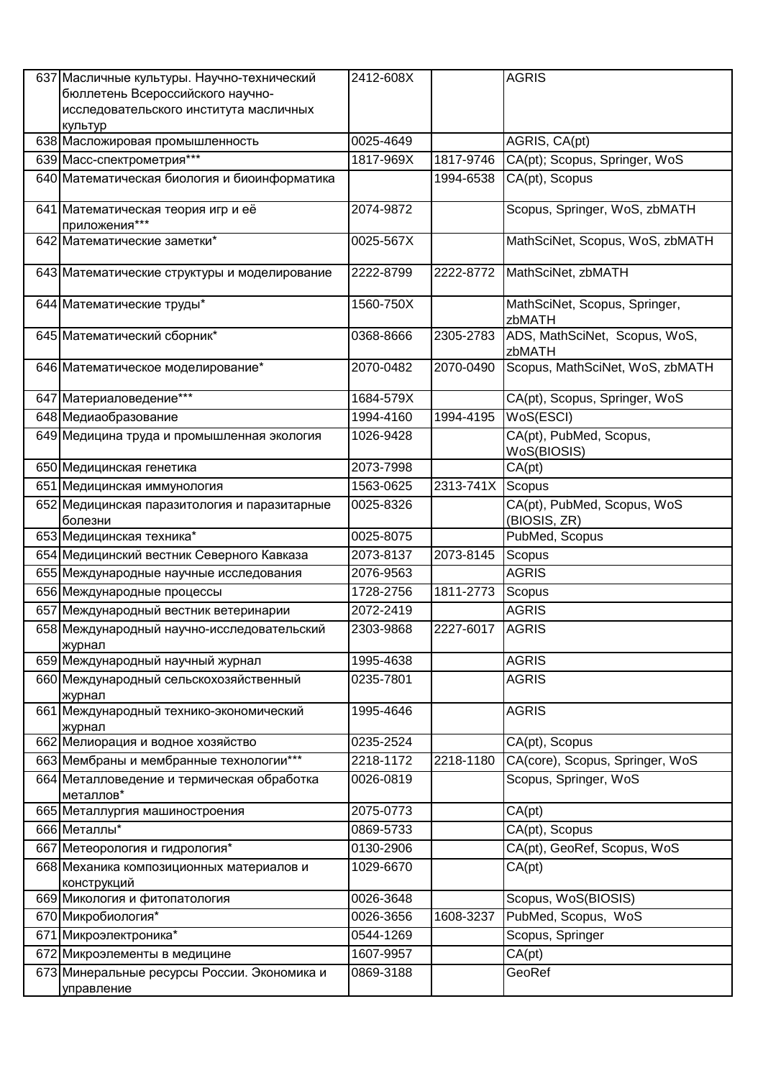| 637 Масличные культуры. Научно-технический<br>бюллетень Всероссийского научно-<br>исследовательского института масличных<br>культур | 2412-608X |                  | <b>AGRIS</b>                                |
|-------------------------------------------------------------------------------------------------------------------------------------|-----------|------------------|---------------------------------------------|
| 638 Масложировая промышленность                                                                                                     | 0025-4649 |                  | AGRIS, CA(pt)                               |
| 639 Масс-спектрометрия***                                                                                                           | 1817-969X | 1817-9746        | CA(pt); Scopus, Springer, WoS               |
| 640 Математическая биология и биоинформатика                                                                                        |           | 1994-6538        | CA(pt), Scopus                              |
| 641 Математическая теория игр и её<br>приложения***                                                                                 | 2074-9872 |                  | Scopus, Springer, WoS, zbMATH               |
| 642 Математические заметки*                                                                                                         | 0025-567X |                  | MathSciNet, Scopus, WoS, zbMATH             |
| 643 Математические структуры и моделирование                                                                                        | 2222-8799 | 2222-8772        | MathSciNet, zbMATH                          |
| 644 Математические труды*                                                                                                           | 1560-750X |                  | MathSciNet, Scopus, Springer,<br>zbMATH     |
| 645 Математический сборник*                                                                                                         | 0368-8666 | 2305-2783        | ADS, MathSciNet, Scopus, WoS,<br>zbMATH     |
| 646 Математическое моделирование*                                                                                                   | 2070-0482 | 2070-0490        | Scopus, MathSciNet, WoS, zbMATH             |
| 647 Материаловедение***                                                                                                             | 1684-579X |                  | CA(pt), Scopus, Springer, WoS               |
| 648 Медиаобразование                                                                                                                | 1994-4160 | 1994-4195        | WoS(ESCI)                                   |
| 649 Медицина труда и промышленная экология                                                                                          | 1026-9428 |                  | CA(pt), PubMed, Scopus,<br>WoS(BIOSIS)      |
| 650 Медицинская генетика                                                                                                            | 2073-7998 |                  | CA(pt)                                      |
| 651 Медицинская иммунология                                                                                                         | 1563-0625 | 2313-741X Scopus |                                             |
| 652 Медицинская паразитология и паразитарные<br>болезни                                                                             | 0025-8326 |                  | CA(pt), PubMed, Scopus, WoS<br>(BIOSIS, ZR) |
| 653 Медицинская техника*                                                                                                            | 0025-8075 |                  | PubMed, Scopus                              |
| 654 Медицинский вестник Северного Кавказа                                                                                           | 2073-8137 | 2073-8145        | Scopus                                      |
| 655 Международные научные исследования                                                                                              | 2076-9563 |                  | <b>AGRIS</b>                                |
| 656 Международные процессы                                                                                                          | 1728-2756 | 1811-2773        | Scopus                                      |
| 657 Международный вестник ветеринарии                                                                                               | 2072-2419 |                  | <b>AGRIS</b>                                |
| 658 Международный научно-исследовательский<br>журнал                                                                                | 2303-9868 | 2227-6017        | AGRIS                                       |
| 659 Международный научный журнал                                                                                                    | 1995-4638 |                  | <b>AGRIS</b>                                |
| 660 Международный сельскохозяйственный<br>журнал                                                                                    | 0235-7801 |                  | <b>AGRIS</b>                                |
| 661 Международный технико-экономический<br>журнал                                                                                   | 1995-4646 |                  | <b>AGRIS</b>                                |
| 662 Мелиорация и водное хозяйство                                                                                                   | 0235-2524 |                  | CA(pt), Scopus                              |
| 663 Мембраны и мембранные технологии***                                                                                             | 2218-1172 | 2218-1180        | CA(core), Scopus, Springer, WoS             |
| 664 Металловедение и термическая обработка<br>металлов*                                                                             | 0026-0819 |                  | Scopus, Springer, WoS                       |
| 665 Металлургия машиностроения                                                                                                      | 2075-0773 |                  | CA(pt)                                      |
| 666 Металлы*                                                                                                                        | 0869-5733 |                  | CA(pt), Scopus                              |
| 667 Метеорология и гидрология*                                                                                                      | 0130-2906 |                  | CA(pt), GeoRef, Scopus, WoS                 |
| 668 Механика композиционных материалов и<br>конструкций                                                                             | 1029-6670 |                  | CA(pt)                                      |
| 669 Микология и фитопатология                                                                                                       | 0026-3648 |                  | Scopus, WoS(BIOSIS)                         |
| 670 Микробиология*                                                                                                                  | 0026-3656 | 1608-3237        | PubMed, Scopus, WoS                         |
| 671 Микроэлектроника*                                                                                                               | 0544-1269 |                  | Scopus, Springer                            |
| 672 Микроэлементы в медицине                                                                                                        | 1607-9957 |                  | CA(pt)                                      |
| 673 Минеральные ресурсы России. Экономика и<br>управление                                                                           | 0869-3188 |                  | GeoRef                                      |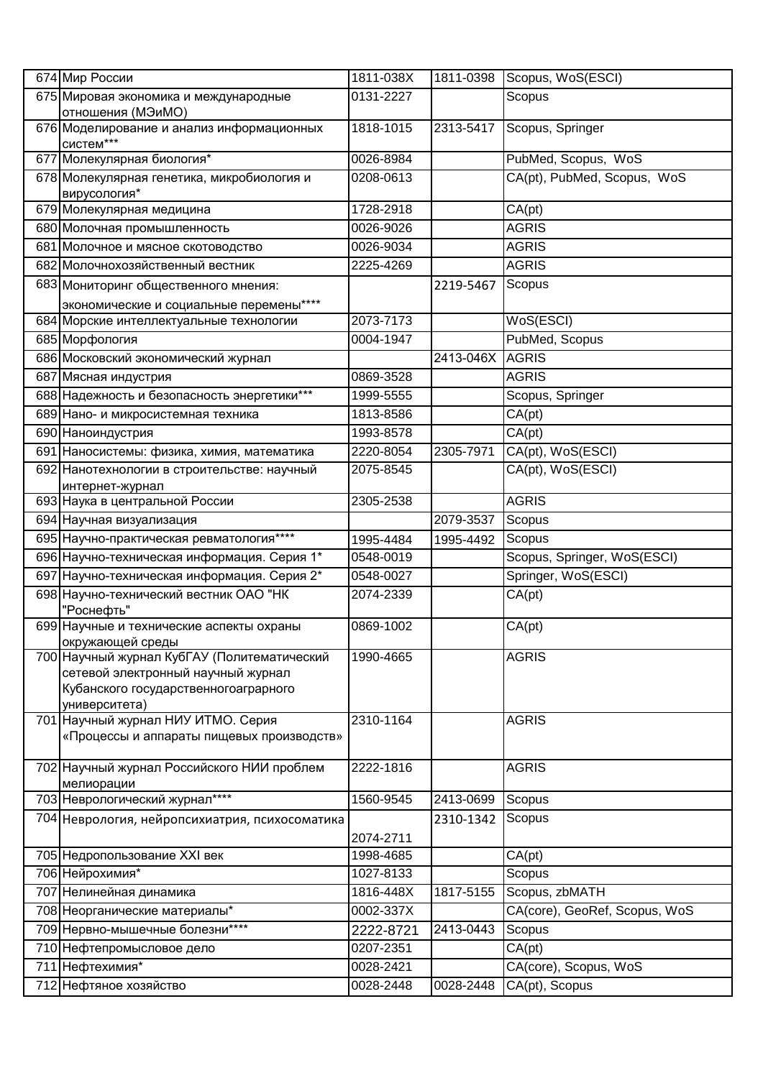|     | 674 Мир России                                                                                                                             | 1811-038X | 1811-0398       | Scopus, WoS(ESCI)             |
|-----|--------------------------------------------------------------------------------------------------------------------------------------------|-----------|-----------------|-------------------------------|
|     | 675 Мировая экономика и международные<br>отношения (МЭиМО)                                                                                 | 0131-2227 |                 | Scopus                        |
|     | 676 Моделирование и анализ информационных<br>систем***                                                                                     | 1818-1015 | 2313-5417       | Scopus, Springer              |
| 677 | Молекулярная биология*                                                                                                                     | 0026-8984 |                 | PubMed, Scopus, WoS           |
|     | 678 Молекулярная генетика, микробиология и<br>вирусология*                                                                                 | 0208-0613 |                 | CA(pt), PubMed, Scopus, WoS   |
|     | 679 Молекулярная медицина                                                                                                                  | 1728-2918 |                 | CA(pt)                        |
|     | 680 Молочная промышленность                                                                                                                | 0026-9026 |                 | <b>AGRIS</b>                  |
|     | 681 Молочное и мясное скотоводство                                                                                                         | 0026-9034 |                 | <b>AGRIS</b>                  |
|     | 682 Молочнохозяйственный вестник                                                                                                           | 2225-4269 |                 | <b>AGRIS</b>                  |
|     | 683 Мониторинг общественного мнения:                                                                                                       |           | 2219-5467       | Scopus                        |
|     | экономические и социальные перемены****                                                                                                    |           |                 |                               |
|     | 684 Морские интеллектуальные технологии                                                                                                    | 2073-7173 |                 | WoS(ESCI)                     |
|     | 685 Морфология                                                                                                                             | 0004-1947 |                 | PubMed, Scopus                |
|     | 686 Московский экономический журнал                                                                                                        |           | 2413-046X AGRIS |                               |
|     | 687 Мясная индустрия                                                                                                                       | 0869-3528 |                 | <b>AGRIS</b>                  |
|     | 688 Надежность и безопасность энергетики***                                                                                                | 1999-5555 |                 | Scopus, Springer              |
|     | 689 Нано- и микросистемная техника                                                                                                         | 1813-8586 |                 | CA(pt)                        |
|     | 690 Наноиндустрия                                                                                                                          | 1993-8578 |                 | CA(pt)                        |
| 691 | Наносистемы: физика, химия, математика                                                                                                     | 2220-8054 | 2305-7971       | CA(pt), WoS(ESCI)             |
|     | 692 Нанотехнологии в строительстве: научный<br>интернет-журнал                                                                             | 2075-8545 |                 | CA(pt), WoS(ESCI)             |
|     | 693 Наука в центральной России                                                                                                             | 2305-2538 |                 | <b>AGRIS</b>                  |
|     | 694 Научная визуализация                                                                                                                   |           | 2079-3537       | Scopus                        |
|     | 695 Научно-практическая ревматология****                                                                                                   | 1995-4484 | 1995-4492       | Scopus                        |
|     | 696 Научно-техническая информация. Серия 1*                                                                                                | 0548-0019 |                 | Scopus, Springer, WoS(ESCI)   |
|     | 697 Научно-техническая информация. Серия 2*                                                                                                | 0548-0027 |                 | Springer, WoS(ESCI)           |
|     | 698 Научно-технический вестник ОАО "НК<br>"Роснефть"                                                                                       | 2074-2339 |                 | CA(pt)                        |
|     | 699 Научные и технические аспекты охраны<br>окружающей среды                                                                               | 0869-1002 |                 | CA(pt)                        |
|     | 700 Научный журнал КубГАУ (Политематический<br>сетевой электронный научный журнал<br>Кубанского государственногоаграрного<br>университета) | 1990-4665 |                 | <b>AGRIS</b>                  |
|     | 701 Научный журнал НИУ ИТМО. Серия<br>«Процессы и аппараты пищевых производств»                                                            | 2310-1164 |                 | <b>AGRIS</b>                  |
|     | 702 Научный журнал Российского НИИ проблем<br>мелиорации                                                                                   | 2222-1816 |                 | <b>AGRIS</b>                  |
|     | 703 Неврологический журнал****                                                                                                             | 1560-9545 | 2413-0699       | Scopus                        |
|     | 704 Неврология, нейропсихиатрия, психосоматика                                                                                             | 2074-2711 | 2310-1342       | Scopus                        |
|     | 705 Недропользование XXI век                                                                                                               | 1998-4685 |                 | CA(pt)                        |
|     | 706 Нейрохимия*                                                                                                                            | 1027-8133 |                 | Scopus                        |
|     | 707 Нелинейная динамика                                                                                                                    | 1816-448X | 1817-5155       | Scopus, zbMATH                |
|     | 708 Неорганические материалы*                                                                                                              | 0002-337X |                 | CA(core), GeoRef, Scopus, WoS |
|     | 709 Нервно-мышечные болезни****                                                                                                            | 2222-8721 | 2413-0443       | Scopus                        |
|     | 710 Нефтепромысловое дело                                                                                                                  | 0207-2351 |                 | CA(pt)                        |
|     | 711 Нефтехимия*                                                                                                                            | 0028-2421 |                 | CA(core), Scopus, WoS         |
|     | 712 Нефтяное хозяйство                                                                                                                     | 0028-2448 | 0028-2448       | CA(pt), Scopus                |
|     |                                                                                                                                            |           |                 |                               |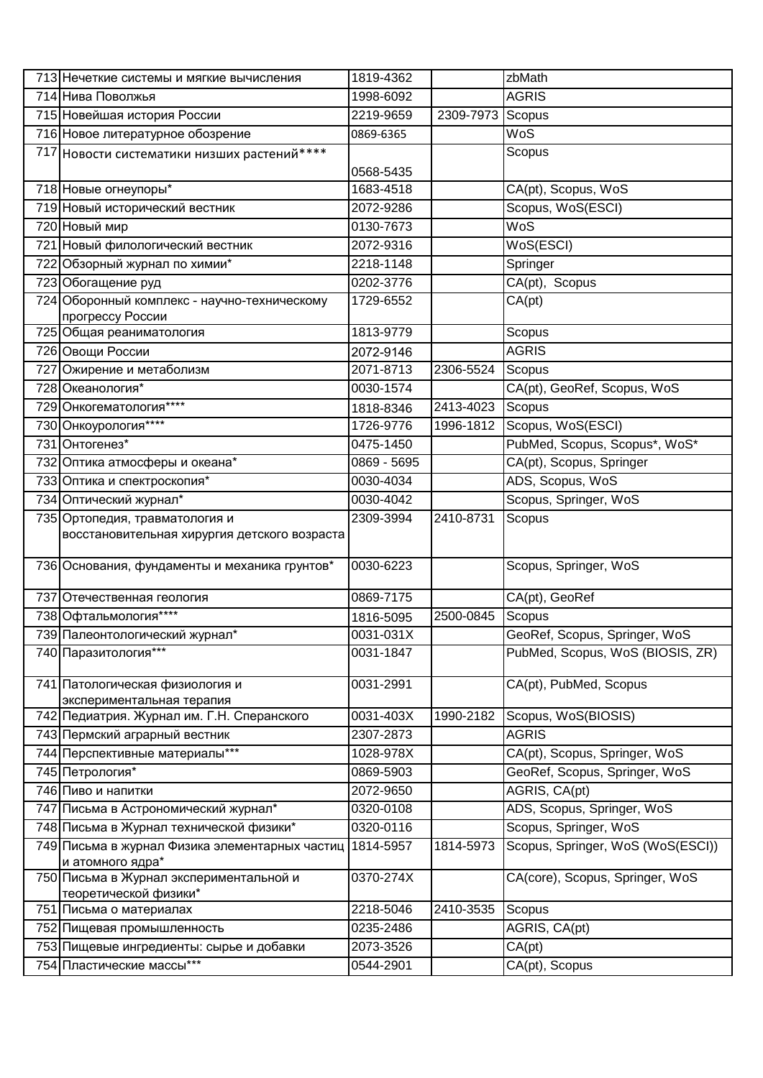| 713 Нечеткие системы и мягкие вычисления                           | 1819-4362   |                  | zbMath                                         |
|--------------------------------------------------------------------|-------------|------------------|------------------------------------------------|
| 714 Нива Поволжья                                                  | 1998-6092   |                  | <b>AGRIS</b>                                   |
| 715 Новейшая история России                                        | 2219-9659   | 2309-7973 Scopus |                                                |
| 716 Новое литературное обозрение                                   | 0869-6365   |                  | WoS                                            |
| 717 Новости систематики низших растений****                        |             |                  | Scopus                                         |
|                                                                    | 0568-5435   |                  |                                                |
| 718 Новые огнеупоры*                                               | 1683-4518   |                  | CA(pt), Scopus, WoS                            |
| 719 Новый исторический вестник                                     | 2072-9286   |                  | Scopus, WoS(ESCI)                              |
| 720 Новый мир                                                      | 0130-7673   |                  | WoS                                            |
| 721 Новый филологический вестник                                   | 2072-9316   |                  | WoS(ESCI)                                      |
| 722 Обзорный журнал по химии*                                      | 2218-1148   |                  | Springer                                       |
| 723 Обогащение руд                                                 | 0202-3776   |                  | CA(pt), Scopus                                 |
| 724 Оборонный комплекс - научно-техническому<br>прогрессу России   | 1729-6552   |                  | CA(pt)                                         |
| 725 Общая реаниматология                                           | 1813-9779   |                  | Scopus                                         |
| 726 Овощи России                                                   | 2072-9146   |                  | <b>AGRIS</b>                                   |
| 727 Ожирение и метаболизм                                          | 2071-8713   | 2306-5524        | Scopus                                         |
| 728 Океанология*                                                   | 0030-1574   |                  | CA(pt), GeoRef, Scopus, WoS                    |
| 729 Онкогематология****                                            | 1818-8346   | 2413-4023        | Scopus                                         |
| 730 Онкоурология****                                               | 1726-9776   | 1996-1812        | Scopus, WoS(ESCI)                              |
| 731 Онтогенез*                                                     | 0475-1450   |                  | PubMed, Scopus, Scopus*, WoS*                  |
| 732 Оптика атмосферы и океана*                                     | 0869 - 5695 |                  | CA(pt), Scopus, Springer                       |
| 733 Оптика и спектроскопия*                                        | 0030-4034   |                  | ADS, Scopus, WoS                               |
| 734 Оптический журнал*                                             | 0030-4042   |                  | Scopus, Springer, WoS                          |
| 735 Ортопедия, травматология и                                     | 2309-3994   | 2410-8731        | Scopus                                         |
| восстановительная хирургия детского возраста                       |             |                  |                                                |
|                                                                    |             |                  |                                                |
| 736 Основания, фундаменты и механика грунтов*                      | 0030-6223   |                  | Scopus, Springer, WoS                          |
| 737 Отечественная геология                                         | 0869-7175   |                  | CA(pt), GeoRef                                 |
| 738 Офтальмология****                                              | 1816-5095   | 2500-0845        | Scopus                                         |
| 739 Палеонтологический журнал*                                     | 0031-031X   |                  | GeoRef, Scopus, Springer, WoS                  |
| 740 Паразитология***                                               | 0031-1847   |                  | PubMed, Scopus, WoS (BIOSIS, ZR)               |
|                                                                    |             |                  |                                                |
| 741 Патологическая физиология и                                    | 0031-2991   |                  | CA(pt), PubMed, Scopus                         |
| экспериментальная терапия                                          |             |                  |                                                |
| 742 Педиатрия. Журнал им. Г.Н. Сперанского                         | 0031-403X   | 1990-2182        | Scopus, WoS(BIOSIS)                            |
| 743 Пермский аграрный вестник                                      | 2307-2873   |                  | <b>AGRIS</b>                                   |
| 744 Перспективные материалы***<br>745 Петрология*                  | 1028-978X   |                  | CA(pt), Scopus, Springer, WoS                  |
|                                                                    | 0869-5903   |                  | GeoRef, Scopus, Springer, WoS<br>AGRIS, CA(pt) |
| 746 Пиво и напитки                                                 | 2072-9650   |                  |                                                |
| 747 Письма в Астрономический журнал*                               | 0320-0108   |                  | ADS, Scopus, Springer, WoS                     |
| 748 Письма в Журнал технической физики*                            | 0320-0116   |                  | Scopus, Springer, WoS                          |
| 749 Письма в журнал Физика элементарных частиц<br>и атомного ядра* | 1814-5957   | 1814-5973        | Scopus, Springer, WoS (WoS(ESCI))              |
| 750 Письма в Журнал экспериментальной и                            | 0370-274X   |                  | CA(core), Scopus, Springer, WoS                |
| теоретической физики*                                              |             |                  |                                                |
| 751 Письма о материалах                                            | 2218-5046   | 2410-3535        | Scopus                                         |
| 752 Пищевая промышленность                                         | 0235-2486   |                  | AGRIS, CA(pt)                                  |
| 753 Пищевые ингредиенты: сырье и добавки                           | 2073-3526   |                  | CA(pt)                                         |
| 754 Пластические массы***                                          | 0544-2901   |                  | CA(pt), Scopus                                 |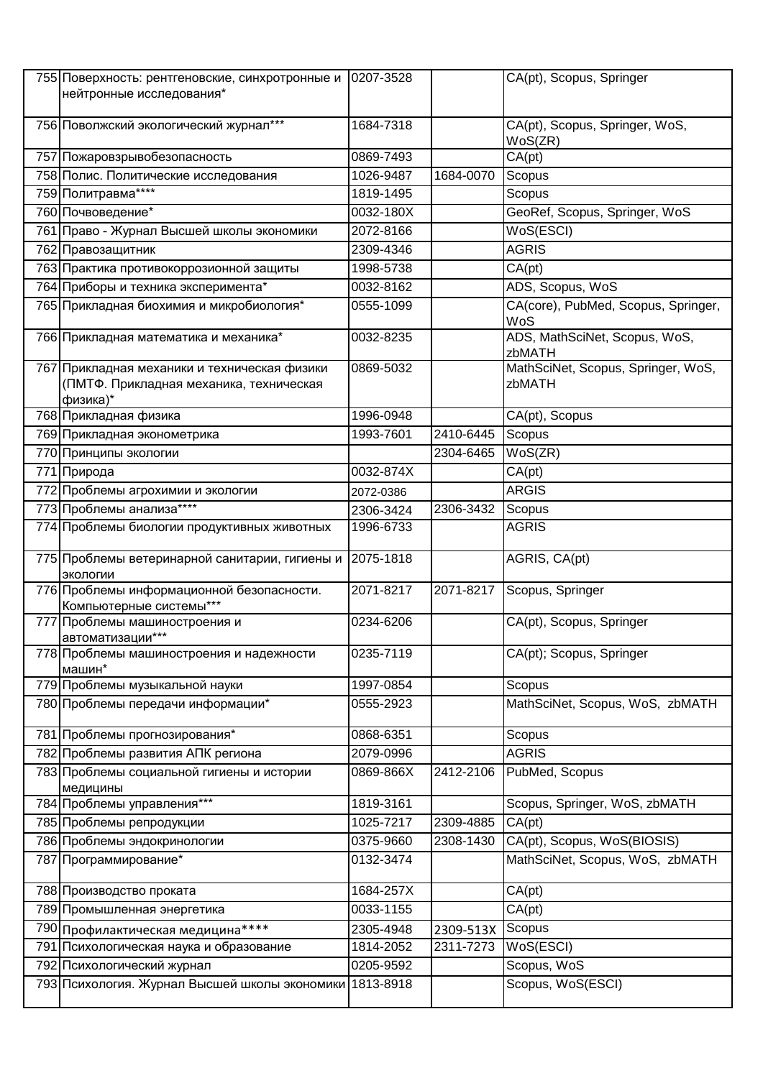| 755 Поверхность: рентгеновские, синхротронные и<br>нейтронные исследования*                         | 0207-3528 |           | CA(pt), Scopus, Springer                     |
|-----------------------------------------------------------------------------------------------------|-----------|-----------|----------------------------------------------|
| 756 Поволжский экологический журнал***                                                              | 1684-7318 |           | CA(pt), Scopus, Springer, WoS,<br>WoS(ZR)    |
| 757 Пожаровзрывобезопасность                                                                        | 0869-7493 |           | CA(pt)                                       |
| 758 Полис. Политические исследования                                                                | 1026-9487 | 1684-0070 | Scopus                                       |
| 759 Политравма****                                                                                  | 1819-1495 |           | Scopus                                       |
| 760 Почвоведение*                                                                                   | 0032-180X |           | GeoRef, Scopus, Springer, WoS                |
| 761 Право - Журнал Высшей школы экономики                                                           | 2072-8166 |           | WoS(ESCI)                                    |
| 762 Правозащитник                                                                                   | 2309-4346 |           | <b>AGRIS</b>                                 |
| 763 Практика противокоррозионной защиты                                                             | 1998-5738 |           | CA(pt)                                       |
| 764 Приборы и техника эксперимента*                                                                 | 0032-8162 |           | ADS, Scopus, WoS                             |
| 765 Прикладная биохимия и микробиология*                                                            | 0555-1099 |           | CA(core), PubMed, Scopus, Springer,<br>WoS   |
| 766 Прикладная математика и механика*                                                               | 0032-8235 |           | ADS, MathSciNet, Scopus, WoS,<br>zbMATH      |
| 767 Прикладная механики и техническая физики<br>(ПМТФ. Прикладная механика, техническая<br>физика)* | 0869-5032 |           | MathSciNet, Scopus, Springer, WoS,<br>zbMATH |
| 768 Прикладная физика                                                                               | 1996-0948 |           | CA(pt), Scopus                               |
| 769 Прикладная эконометрика                                                                         | 1993-7601 | 2410-6445 | Scopus                                       |
| 770 Принципы экологии                                                                               |           | 2304-6465 | WoS(ZR)                                      |
| 771 Природа                                                                                         | 0032-874X |           | CA(pt)                                       |
| 772 Проблемы агрохимии и экологии                                                                   | 2072-0386 |           | <b>ARGIS</b>                                 |
| 773 Проблемы анализа****                                                                            | 2306-3424 | 2306-3432 | Scopus                                       |
| 774 Проблемы биологии продуктивных животных                                                         | 1996-6733 |           | <b>AGRIS</b>                                 |
| 775 Проблемы ветеринарной санитарии, гигиены и<br>экологии                                          | 2075-1818 |           | AGRIS, CA(pt)                                |
| 776 Проблемы информационной безопасности.<br>Компьютерные системы***                                | 2071-8217 | 2071-8217 | Scopus, Springer                             |
| 777 Проблемы машиностроения и<br>автоматизации***                                                   | 0234-6206 |           | CA(pt), Scopus, Springer                     |
| 778 Проблемы машиностроения и надежности<br>машин*                                                  | 0235-7119 |           | CA(pt); Scopus, Springer                     |
| 779 Проблемы музыкальной науки                                                                      | 1997-0854 |           | Scopus                                       |
| 780 Проблемы передачи информации*                                                                   | 0555-2923 |           | MathSciNet, Scopus, WoS, zbMATH              |
| 781 Проблемы прогнозирования*                                                                       | 0868-6351 |           | Scopus                                       |
| 782 Проблемы развития АПК региона                                                                   | 2079-0996 |           | <b>AGRIS</b>                                 |
| 783 Проблемы социальной гигиены и истории<br>медицины                                               | 0869-866X | 2412-2106 | PubMed, Scopus                               |
| 784 Проблемы управления***                                                                          | 1819-3161 |           | Scopus, Springer, WoS, zbMATH                |
| 785 Проблемы репродукции                                                                            | 1025-7217 | 2309-4885 | CA(pt)                                       |
| 786 Проблемы эндокринологии                                                                         | 0375-9660 | 2308-1430 | CA(pt), Scopus, WoS(BIOSIS)                  |
| 787 Программирование*                                                                               | 0132-3474 |           | MathSciNet, Scopus, WoS, zbMATH              |
| 788 Производство проката                                                                            | 1684-257X |           | CA(pt)                                       |
| 789 Промышленная энергетика                                                                         | 0033-1155 |           | CA(pt)                                       |
| 790 Профилактическая медицина****                                                                   | 2305-4948 | 2309-513X | Scopus                                       |
| 791 Психологическая наука и образование                                                             | 1814-2052 | 2311-7273 | WoS(ESCI)                                    |
| 792 Психологический журнал                                                                          | 0205-9592 |           | Scopus, WoS                                  |
| 793 Психология. Журнал Высшей школы экономики                                                       | 1813-8918 |           | Scopus, WoS(ESCI)                            |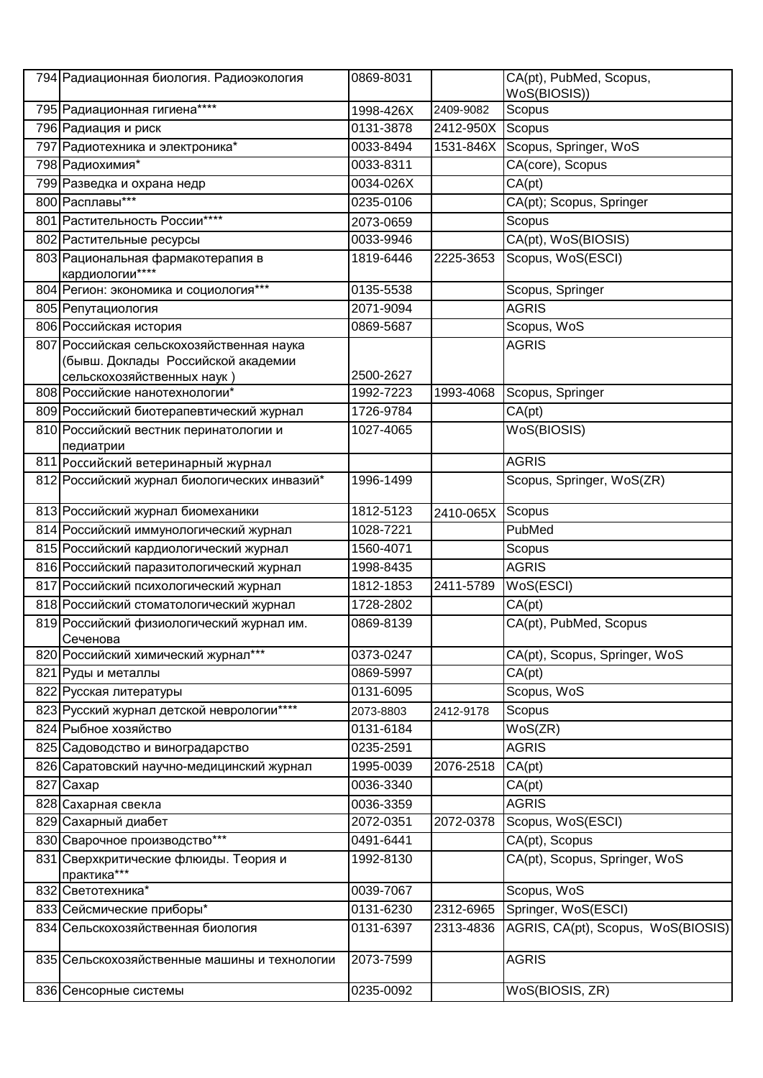| 794 Радиационная биология. Радиоэкология                                                                      | 0869-8031              |           | CA(pt), PubMed, Scopus,            |
|---------------------------------------------------------------------------------------------------------------|------------------------|-----------|------------------------------------|
| 795 Радиационная гигиена****                                                                                  |                        | 2409-9082 | WoS(BIOSIS))<br>Scopus             |
|                                                                                                               | 1998-426X<br>0131-3878 | 2412-950X |                                    |
| 796 Радиация и риск                                                                                           | 0033-8494              |           | Scopus                             |
| 797 Радиотехника и электроника*                                                                               |                        | 1531-846X | Scopus, Springer, WoS              |
| 798 Радиохимия*                                                                                               | 0033-8311              |           | CA(core), Scopus                   |
| 799 Разведка и охрана недр                                                                                    | 0034-026X              |           | CA(pt)                             |
| 800 Расплавы***                                                                                               | 0235-0106              |           | CA(pt); Scopus, Springer           |
| 801 Растительность России****                                                                                 | 2073-0659              |           | Scopus                             |
| 802 Растительные ресурсы                                                                                      | 0033-9946              |           | CA(pt), WoS(BIOSIS)                |
| 803 Рациональная фармакотерапия в<br>кардиологии****                                                          | 1819-6446              | 2225-3653 | Scopus, WoS(ESCI)                  |
| 804 Регион: экономика и социология***                                                                         | 0135-5538              |           | Scopus, Springer                   |
| 805 Репутациология                                                                                            | 2071-9094              |           | <b>AGRIS</b>                       |
| 806 Российская история                                                                                        | 0869-5687              |           | Scopus, WoS                        |
| 807 Российская сельскохозяйственная наука<br>(бывш. Доклады Российской академии<br>сельскохозяйственных наук) | 2500-2627              |           | <b>AGRIS</b>                       |
| 808 Российские нанотехнологии*                                                                                | 1992-7223              | 1993-4068 | Scopus, Springer                   |
| 809 Российский биотерапевтический журнал                                                                      | 1726-9784              |           | CA(pt)                             |
| 810 Российский вестник перинатологии и                                                                        | 1027-4065              |           | WoS(BIOSIS)                        |
| педиатрии                                                                                                     |                        |           |                                    |
| 811 Российский ветеринарный журнал                                                                            |                        |           | <b>AGRIS</b>                       |
| 812 Российский журнал биологических инвазий*                                                                  | 1996-1499              |           | Scopus, Springer, WoS(ZR)          |
| 813 Российский журнал биомеханики                                                                             | 1812-5123              | 2410-065X | Scopus                             |
| 814 Российский иммунологический журнал                                                                        | 1028-7221              |           | PubMed                             |
| 815 Российский кардиологический журнал                                                                        | 1560-4071              |           | Scopus                             |
| 816 Российский паразитологический журнал                                                                      | 1998-8435              |           | <b>AGRIS</b>                       |
| 817 Российский психологический журнал                                                                         | 1812-1853              | 2411-5789 | WoS(ESCI)                          |
| 818 Российский стоматологический журнал                                                                       | 1728-2802              |           | CA(pt)                             |
| 819 Российский физиологический журнал им.<br>Сеченова                                                         | 0869-8139              |           | CA(pt), PubMed, Scopus             |
| 820 Российский химический журнал***                                                                           | 0373-0247              |           | CA(pt), Scopus, Springer, WoS      |
| 821 Руды и металлы                                                                                            | 0869-5997              |           | CA(pt)                             |
| 822 Русская литературы                                                                                        | 0131-6095              |           | Scopus, WoS                        |
| 823 Русский журнал детской неврологии****                                                                     | 2073-8803              | 2412-9178 | Scopus                             |
| 824 Рыбное хозяйство                                                                                          | 0131-6184              |           | WoS(ZR)                            |
| 825 Садоводство и виноградарство                                                                              | 0235-2591              |           | <b>AGRIS</b>                       |
| 826 Саратовский научно-медицинский журнал                                                                     | 1995-0039              | 2076-2518 | CA(pt)                             |
| 827 Caxap                                                                                                     | 0036-3340              |           | CA(pt)                             |
| 828 Сахарная свекла                                                                                           | 0036-3359              |           | <b>AGRIS</b>                       |
| 829 Сахарный диабет                                                                                           | 2072-0351              | 2072-0378 | Scopus, WoS(ESCI)                  |
| 830 Сварочное производство***                                                                                 | 0491-6441              |           | CA(pt), Scopus                     |
| 831 Сверхкритические флюиды. Теория и<br>практика***                                                          | 1992-8130              |           | CA(pt), Scopus, Springer, WoS      |
| 832 Светотехника*                                                                                             | 0039-7067              |           | Scopus, WoS                        |
| 833 Сейсмические приборы*                                                                                     | 0131-6230              | 2312-6965 | Springer, WoS(ESCI)                |
| 834 Сельскохозяйственная биология                                                                             | 0131-6397              | 2313-4836 | AGRIS, CA(pt), Scopus, WoS(BIOSIS) |
|                                                                                                               |                        |           |                                    |
| 835 Сельскохозяйственные машины и технологии                                                                  | 2073-7599              |           | <b>AGRIS</b>                       |
| 836 Сенсорные системы                                                                                         | 0235-0092              |           | WoS(BIOSIS, ZR)                    |
|                                                                                                               |                        |           |                                    |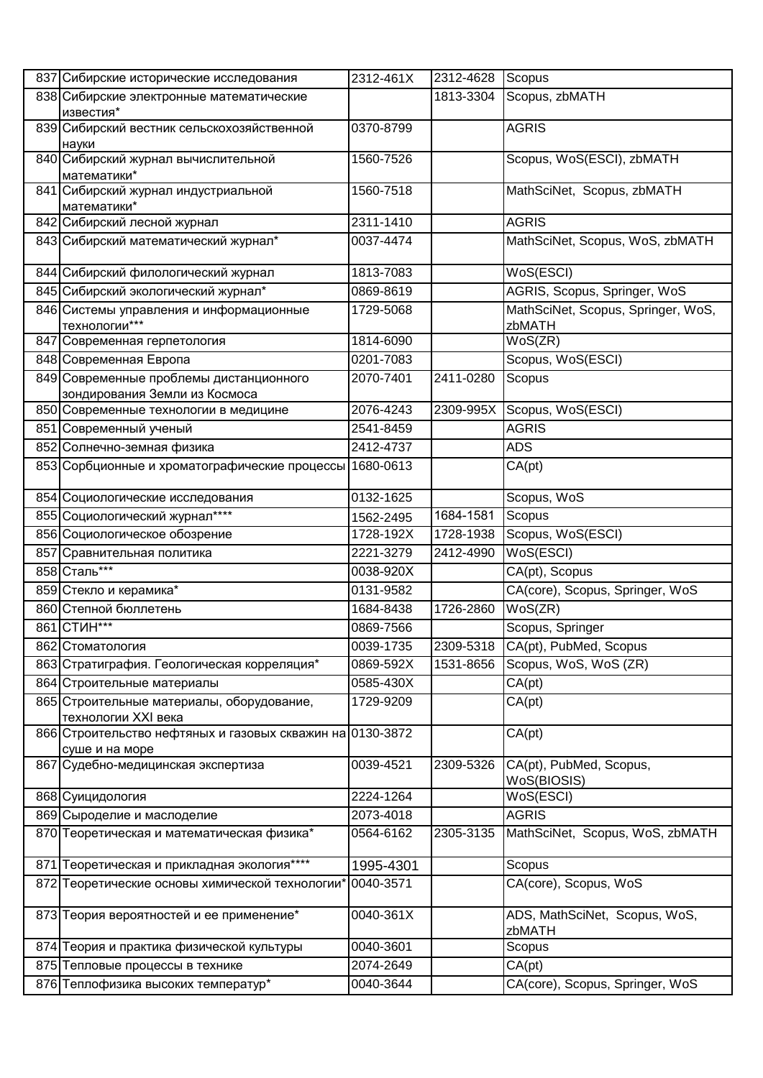|     | 837 Сибирские исторические исследования                                     | 2312-461X | 2312-4628 | Scopus                                       |
|-----|-----------------------------------------------------------------------------|-----------|-----------|----------------------------------------------|
|     | 838 Сибирские электронные математические                                    |           | 1813-3304 | Scopus, zbMATH                               |
|     | известия*                                                                   |           |           |                                              |
|     | 839 Сибирский вестник сельскохозяйственной<br>науки                         | 0370-8799 |           | <b>AGRIS</b>                                 |
|     | 840 Сибирский журнал вычислительной<br>математики*                          | 1560-7526 |           | Scopus, WoS(ESCI), zbMATH                    |
|     | 841 Сибирский журнал индустриальной<br>математики*                          | 1560-7518 |           | MathSciNet, Scopus, zbMATH                   |
|     | 842 Сибирский лесной журнал                                                 | 2311-1410 |           | <b>AGRIS</b>                                 |
|     | 843 Сибирский математический журнал*                                        | 0037-4474 |           | MathSciNet, Scopus, WoS, zbMATH              |
|     | 844 Сибирский филологический журнал                                         | 1813-7083 |           | WoS(ESCI)                                    |
|     | 845 Сибирский экологический журнал*                                         | 0869-8619 |           | AGRIS, Scopus, Springer, WoS                 |
|     | 846 Системы управления и информационные<br>технологии***                    | 1729-5068 |           | MathSciNet, Scopus, Springer, WoS,<br>zbMATH |
|     | 847 Современная герпетология                                                | 1814-6090 |           | WoS(ZR)                                      |
|     | 848 Современная Европа                                                      | 0201-7083 |           | Scopus, WoS(ESCI)                            |
|     | 849 Современные проблемы дистанционного                                     | 2070-7401 | 2411-0280 | Scopus                                       |
|     | зондирования Земли из Космоса                                               |           |           |                                              |
|     | 850 Современные технологии в медицине                                       | 2076-4243 |           | 2309-995X Scopus, WoS(ESCI)                  |
|     | 851 Современный ученый                                                      | 2541-8459 |           | <b>AGRIS</b>                                 |
|     | 852 Солнечно-земная физика                                                  | 2412-4737 |           | <b>ADS</b>                                   |
|     | 853 Сорбционные и хроматографические процессы 1680-0613                     |           |           | CA(pt)                                       |
|     | 854 Социологические исследования                                            | 0132-1625 |           | Scopus, WoS                                  |
|     | 855 Социологический журнал****                                              | 1562-2495 | 1684-1581 | Scopus                                       |
|     | 856 Социологическое обозрение                                               | 1728-192X | 1728-1938 | Scopus, WoS(ESCI)                            |
|     | 857 Сравнительная политика                                                  | 2221-3279 | 2412-4990 | WoS(ESCI)                                    |
|     | 858 Сталь***                                                                | 0038-920X |           | CA(pt), Scopus                               |
|     | 859 Стекло и керамика*                                                      | 0131-9582 |           | CA(core), Scopus, Springer, WoS              |
|     | 860 Степной бюллетень                                                       | 1684-8438 | 1726-2860 | WoS(ZR)                                      |
|     | 861 СТИН***                                                                 | 0869-7566 |           | Scopus, Springer                             |
|     | 862 Стоматология                                                            | 0039-1735 | 2309-5318 | CA(pt), PubMed, Scopus                       |
|     | 863 Стратиграфия. Геологическая корреляция*                                 | 0869-592X | 1531-8656 | Scopus, WoS, WoS (ZR)                        |
|     | 864 Строительные материалы                                                  | 0585-430X |           | CA(pt)                                       |
|     | 865 Строительные материалы, оборудование,<br>технологии XXI века            | 1729-9209 |           | CA(pt)                                       |
|     | 866 Строительство нефтяных и газовых скважин на 0130-3872<br>суше и на море |           |           | CA(pt)                                       |
|     | 867 Судебно-медицинская экспертиза                                          | 0039-4521 | 2309-5326 | CA(pt), PubMed, Scopus,<br>WoS(BIOSIS)       |
|     | 868 Суицидология                                                            | 2224-1264 |           | WoS(ESCI)                                    |
|     | 869 Сыроделие и маслоделие                                                  | 2073-4018 |           | <b>AGRIS</b>                                 |
|     | 870 Теоретическая и математическая физика*                                  | 0564-6162 | 2305-3135 | MathSciNet, Scopus, WoS, zbMATH              |
| 871 | Теоретическая и прикладная экология****                                     | 1995-4301 |           | Scopus                                       |
|     | 872 Теоретические основы химической технологии                              | 0040-3571 |           | CA(core), Scopus, WoS                        |
|     | 873 Теория вероятностей и ее применение*                                    | 0040-361X |           | ADS, MathSciNet, Scopus, WoS,<br>zbMATH      |
|     | 874 Теория и практика физической культуры                                   | 0040-3601 |           | Scopus                                       |
|     | 875 Тепловые процессы в технике                                             | 2074-2649 |           | CA(pt)                                       |
|     | 876 Теплофизика высоких температур*                                         | 0040-3644 |           | CA(core), Scopus, Springer, WoS              |
|     |                                                                             |           |           |                                              |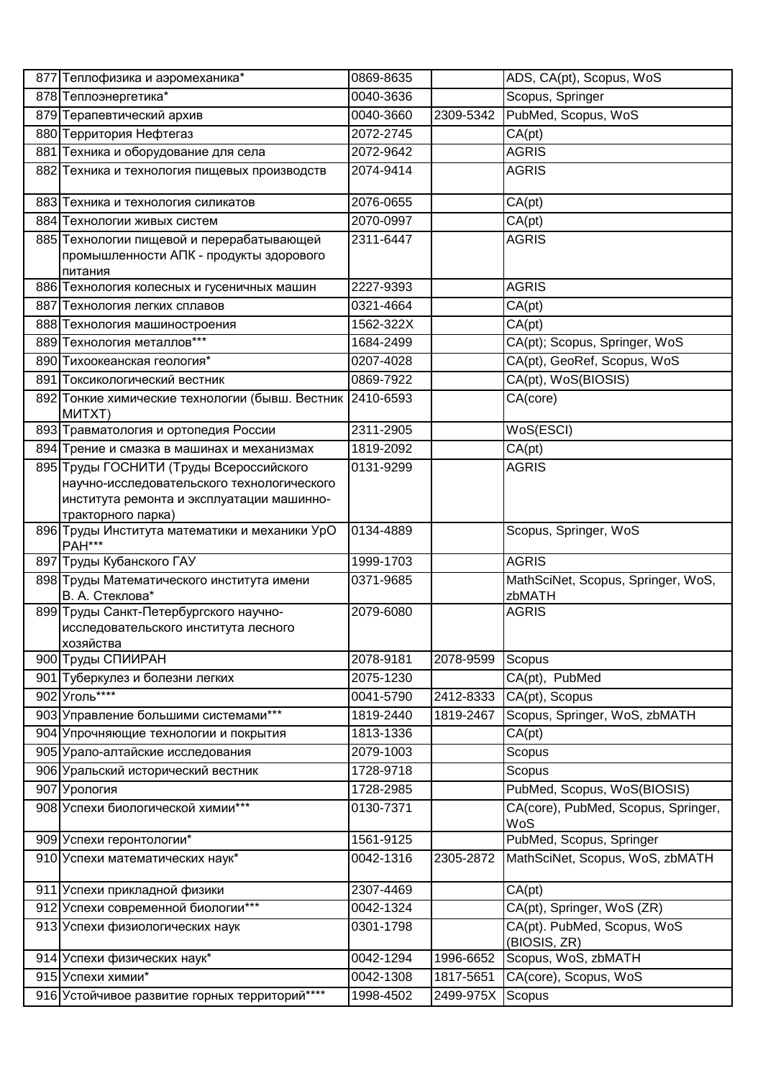| 877 Теплофизика и аэромеханика*                                     | 0869-8635 |           | ADS, CA(pt), Scopus, WoS                     |
|---------------------------------------------------------------------|-----------|-----------|----------------------------------------------|
| 878 Теплоэнергетика*                                                | 0040-3636 |           | Scopus, Springer                             |
| 879 Терапевтический архив                                           | 0040-3660 | 2309-5342 | PubMed, Scopus, WoS                          |
| 880 Территория Нефтегаз                                             | 2072-2745 |           | CA(pt)                                       |
| 881 Техника и оборудование для села                                 | 2072-9642 |           | <b>AGRIS</b>                                 |
| 882 Техника и технология пищевых производств                        | 2074-9414 |           | <b>AGRIS</b>                                 |
|                                                                     |           |           |                                              |
| 883 Техника и технология силикатов                                  | 2076-0655 |           | CA(pt)                                       |
| 884 Технологии живых систем                                         | 2070-0997 |           | CA(pt)                                       |
| 885 Технологии пищевой и перерабатывающей                           | 2311-6447 |           | <b>AGRIS</b>                                 |
| промышленности АПК - продукты здорового                             |           |           |                                              |
| Іпитания                                                            |           |           |                                              |
| 886 Технология колесных и гусеничных машин                          | 2227-9393 |           | <b>AGRIS</b>                                 |
| 887 Технология легких сплавов                                       | 0321-4664 |           | CA(pt)                                       |
| 888 Технология машиностроения                                       | 1562-322X |           | CA(pt)                                       |
| 889 Технология металлов***                                          | 1684-2499 |           | CA(pt); Scopus, Springer, WoS                |
| 890 Тихоокеанская геология*                                         | 0207-4028 |           | CA(pt), GeoRef, Scopus, WoS                  |
| 891 Токсикологический вестник                                       | 0869-7922 |           | CA(pt), WoS(BIOSIS)                          |
| 892 Тонкие химические технологии (бывш. Вестник 2410-6593<br>MUTXT) |           |           | CA(core)                                     |
| 893 Травматология и ортопедия России                                | 2311-2905 |           | WoS(ESCI)                                    |
| 894 Трение и смазка в машинах и механизмах                          | 1819-2092 |           | CA(pt)                                       |
| 895 Труды ГОСНИТИ (Труды Всероссийского                             | 0131-9299 |           | <b>AGRIS</b>                                 |
| научно-исследовательского технологического                          |           |           |                                              |
| института ремонта и эксплуатации машинно-<br>тракторного парка)     |           |           |                                              |
| 896 Труды Института математики и механики УрО                       | 0134-4889 |           | Scopus, Springer, WoS                        |
| <b>PAH***</b>                                                       |           |           |                                              |
| 897 Труды Кубанского ГАУ                                            | 1999-1703 |           | <b>AGRIS</b>                                 |
| 898 Труды Математического института имени<br>В. А. Стеклова*        | 0371-9685 |           | MathSciNet, Scopus, Springer, WoS,<br>zbMATH |
| 899 Труды Санкт-Петербургского научно-                              | 2079-6080 |           | <b>AGRIS</b>                                 |
| исследовательского института лесного                                |           |           |                                              |
| хозяйства                                                           |           |           |                                              |
| 900 Труды СПИИРАН                                                   | 2078-9181 | 2078-9599 | Scopus                                       |
| 901 Туберкулез и болезни легких                                     | 2075-1230 |           | CA(pt), PubMed                               |
| 902 Уголь****                                                       | 0041-5790 | 2412-8333 | CA(pt), Scopus                               |
| 903 Управление большими системами***                                | 1819-2440 | 1819-2467 | Scopus, Springer, WoS, zbMATH                |
| 904 Упрочняющие технологии и покрытия                               | 1813-1336 |           | CA(pt)                                       |
| 905 Урало-алтайские исследования                                    | 2079-1003 |           | Scopus                                       |
| 906 Уральский исторический вестник                                  | 1728-9718 |           | Scopus                                       |
| 907 Урология                                                        | 1728-2985 |           | PubMed, Scopus, WoS(BIOSIS)                  |
| 908 Успехи биологической химии***                                   | 0130-7371 |           | CA(core), PubMed, Scopus, Springer,<br>WoS   |
| 909 Успехи геронтологии*                                            | 1561-9125 |           | PubMed, Scopus, Springer                     |
| 910 Успехи математических наук*                                     | 0042-1316 | 2305-2872 | MathSciNet, Scopus, WoS, zbMATH              |
| 911 Успехи прикладной физики                                        | 2307-4469 |           | CA(pt)                                       |
| 912 Успехи современной биологии***                                  | 0042-1324 |           | CA(pt), Springer, WoS (ZR)                   |
| 913 Успехи физиологических наук                                     | 0301-1798 |           | CA(pt). PubMed, Scopus, WoS<br>(BIOSIS, ZR)  |
| 914 Успехи физических наук*                                         | 0042-1294 | 1996-6652 | Scopus, WoS, zbMATH                          |
| 915 Успехи химии*                                                   | 0042-1308 | 1817-5651 | CA(core), Scopus, WoS                        |
| 916 Устойчивое развитие горных территорий****                       | 1998-4502 | 2499-975X | Scopus                                       |
|                                                                     |           |           |                                              |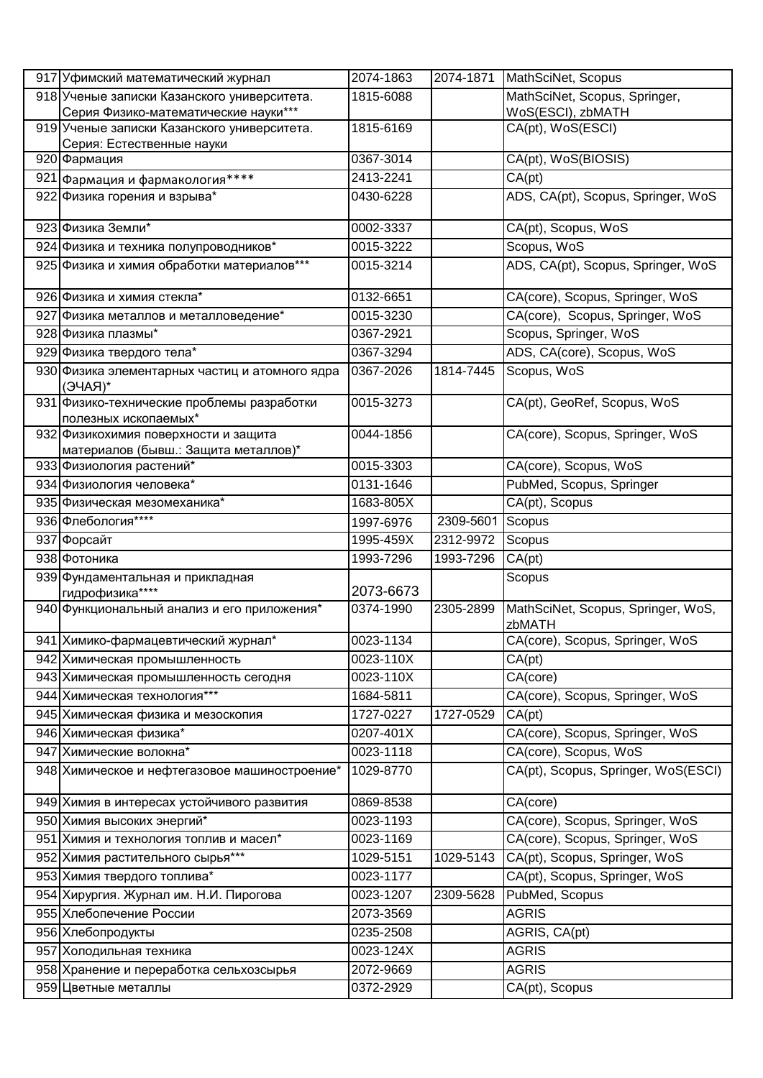| 917 Уфимский математический журнал                                 | 2074-1863 |           | 2074-1871 MathSciNet, Scopus                 |
|--------------------------------------------------------------------|-----------|-----------|----------------------------------------------|
| 918 Ученые записки Казанского университета.                        | 1815-6088 |           | MathSciNet, Scopus, Springer,                |
| Серия Физико-математические науки***                               |           |           | WoS(ESCI), zbMATH                            |
| 919 Ученые записки Казанского университета.                        | 1815-6169 |           | CA(pt), WoS(ESCI)                            |
| Серия: Естественные науки<br>920 Фармация                          | 0367-3014 |           | CA(pt), WoS(BIOSIS)                          |
|                                                                    | 2413-2241 |           | CA(pt)                                       |
| 921 Фармация и фармакология****                                    |           |           |                                              |
| 922 Физика горения и взрыва*                                       | 0430-6228 |           | ADS, CA(pt), Scopus, Springer, WoS           |
| 923 Физика Земли*                                                  | 0002-3337 |           | CA(pt), Scopus, WoS                          |
| 924 Физика и техника полупроводников*                              | 0015-3222 |           | Scopus, WoS                                  |
| 925 Физика и химия обработки материалов***                         | 0015-3214 |           | ADS, CA(pt), Scopus, Springer, WoS           |
| 926 Физика и химия стекла*                                         | 0132-6651 |           | CA(core), Scopus, Springer, WoS              |
| 927 Физика металлов и металловедение*                              | 0015-3230 |           | CA(core), Scopus, Springer, WoS              |
| 928 Физика плазмы*                                                 | 0367-2921 |           | Scopus, Springer, WoS                        |
| 929 Физика твердого тела*                                          | 0367-3294 |           | ADS, CA(core), Scopus, WoS                   |
| 930 Физика элементарных частиц и атомного ядра                     | 0367-2026 | 1814-7445 | Scopus, WoS                                  |
| *(RAYE)                                                            |           |           |                                              |
| 931 Физико-технические проблемы разработки<br>полезных ископаемых* | 0015-3273 |           | CA(pt), GeoRef, Scopus, WoS                  |
| 932 Физикохимия поверхности и защита                               | 0044-1856 |           | CA(core), Scopus, Springer, WoS              |
| материалов (бывш.: Защита металлов)*                               |           |           |                                              |
| 933 Физиология растений*                                           | 0015-3303 |           | CA(core), Scopus, WoS                        |
| 934 Физиология человека*                                           | 0131-1646 |           | PubMed, Scopus, Springer                     |
| 935 Физическая мезомеханика*                                       | 1683-805X |           | CA(pt), Scopus                               |
| 936 Флебология****                                                 | 1997-6976 | 2309-5601 | Scopus                                       |
| 937 Форсайт                                                        | 1995-459X | 2312-9972 | Scopus                                       |
| 938 Фотоника                                                       | 1993-7296 | 1993-7296 | CA(pt)                                       |
| 939 Фундаментальная и прикладная<br>гидрофизика****                | 2073-6673 |           | Scopus                                       |
| 940 Функциональный анализ и его приложения*                        | 0374-1990 | 2305-2899 | MathSciNet, Scopus, Springer, WoS,<br>zbMATH |
| 941 Химико-фармацевтический журнал*                                | 0023-1134 |           | CA(core), Scopus, Springer, WoS              |
| 942 Химическая промышленность                                      | 0023-110X |           | CA(pt)                                       |
| 943 Химическая промышленность сегодня                              | 0023-110X |           | CA(core)                                     |
| 944 Химическая технология***                                       | 1684-5811 |           | CA(core), Scopus, Springer, WoS              |
| 945 Химическая физика и мезоскопия                                 | 1727-0227 | 1727-0529 | CA(pt)                                       |
| 946 Химическая физика*                                             | 0207-401X |           | CA(core), Scopus, Springer, WoS              |
| 947 Химические волокна*                                            | 0023-1118 |           | CA(core), Scopus, WoS                        |
| 948 Химическое и нефтегазовое машиностроение*                      | 1029-8770 |           | CA(pt), Scopus, Springer, WoS(ESCI)          |
| 949 Химия в интересах устойчивого развития                         | 0869-8538 |           | CA(core)                                     |
| 950 Химия высоких энергий*                                         | 0023-1193 |           | CA(core), Scopus, Springer, WoS              |
| 951 Химия и технология топлив и масел*                             | 0023-1169 |           | CA(core), Scopus, Springer, WoS              |
| 952 Химия растительного сырья***                                   | 1029-5151 | 1029-5143 | CA(pt), Scopus, Springer, WoS                |
| 953 Химия твердого топлива*                                        | 0023-1177 |           | CA(pt), Scopus, Springer, WoS                |
| 954 Хирургия. Журнал им. Н.И. Пирогова                             | 0023-1207 | 2309-5628 | PubMed, Scopus                               |
| 955 Хлебопечение России                                            | 2073-3569 |           | <b>AGRIS</b>                                 |
| 956 Хлебопродукты                                                  | 0235-2508 |           | AGRIS, CA(pt)                                |
| 957 Холодильная техника                                            | 0023-124X |           | <b>AGRIS</b>                                 |
| 958 Хранение и переработка сельхозсырья                            | 2072-9669 |           | <b>AGRIS</b>                                 |
| 959 Цветные металлы                                                | 0372-2929 |           | CA(pt), Scopus                               |
|                                                                    |           |           |                                              |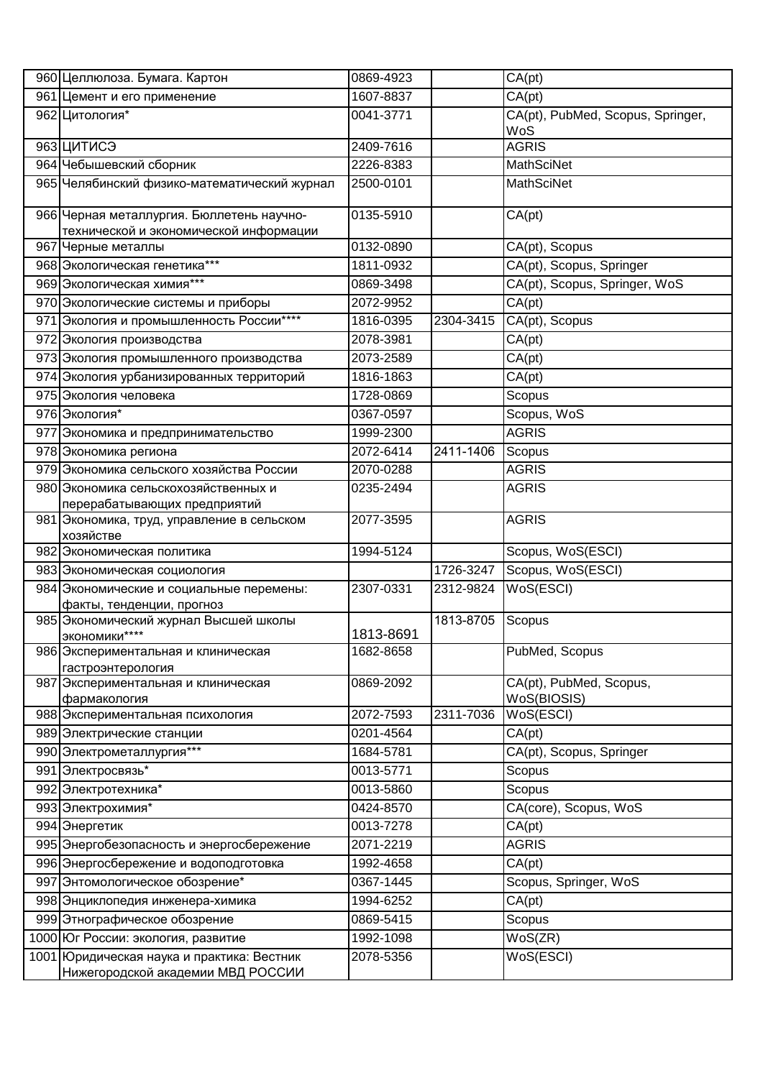|     | 960 Целлюлоза. Бумага. Картон                                                       | 0869-4923 |           | CA(pt)                                 |
|-----|-------------------------------------------------------------------------------------|-----------|-----------|----------------------------------------|
|     | 961 Цемент и его применение                                                         | 1607-8837 |           | CA(pt)                                 |
|     | 962 Цитология*                                                                      | 0041-3771 |           | CA(pt), PubMed, Scopus, Springer,      |
|     |                                                                                     |           |           | WoS                                    |
|     | 963 ЦИТИСЭ                                                                          | 2409-7616 |           | <b>AGRIS</b>                           |
|     | 964 Чебышевский сборник                                                             | 2226-8383 |           | <b>MathSciNet</b>                      |
|     | 965 Челябинский физико-математический журнал                                        | 2500-0101 |           | <b>MathSciNet</b>                      |
|     | 966 Черная металлургия. Бюллетень научно-<br>технической и экономической информации | 0135-5910 |           | CA(pt)                                 |
|     | 967 Черные металлы                                                                  | 0132-0890 |           | CA(pt), Scopus                         |
|     | 968 Экологическая генетика***                                                       | 1811-0932 |           | CA(pt), Scopus, Springer               |
|     | 969 Экологическая химия***                                                          | 0869-3498 |           | CA(pt), Scopus, Springer, WoS          |
|     | 970 Экологические системы и приборы                                                 | 2072-9952 |           | CA(pt)                                 |
|     | 971 Экология и промышленность России****                                            | 1816-0395 | 2304-3415 | CA(pt), Scopus                         |
|     | 972 Экология производства                                                           | 2078-3981 |           | CA(pt)                                 |
|     | 973 Экология промышленного производства                                             | 2073-2589 |           | CA(pt)                                 |
|     | 974 Экология урбанизированных территорий                                            | 1816-1863 |           | CA(pt)                                 |
|     | 975 Экология человека                                                               | 1728-0869 |           | Scopus                                 |
|     | 976 Экология*                                                                       | 0367-0597 |           | Scopus, WoS                            |
| 977 | Экономика и предпринимательство                                                     | 1999-2300 |           | <b>AGRIS</b>                           |
|     | 978 Экономика региона                                                               | 2072-6414 | 2411-1406 | Scopus                                 |
|     | 979 Экономика сельского хозяйства России                                            | 2070-0288 |           | <b>AGRIS</b>                           |
|     | 980 Экономика сельскохозяйственных и                                                | 0235-2494 |           | <b>AGRIS</b>                           |
|     | перерабатывающих предприятий                                                        |           |           |                                        |
|     | 981 Экономика, труд, управление в сельском                                          | 2077-3595 |           | <b>AGRIS</b>                           |
|     | хозяйстве                                                                           |           |           |                                        |
|     | 982 Экономическая политика                                                          | 1994-5124 |           | Scopus, WoS(ESCI)                      |
|     | 983 Экономическая социология                                                        |           | 1726-3247 | Scopus, WoS(ESCI)                      |
|     | 984 Экономические и социальные перемены:                                            | 2307-0331 | 2312-9824 | WoS(ESCI)                              |
|     | факты, тенденции, прогноз                                                           |           |           |                                        |
|     | 985 Экономический журнал Высшей школы<br>ЭКОНОМИКИ****                              | 1813-8691 | 1813-8705 | Scopus                                 |
|     | 986 Экспериментальная и клиническая<br>гастроэнтерология                            | 1682-8658 |           | PubMed, Scopus                         |
|     | 987 Экспериментальная и клиническая<br>фармакология                                 | 0869-2092 |           | CA(pt), PubMed, Scopus,<br>WoS(BIOSIS) |
|     | 988 Экспериментальная психология                                                    | 2072-7593 | 2311-7036 | WoS(ESCI)                              |
|     | 989 Электрические станции                                                           | 0201-4564 |           | CA(pt)                                 |
|     | 990 Электрометаллургия***                                                           | 1684-5781 |           | CA(pt), Scopus, Springer               |
|     | 991 Электросвязь*                                                                   | 0013-5771 |           | Scopus                                 |
|     | 992 Электротехника*                                                                 | 0013-5860 |           | Scopus                                 |
|     | 993 Электрохимия*                                                                   | 0424-8570 |           | CA(core), Scopus, WoS                  |
|     | 994 Энергетик                                                                       | 0013-7278 |           | CA(pt)                                 |
|     | 995 Энергобезопасность и энергосбережение                                           | 2071-2219 |           | <b>AGRIS</b>                           |
|     | 996 Энергосбережение и водоподготовка                                               | 1992-4658 |           | CA(pt)                                 |
|     | 997 Энтомологическое обозрение*                                                     | 0367-1445 |           | Scopus, Springer, WoS                  |
|     | 998 Энциклопедия инженера-химика                                                    | 1994-6252 |           | CA(pt)                                 |
|     | 999 Этнографическое обозрение                                                       | 0869-5415 |           | Scopus                                 |
|     | 1000 Юг России: экология, развитие                                                  | 1992-1098 |           | WoS(ZR)                                |
|     | 1001 Юридическая наука и практика: Вестник                                          | 2078-5356 |           | WoS(ESCI)                              |
|     | Нижегородской академии МВД РОССИИ                                                   |           |           |                                        |